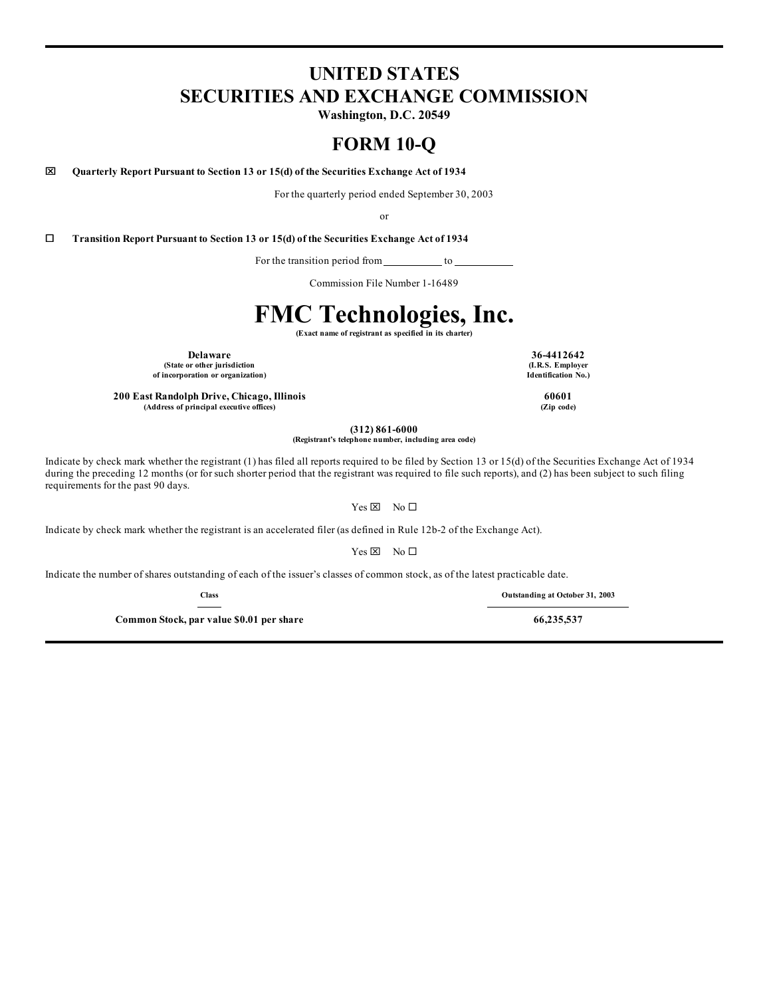# **UNITED STATES SECURITIES AND EXCHANGE COMMISSION**

**Washington, D.C. 20549**

# **FORM 10-Q**

x **Quarterly Report Pursuant to Section 13 or 15(d) of the Securities Exchange Act of 1934**

For the quarterly period ended September 30, 2003

or

¨ **Transition Report Pursuant to Section 13 or 15(d) of the Securities Exchange Act of 1934**

For the transition period from \_\_\_\_\_\_\_\_\_\_\_ to \_

Commission File Number 1-16489

# **FMC Technologies, Inc.**

**(Exact name of registrant as specified in its charter)**

**Delaware 36-4412642 (State or other jurisdiction of incorporation or organization)**

**200 East Randolph Drive, Chicago, Illinois 60601 (Address of principal executive offices) (Zip code)**

**(312) 861-6000**

**(Registrant's telephone number, including area code)**

Indicate by check mark whether the registrant (1) has filed all reports required to be filed by Section 13 or 15(d) of the Securities Exchange Act of 1934 during the preceding 12 months (or for such shorter period that the registrant was required to file such reports), and (2) has been subject to such filing requirements for the past 90 days.

 $Yes \boxtimes$  No  $\square$ 

Indicate by check mark whether the registrant is an accelerated filer (as defined in Rule 12b-2 of the Exchange Act).

 $Yes \boxtimes$  No  $\square$ 

Indicate the number of shares outstanding of each of the issuer's classes of common stock, as of the latest practicable date.

**Common Stock, par value \$0.01 per share 66,235,537**

**(I.R.S. Employer Identification No.)**

**Class Outstanding at October 31, 2003**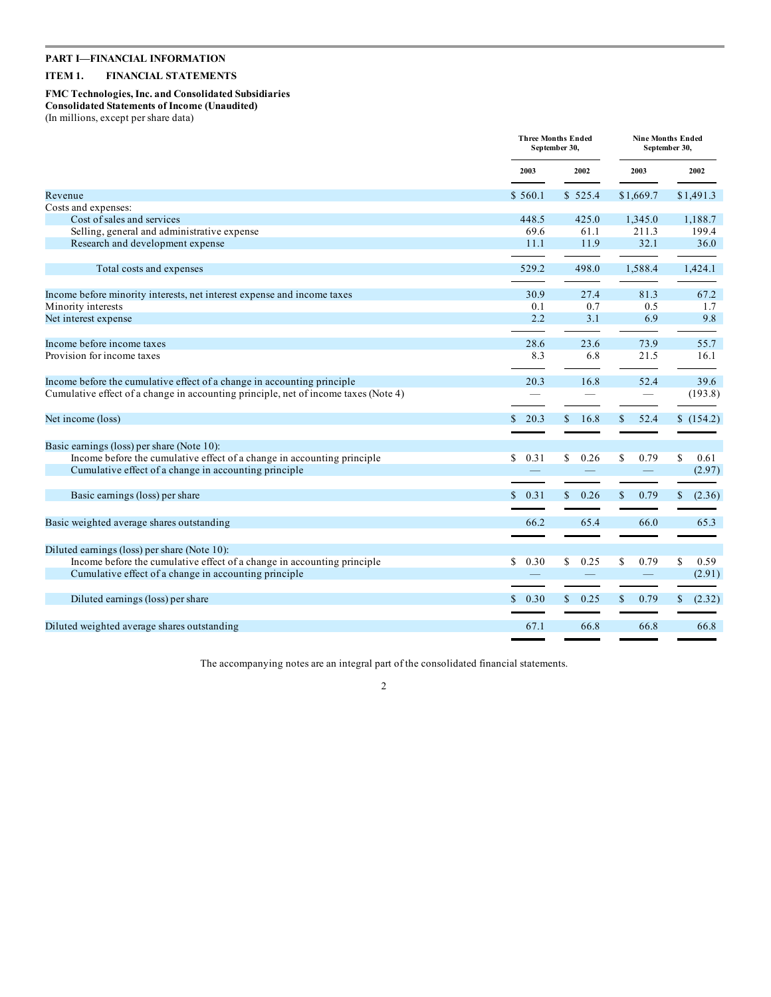# **PART I—FINANCIAL INFORMATION**

# **ITEM 1. FINANCIAL STATEMENTS**

# **FMC Technologies, Inc. and Consolidated Subsidiaries**

**Consolidated Statements of Income (Unaudited)**

(In millions, except per share data)

|                                                                                     | <b>Three Months Ended</b><br>September 30, |             | <b>Nine Months Ended</b><br>September 30, |              |
|-------------------------------------------------------------------------------------|--------------------------------------------|-------------|-------------------------------------------|--------------|
|                                                                                     | 2003                                       | 2002        | 2003                                      | 2002         |
| Revenue                                                                             | \$560.1                                    | \$525.4     | \$1,669.7                                 | \$1,491.3    |
| Costs and expenses:                                                                 |                                            |             |                                           |              |
| Cost of sales and services                                                          | 448.5                                      | 425.0       | 1,345.0                                   | 1,188.7      |
| Selling, general and administrative expense                                         | 69.6                                       | 61.1        | 211.3                                     | 199.4        |
| Research and development expense                                                    | 11.1                                       | 11.9        | 32.1                                      | 36.0         |
| Total costs and expenses                                                            | 529.2                                      | 498.0       | 1,588.4                                   | 1,424.1      |
| Income before minority interests, net interest expense and income taxes             | 30.9                                       | 27.4        | 81.3                                      | 67.2         |
| Minority interests                                                                  | 0.1                                        | 0.7         | 0.5                                       | 1.7          |
| Net interest expense                                                                | 2.2                                        | 3.1         | 6.9                                       | 9.8          |
| Income before income taxes                                                          | 28.6                                       | 23.6        | 73.9                                      | 55.7         |
| Provision for income taxes                                                          | 8.3                                        | 6.8         | 21.5                                      | 16.1         |
| Income before the cumulative effect of a change in accounting principle             | 20.3                                       | 16.8        | 52.4                                      | 39.6         |
| Cumulative effect of a change in accounting principle, net of income taxes (Note 4) |                                            |             |                                           | (193.8)      |
| Net income (loss)                                                                   | 20.3                                       | \$.<br>16.8 | \$.<br>52.4                               | \$(154.2)    |
|                                                                                     |                                            |             |                                           |              |
| Basic earnings (loss) per share (Note 10):                                          |                                            |             |                                           |              |
| Income before the cumulative effect of a change in accounting principle             | S.<br>0.31                                 | S.<br>0.26  | S<br>0.79                                 | \$<br>0.61   |
| Cumulative effect of a change in accounting principle                               |                                            |             | $\qquad \qquad =$                         | (2.97)       |
| Basic earnings (loss) per share                                                     | $\mathbf{s}$<br>0.31                       | 0.26<br>\$. | 0.79<br>\$.                               | (2.36)<br>\$ |
| Basic weighted average shares outstanding                                           | 66.2                                       | 65.4        | 66.0                                      | 65.3         |
|                                                                                     |                                            |             |                                           |              |
| Diluted earnings (loss) per share (Note 10):                                        |                                            |             |                                           |              |
| Income before the cumulative effect of a change in accounting principle             | 0.30<br>S                                  | 0.25<br>\$  | 0.79<br>S                                 | 0.59<br>\$   |
| Cumulative effect of a change in accounting principle                               |                                            |             | —                                         | (2.91)       |
| Diluted earnings (loss) per share                                                   | 0.30                                       | 0.25        | 0.79                                      | (2.32)<br>\$ |
|                                                                                     |                                            |             |                                           |              |
| Diluted weighted average shares outstanding                                         | 67.1                                       | 66.8        | 66.8                                      | 66.8         |

The accompanying notes are an integral part of the consolidated financial statements.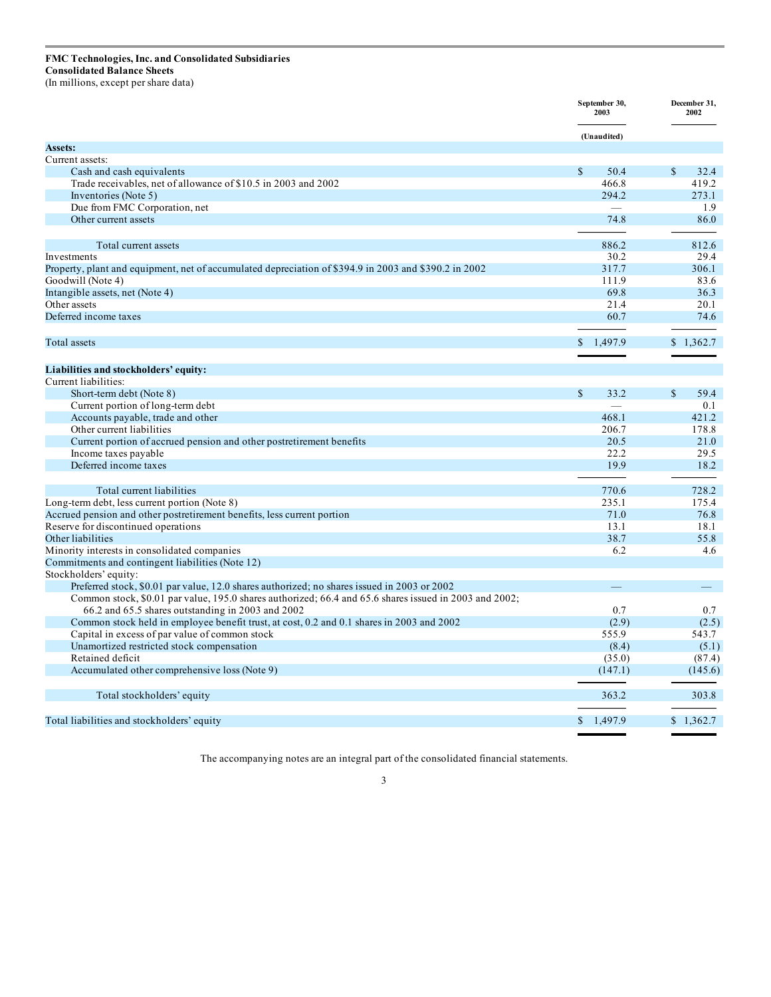#### **FMC Technologies, Inc. and Consolidated Subsidiaries Consolidated Balance Sheets** (In millions, except per share data)

|                                                                                                        |             | September 30,<br>2003    |               | December 31,<br>2002 |  |
|--------------------------------------------------------------------------------------------------------|-------------|--------------------------|---------------|----------------------|--|
|                                                                                                        |             | (Unaudited)              |               |                      |  |
| Assets:                                                                                                |             |                          |               |                      |  |
| Current assets:                                                                                        |             |                          |               |                      |  |
| Cash and cash equivalents                                                                              | $\mathbf S$ | 50.4                     | $\mathcal{S}$ | 32.4                 |  |
| Trade receivables, net of allowance of \$10.5 in 2003 and 2002                                         |             | 466.8                    |               | 419.2                |  |
| Inventories (Note 5)                                                                                   |             | 294.2                    |               | 273.1                |  |
| Due from FMC Corporation, net                                                                          |             | $\overline{\phantom{a}}$ |               | 1.9                  |  |
| Other current assets                                                                                   |             | 74.8                     |               | 86.0                 |  |
| Total current assets                                                                                   |             | 886.2                    |               | 812.6                |  |
| Investments                                                                                            |             | 30.2                     |               | 29.4                 |  |
| Property, plant and equipment, net of accumulated depreciation of \$394.9 in 2003 and \$390.2 in 2002  |             | 317.7                    |               | 306.1                |  |
| Goodwill (Note 4)                                                                                      |             | 111.9                    |               | 83.6                 |  |
| Intangible assets, net (Note 4)                                                                        |             | 69.8                     |               | 36.3                 |  |
| Other assets                                                                                           |             | 21.4                     |               | 20.1                 |  |
| Deferred income taxes                                                                                  |             | 60.7                     |               | 74.6                 |  |
|                                                                                                        |             |                          |               |                      |  |
| <b>Total</b> assets                                                                                    |             | \$1,497.9                |               | \$1.362.7            |  |
| Liabilities and stockholders' equity:                                                                  |             |                          |               |                      |  |
| Current liabilities:                                                                                   |             |                          |               |                      |  |
| Short-term debt (Note 8)                                                                               | $\mathbf S$ | 33.2                     | $\mathbf S$   | 59.4                 |  |
| Current portion of long-term debt                                                                      |             |                          |               | 0.1                  |  |
| Accounts payable, trade and other                                                                      |             | 468.1                    |               | 421.2                |  |
| Other current liabilities                                                                              |             | 206.7                    |               | 178.8                |  |
| Current portion of accrued pension and other postretirement benefits                                   |             | 20.5                     |               | 21.0                 |  |
| Income taxes payable                                                                                   |             | 22.2                     |               | 29.5                 |  |
| Deferred income taxes                                                                                  |             | 19.9                     |               | 18.2                 |  |
|                                                                                                        |             |                          |               |                      |  |
| Total current liabilities                                                                              |             | 770.6                    |               | 728.2                |  |
| Long-term debt, less current portion (Note 8)                                                          |             | 235.1                    |               | 175.4                |  |
| Accrued pension and other postretirement benefits, less current portion                                |             | 71.0                     |               | 76.8                 |  |
| Reserve for discontinued operations                                                                    |             | 13.1                     |               | 18.1                 |  |
| Other liabilities                                                                                      |             | 38.7                     |               | 55.8                 |  |
| Minority interests in consolidated companies                                                           |             | 6.2                      |               | 4.6                  |  |
| Commitments and contingent liabilities (Note 12)                                                       |             |                          |               |                      |  |
| Stockholders' equity:                                                                                  |             |                          |               |                      |  |
| Preferred stock, \$0.01 par value, 12.0 shares authorized; no shares issued in 2003 or 2002            |             | $\frac{1}{2}$            |               |                      |  |
| Common stock, \$0.01 par value, 195.0 shares authorized; 66.4 and 65.6 shares issued in 2003 and 2002; |             |                          |               |                      |  |
| 66.2 and 65.5 shares outstanding in 2003 and 2002                                                      |             | 0.7                      |               | 0.7                  |  |
| Common stock held in employee benefit trust, at cost, 0.2 and 0.1 shares in 2003 and 2002              |             | (2.9)                    |               | (2.5)                |  |
| Capital in excess of par value of common stock                                                         |             | 555.9                    |               | 543.7                |  |
| Unamortized restricted stock compensation                                                              |             | (8.4)                    |               | (5.1)                |  |
| Retained deficit                                                                                       |             | (35.0)                   |               | (87.4)               |  |
| Accumulated other comprehensive loss (Note 9)                                                          |             | (147.1)                  |               | (145.6)              |  |
| Total stockholders' equity                                                                             |             | 363.2                    |               | 303.8                |  |
|                                                                                                        |             |                          |               |                      |  |
| Total liabilities and stockholders' equity                                                             |             | \$1,497.9                |               | \$1.362.7            |  |

The accompanying notes are an integral part of the consolidated financial statements.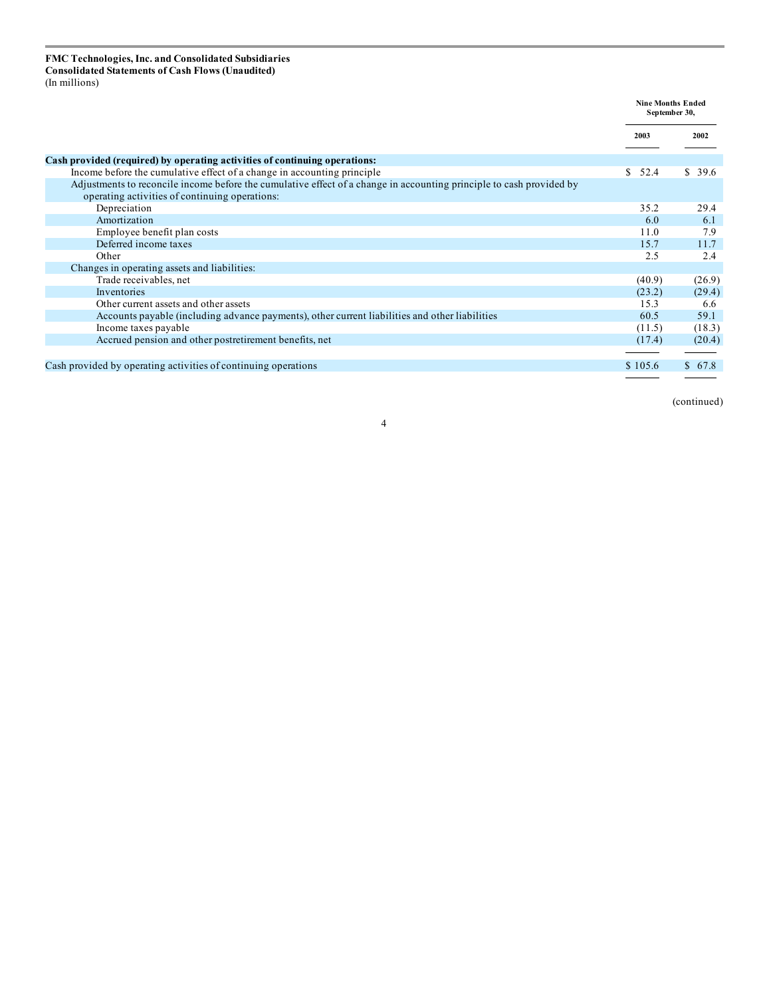## **FMC Technologies, Inc. and Consolidated Subsidiaries Consolidated Statements of Cash Flows (Unaudited)** (In millions)

| 2003<br>2002<br>Cash provided (required) by operating activities of continuing operations:<br>Income before the cumulative effect of a change in accounting principle<br>52.4<br>\$39.6<br>S.<br>Adjustments to reconcile income before the cumulative effect of a change in accounting principle to cash provided by<br>operating activities of continuing operations:<br>Depreciation<br>35.2<br>29.4<br>Amortization<br>6.1<br>6.0<br>Employee benefit plan costs<br>7.9<br>11.0<br>Deferred income taxes<br>15.7<br>11.7<br>Other<br>2.4<br>2.5<br>Changes in operating assets and liabilities:<br>Trade receivables, net<br>(40.9)<br>(26.9)<br>Inventories<br>(29.4)<br>(23.2)<br>Other current assets and other assets<br>15.3<br>6.6<br>Accounts payable (including advance payments), other current liabilities and other liabilities<br>59.1<br>60.5<br>(11.5)<br>Income taxes payable<br>(18.3)<br>Accrued pension and other postretirement benefits, net<br>(17.4)<br>(20.4)<br>Cash provided by operating activities of continuing operations<br>\$105.6<br>\$67.8 | <b>Nine Months Ended</b><br>September 30, |  |
|---------------------------------------------------------------------------------------------------------------------------------------------------------------------------------------------------------------------------------------------------------------------------------------------------------------------------------------------------------------------------------------------------------------------------------------------------------------------------------------------------------------------------------------------------------------------------------------------------------------------------------------------------------------------------------------------------------------------------------------------------------------------------------------------------------------------------------------------------------------------------------------------------------------------------------------------------------------------------------------------------------------------------------------------------------------------------------|-------------------------------------------|--|
|                                                                                                                                                                                                                                                                                                                                                                                                                                                                                                                                                                                                                                                                                                                                                                                                                                                                                                                                                                                                                                                                                 |                                           |  |
|                                                                                                                                                                                                                                                                                                                                                                                                                                                                                                                                                                                                                                                                                                                                                                                                                                                                                                                                                                                                                                                                                 |                                           |  |
|                                                                                                                                                                                                                                                                                                                                                                                                                                                                                                                                                                                                                                                                                                                                                                                                                                                                                                                                                                                                                                                                                 |                                           |  |
|                                                                                                                                                                                                                                                                                                                                                                                                                                                                                                                                                                                                                                                                                                                                                                                                                                                                                                                                                                                                                                                                                 |                                           |  |
|                                                                                                                                                                                                                                                                                                                                                                                                                                                                                                                                                                                                                                                                                                                                                                                                                                                                                                                                                                                                                                                                                 |                                           |  |
|                                                                                                                                                                                                                                                                                                                                                                                                                                                                                                                                                                                                                                                                                                                                                                                                                                                                                                                                                                                                                                                                                 |                                           |  |
|                                                                                                                                                                                                                                                                                                                                                                                                                                                                                                                                                                                                                                                                                                                                                                                                                                                                                                                                                                                                                                                                                 |                                           |  |
|                                                                                                                                                                                                                                                                                                                                                                                                                                                                                                                                                                                                                                                                                                                                                                                                                                                                                                                                                                                                                                                                                 |                                           |  |
|                                                                                                                                                                                                                                                                                                                                                                                                                                                                                                                                                                                                                                                                                                                                                                                                                                                                                                                                                                                                                                                                                 |                                           |  |
|                                                                                                                                                                                                                                                                                                                                                                                                                                                                                                                                                                                                                                                                                                                                                                                                                                                                                                                                                                                                                                                                                 |                                           |  |
|                                                                                                                                                                                                                                                                                                                                                                                                                                                                                                                                                                                                                                                                                                                                                                                                                                                                                                                                                                                                                                                                                 |                                           |  |
|                                                                                                                                                                                                                                                                                                                                                                                                                                                                                                                                                                                                                                                                                                                                                                                                                                                                                                                                                                                                                                                                                 |                                           |  |
|                                                                                                                                                                                                                                                                                                                                                                                                                                                                                                                                                                                                                                                                                                                                                                                                                                                                                                                                                                                                                                                                                 |                                           |  |
|                                                                                                                                                                                                                                                                                                                                                                                                                                                                                                                                                                                                                                                                                                                                                                                                                                                                                                                                                                                                                                                                                 |                                           |  |
|                                                                                                                                                                                                                                                                                                                                                                                                                                                                                                                                                                                                                                                                                                                                                                                                                                                                                                                                                                                                                                                                                 |                                           |  |
|                                                                                                                                                                                                                                                                                                                                                                                                                                                                                                                                                                                                                                                                                                                                                                                                                                                                                                                                                                                                                                                                                 |                                           |  |
|                                                                                                                                                                                                                                                                                                                                                                                                                                                                                                                                                                                                                                                                                                                                                                                                                                                                                                                                                                                                                                                                                 |                                           |  |
|                                                                                                                                                                                                                                                                                                                                                                                                                                                                                                                                                                                                                                                                                                                                                                                                                                                                                                                                                                                                                                                                                 |                                           |  |
|                                                                                                                                                                                                                                                                                                                                                                                                                                                                                                                                                                                                                                                                                                                                                                                                                                                                                                                                                                                                                                                                                 |                                           |  |

(continued)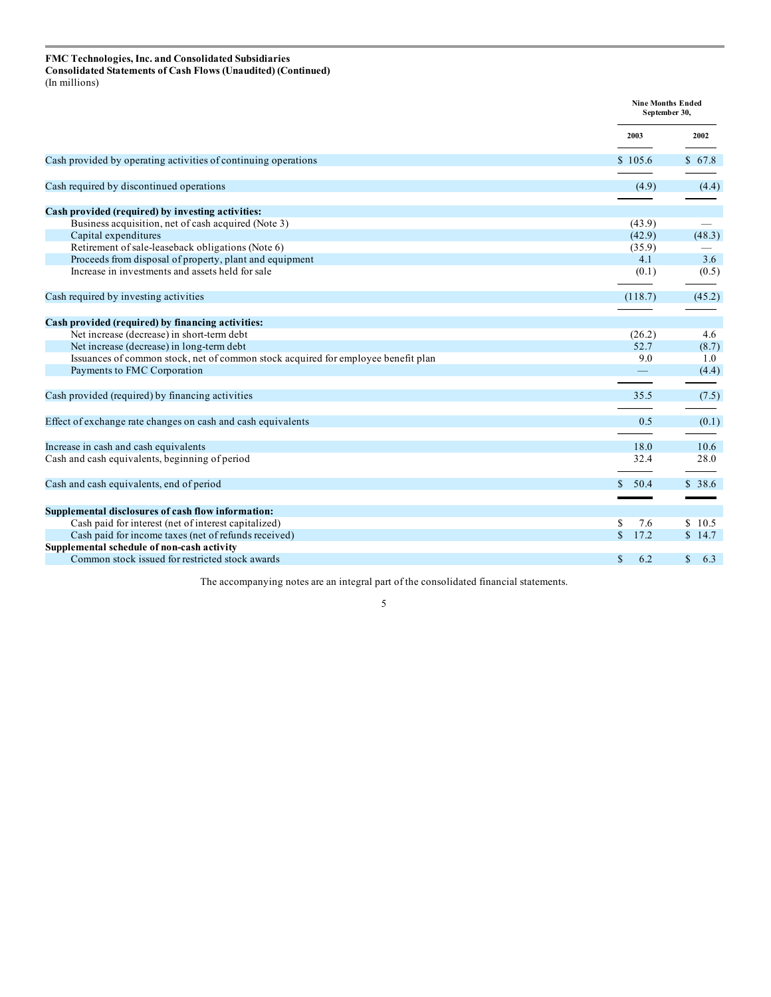# **FMC Technologies, Inc. and Consolidated Subsidiaries Consolidated Statements of Cash Flows (Unaudited) (Continued)** (In millions)

|                                                                                               | <b>Nine Months Ended</b><br>September 30, |                     |
|-----------------------------------------------------------------------------------------------|-------------------------------------------|---------------------|
|                                                                                               | 2003                                      | 2002                |
| Cash provided by operating activities of continuing operations                                | \$105.6                                   | \$67.8              |
| Cash required by discontinued operations                                                      | (4.9)                                     | (4.4)               |
| Cash provided (required) by investing activities:                                             |                                           |                     |
| Business acquisition, net of cash acquired (Note 3)                                           | (43.9)                                    |                     |
| Capital expenditures                                                                          | (42.9)                                    | (48.3)              |
| Retirement of sale-leaseback obligations (Note 6)                                             | (35.9)                                    |                     |
| Proceeds from disposal of property, plant and equipment                                       | 4.1                                       | 3.6                 |
| Increase in investments and assets held for sale                                              | (0.1)                                     | (0.5)               |
| Cash required by investing activities                                                         | (118.7)                                   | (45.2)              |
| Cash provided (required) by financing activities:                                             |                                           |                     |
| Net increase (decrease) in short-term debt                                                    | (26.2)                                    | 4.6                 |
| Net increase (decrease) in long-term debt                                                     | 52.7                                      | (8.7)               |
| Issuances of common stock, net of common stock acquired for employee benefit plan             | 9.0                                       | 1.0                 |
| Payments to FMC Corporation                                                                   | $\overline{\phantom{0}}$                  | (4.4)               |
| Cash provided (required) by financing activities                                              | 35.5                                      | (7.5)               |
| Effect of exchange rate changes on cash and cash equivalents                                  | 0.5                                       | (0.1)               |
| Increase in cash and cash equivalents                                                         | 18.0                                      | 10.6                |
| Cash and cash equivalents, beginning of period                                                | 32.4                                      | 28.0                |
| Cash and cash equivalents, end of period                                                      | 50.4<br>\$.                               | \$38.6              |
|                                                                                               |                                           |                     |
| Supplemental disclosures of cash flow information:                                            |                                           |                     |
| Cash paid for interest (net of interest capitalized)                                          | \$<br>7.6                                 | \$10.5              |
| Cash paid for income taxes (net of refunds received)                                          | 17.2<br>$\mathbf{s}$                      | \$14.7              |
| Supplemental schedule of non-cash activity<br>Common stock issued for restricted stock awards | \$<br>6.2                                 | $\mathbb{S}$<br>6.3 |
|                                                                                               |                                           |                     |

The accompanying notes are an integral part of the consolidated financial statements.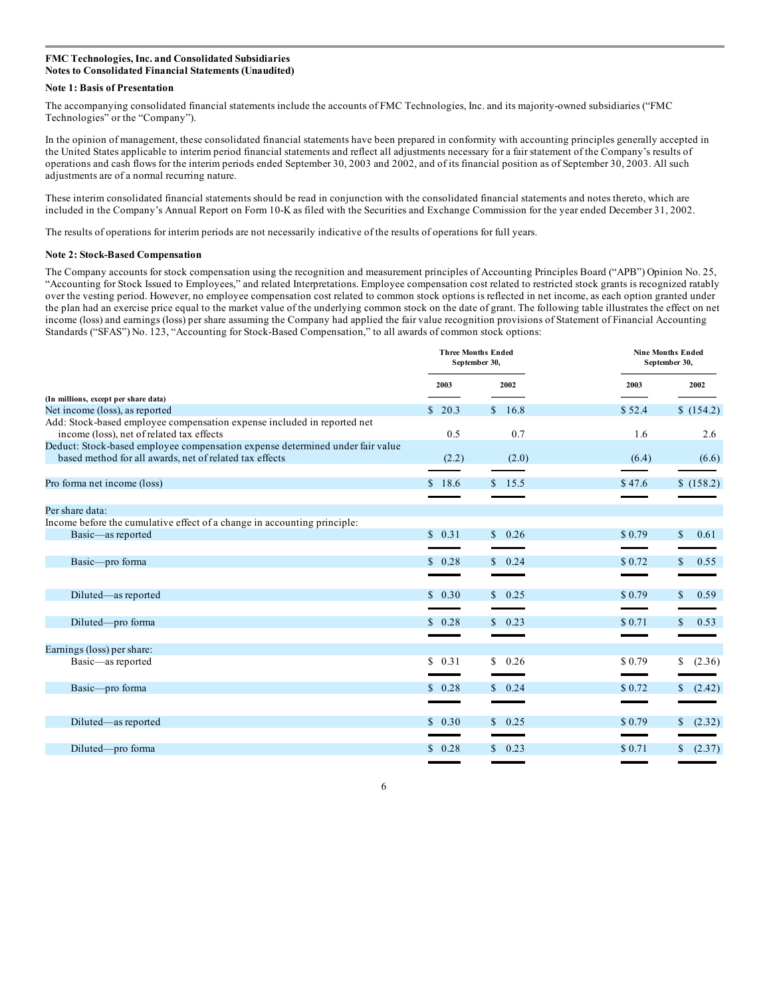# **FMC Technologies, Inc. and Consolidated Subsidiaries Notes to Consolidated Financial Statements (Unaudited)**

# **Note 1: Basis of Presentation**

The accompanying consolidated financial statements include the accounts of FMC Technologies, Inc. and its majority-owned subsidiaries ("FMC Technologies" or the "Company").

In the opinion of management, these consolidated financial statements have been prepared in conformity with accounting principles generally accepted in the United States applicable to interim period financial statements and reflect all adjustments necessary for a fair statement of the Company's results of operations and cash flows for the interim periods ended September 30, 2003 and 2002, and of its financial position as of September 30, 2003. All such adjustments are of a normal recurring nature.

These interim consolidated financial statements should be read in conjunction with the consolidated financial statements and notes thereto, which are included in the Company's Annual Report on Form 10-K as filed with the Securities and Exchange Commission for the year ended December 31, 2002.

The results of operations for interim periods are not necessarily indicative of the results of operations for full years.

# **Note 2: Stock-Based Compensation**

The Company accounts for stock compensation using the recognition and measurement principles of Accounting Principles Board ("APB") Opinion No. 25, "Accounting for Stock Issued to Employees," and related Interpretations. Employee compensation cost related to restricted stock grants is recognized ratably over the vesting period. However, no employee compensation cost related to common stock options is reflected in net income, as each option granted under the plan had an exercise price equal to the market value of the underlying common stock on the date of grant. The following table illustrates the effect on net income (loss) and earnings (loss) per share assuming the Company had applied the fair value recognition provisions of Statement of Financial Accounting Standards ("SFAS") No. 123, "Accounting for Stock-Based Compensation," to all awards of common stock options:

|                                                                               | <b>Three Months Ended</b><br>September 30, |                      |        | <b>Nine Months Ended</b><br>September 30, |  |
|-------------------------------------------------------------------------------|--------------------------------------------|----------------------|--------|-------------------------------------------|--|
|                                                                               | 2003                                       | 2002                 | 2003   | 2002                                      |  |
| (In millions, except per share data)                                          |                                            |                      |        |                                           |  |
| Net income (loss), as reported                                                | \$20.3                                     | $\mathbb{S}$<br>16.8 | \$52.4 | \$(154.2)                                 |  |
| Add: Stock-based employee compensation expense included in reported net       |                                            |                      |        |                                           |  |
| income (loss), net of related tax effects                                     | 0.5                                        | 0.7                  | 1.6    | 2.6                                       |  |
| Deduct: Stock-based employee compensation expense determined under fair value |                                            |                      |        |                                           |  |
| based method for all awards, net of related tax effects                       | (2.2)                                      | (2.0)                | (6.4)  | (6.6)                                     |  |
|                                                                               |                                            |                      |        |                                           |  |
| Pro forma net income (loss)                                                   | \$18.6                                     | \$15.5               | \$47.6 | \$(158.2)                                 |  |
|                                                                               |                                            |                      |        |                                           |  |
| Per share data:                                                               |                                            |                      |        |                                           |  |
| Income before the cumulative effect of a change in accounting principle:      |                                            |                      |        |                                           |  |
| Basic—as reported                                                             | \$0.31                                     | \$0.26               | \$0.79 | \$.<br>0.61                               |  |
|                                                                               |                                            |                      |        |                                           |  |
| Basic-pro forma                                                               | \$0.28                                     | \$0.24               | \$0.72 | 0.55                                      |  |
|                                                                               |                                            |                      |        |                                           |  |
| Diluted—as reported                                                           | \$0.30                                     | \$0.25               | \$0.79 | 0.59<br>S.                                |  |
|                                                                               |                                            |                      |        |                                           |  |
| Diluted-pro forma                                                             | \$0.28                                     | \$0.23               | \$0.71 | 0.53<br>$\mathbb{S}^-$                    |  |
|                                                                               |                                            |                      |        |                                           |  |
| Earnings (loss) per share:                                                    |                                            |                      |        |                                           |  |
| Basic—as reported                                                             | 0.31<br>S.                                 | S.<br>0.26           | \$0.79 | (2.36)<br>S.                              |  |
|                                                                               |                                            |                      |        |                                           |  |
| Basic-pro forma                                                               | \$0.28                                     | \$0.24               | \$0.72 | (2.42)                                    |  |
|                                                                               |                                            |                      |        |                                           |  |
| Diluted-as reported                                                           | \$0.30                                     | 0.25<br>\$           | \$0.79 | (2.32)                                    |  |
|                                                                               |                                            |                      |        |                                           |  |
| Diluted-pro forma                                                             | \$0.28                                     | \$0.23               | \$0.71 | (2.37)                                    |  |
|                                                                               |                                            |                      |        |                                           |  |

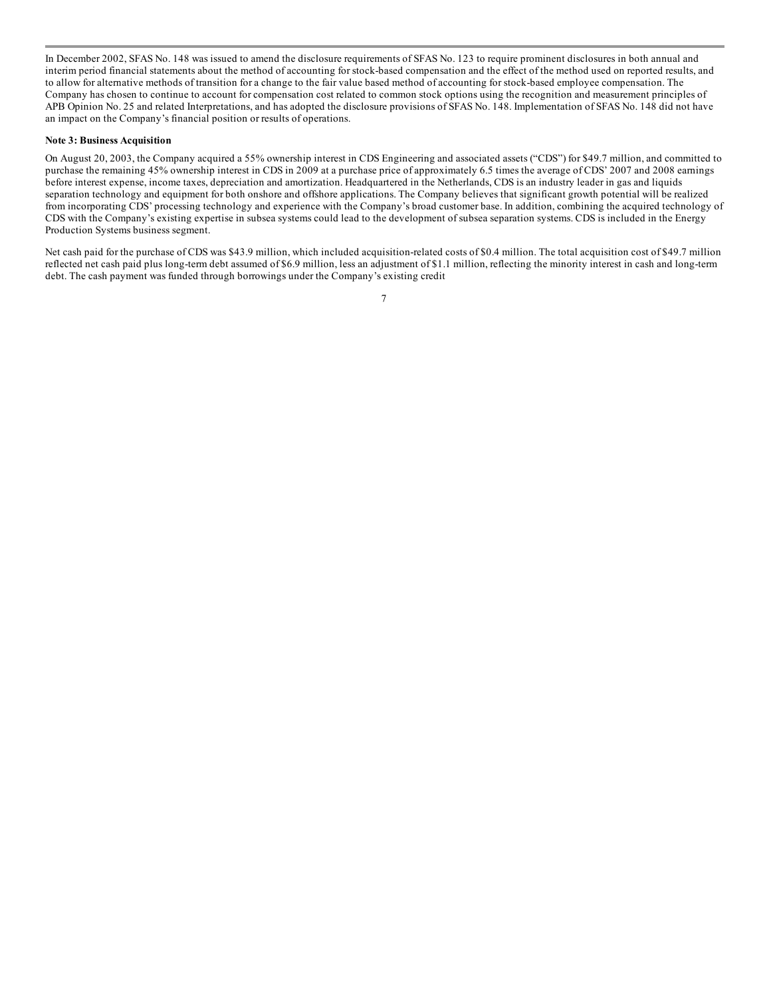In December 2002, SFAS No. 148 was issued to amend the disclosure requirements of SFAS No. 123 to require prominent disclosures in both annual and interim period financial statements about the method of accounting for stock-based compensation and the effect of the method used on reported results, and to allow for alternative methods of transition for a change to the fair value based method of accounting for stock-based employee compensation. The Company has chosen to continue to account for compensation cost related to common stock options using the recognition and measurement principles of APB Opinion No. 25 and related Interpretations, and has adopted the disclosure provisions of SFAS No. 148. Implementation of SFAS No. 148 did not have an impact on the Company's financial position or results of operations.

#### **Note 3: Business Acquisition**

On August 20, 2003, the Company acquired a 55% ownership interest in CDS Engineering and associated assets ("CDS") for \$49.7 million, and committed to purchase the remaining 45% ownership interest in CDS in 2009 at a purchase price of approximately 6.5 times the average of CDS' 2007 and 2008 earnings before interest expense, income taxes, depreciation and amortization. Headquartered in the Netherlands, CDS is an industry leader in gas and liquids separation technology and equipment for both onshore and offshore applications. The Company believes that significant growth potential will be realized from incorporating CDS' processing technology and experience with the Company's broad customer base. In addition, combining the acquired technology of CDS with the Company's existing expertise in subsea systems could lead to the development of subsea separation systems. CDS is included in the Energy Production Systems business segment.

Net cash paid for the purchase of CDS was \$43.9 million, which included acquisition-related costs of \$0.4 million. The total acquisition cost of \$49.7 million reflected net cash paid plus long-term debt assumed of \$6.9 million, less an adjustment of \$1.1 million, reflecting the minority interest in cash and long-term debt. The cash payment was funded through borrowings under the Company's existing credit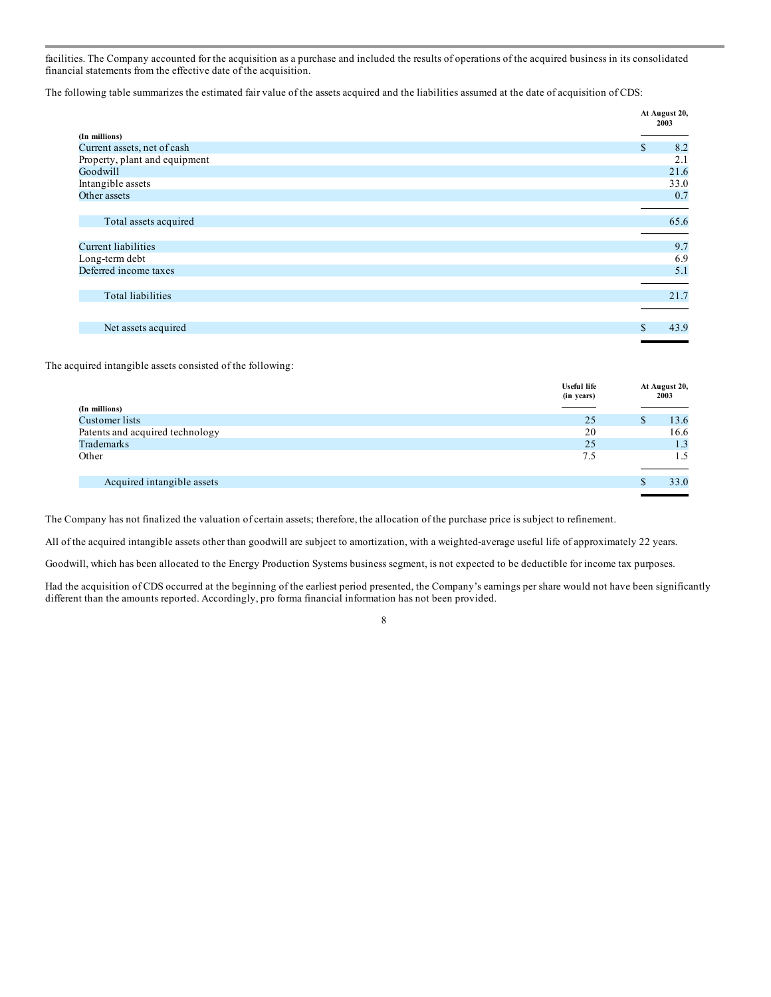facilities. The Company accounted for the acquisition as a purchase and included the results of operations of the acquired business in its consolidated financial statements from the effective date of the acquisition.

The following table summarizes the estimated fair value of the assets acquired and the liabilities assumed at the date of acquisition of CDS:

|                               |    | At August 20,<br>2003 |
|-------------------------------|----|-----------------------|
| (In millions)                 |    |                       |
| Current assets, net of cash   | \$ | 8.2                   |
| Property, plant and equipment |    | 2.1                   |
| Goodwill                      |    | 21.6                  |
| Intangible assets             |    | 33.0                  |
| Other assets                  |    | 0.7                   |
|                               |    |                       |
| Total assets acquired         |    | 65.6                  |
|                               |    |                       |
| Current liabilities           |    | 9.7                   |
| Long-term debt                |    | 6.9                   |
| Deferred income taxes         |    | 5.1                   |
|                               |    |                       |
| Total liabilities             |    | 21.7                  |
|                               |    |                       |
| Net assets acquired           | \$ | 43.9                  |

The acquired intangible assets consisted of the following:

|                                 | <b>Useful life</b><br>(in years) | At August 20,<br>2003 |
|---------------------------------|----------------------------------|-----------------------|
| (In millions)                   |                                  |                       |
| Customer lists                  | 25                               | 13.6                  |
| Patents and acquired technology | 20                               | 16.6                  |
| Trademarks                      | 25                               | 1.3                   |
| Other                           | 7.5                              | 1.5                   |
| Acquired intangible assets      |                                  | 33.0                  |
|                                 |                                  |                       |

The Company has not finalized the valuation of certain assets; therefore, the allocation of the purchase price is subject to refinement.

All of the acquired intangible assets other than goodwill are subject to amortization, with a weighted-average useful life of approximately 22 years.

Goodwill, which has been allocated to the Energy Production Systems business segment, is not expected to be deductible for income tax purposes.

Had the acquisition of CDS occurred at the beginning of the earliest period presented, the Company's earnings per share would not have been significantly different than the amounts reported. Accordingly, pro forma financial information has not been provided.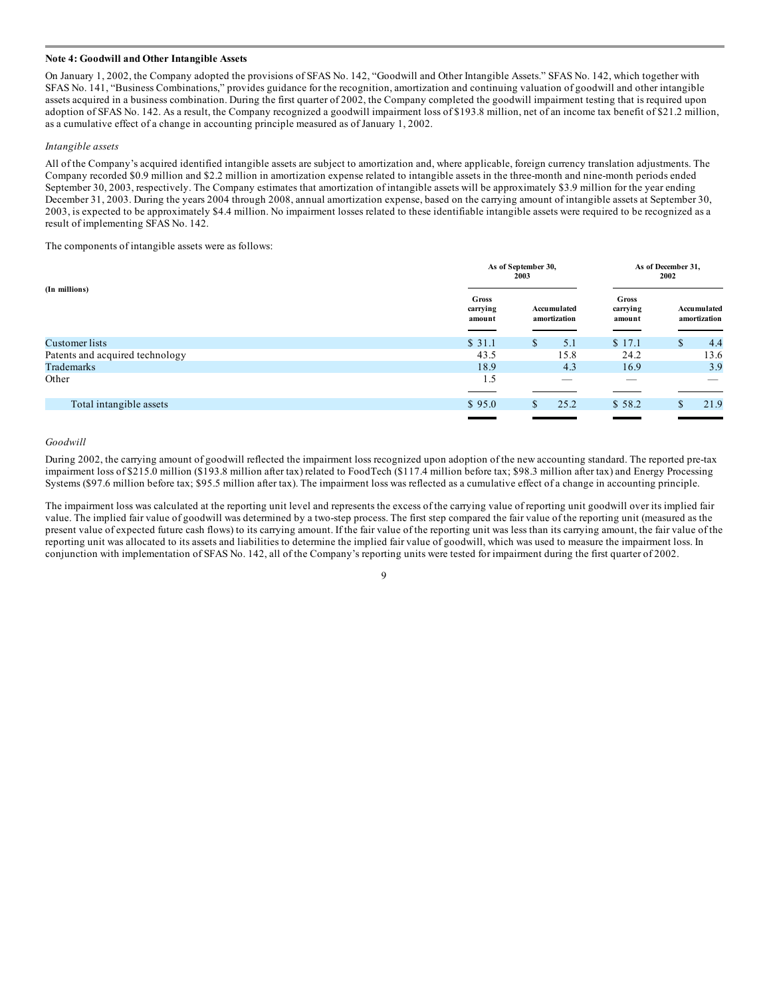## **Note 4: Goodwill and Other Intangible Assets**

On January 1, 2002, the Company adopted the provisions of SFAS No. 142, "Goodwill and Other Intangible Assets." SFAS No. 142, which together with SFAS No. 141, "Business Combinations," provides guidance for the recognition, amortization and continuing valuation of goodwill and other intangible assets acquired in a business combination. During the first quarter of 2002, the Company completed the goodwill impairment testing that is required upon adoption of SFAS No. 142. As a result, the Company recognized a goodwill impairment loss of \$193.8 million, net of an income tax benefit of \$21.2 million, as a cumulative effect of a change in accounting principle measured as of January 1, 2002.

# *Intangible assets*

All of the Company's acquired identified intangible assets are subject to amortization and, where applicable, foreign currency translation adjustments. The Company recorded \$0.9 million and \$2.2 million in amortization expense related to intangible assets in the three-month and nine-month periods ended September 30, 2003, respectively. The Company estimates that amortization of intangible assets will be approximately \$3.9 million for the year ending December 31, 2003. During the years 2004 through 2008, annual amortization expense, based on the carrying amount of intangible assets at September 30, 2003, is expected to be approximately \$4.4 million. No impairment losses related to these identifiable intangible assets were required to be recognized as a result of implementing SFAS No. 142.

The components of intangible assets were as follows:

|                                 |                                    | As of September 30,<br>As of December 31,<br>2003<br>2002 |                             |                                    |    |                             |
|---------------------------------|------------------------------------|-----------------------------------------------------------|-----------------------------|------------------------------------|----|-----------------------------|
| (In millions)                   | <b>Gross</b><br>carrying<br>amount |                                                           | Accumulated<br>amortization | <b>Gross</b><br>carrying<br>amount |    | Accumulated<br>amortization |
| Customer lists                  | \$31.1                             | S.                                                        | 5.1                         | \$17.1                             | S. | 4.4                         |
| Patents and acquired technology | 43.5                               |                                                           | 15.8                        | 24.2                               |    | 13.6                        |
| Trademarks                      | 18.9                               |                                                           | 4.3                         | 16.9                               |    | 3.9                         |
| Other                           | 1.5                                |                                                           |                             |                                    |    | $\sim$                      |
|                                 |                                    |                                                           |                             |                                    |    |                             |
| Total intangible assets         | \$95.0                             | S.                                                        | 25.2                        | \$58.2                             |    | 21.9                        |
|                                 |                                    |                                                           |                             |                                    |    |                             |

# *Goodwill*

During 2002, the carrying amount of goodwill reflected the impairment loss recognized upon adoption of the new accounting standard. The reported pre-tax impairment loss of \$215.0 million (\$193.8 million after tax) related to FoodTech (\$117.4 million before tax; \$98.3 million after tax) and Energy Processing Systems (\$97.6 million before tax; \$95.5 million after tax). The impairment loss was reflected as a cumulative effect of a change in accounting principle.

The impairment loss was calculated at the reporting unit level and represents the excess of the carrying value of reporting unit goodwill over its implied fair value. The implied fair value of goodwill was determined by a two-step process. The first step compared the fair value of the reporting unit (measured as the present value of expected future cash flows) to its carrying amount. If the fair value of the reporting unit was less than its carrying amount, the fair value of the reporting unit was allocated to its assets and liabilities to determine the implied fair value of goodwill, which was used to measure the impairment loss. In conjunction with implementation of SFAS No. 142, all of the Company's reporting units were tested for impairment during the first quarter of 2002.

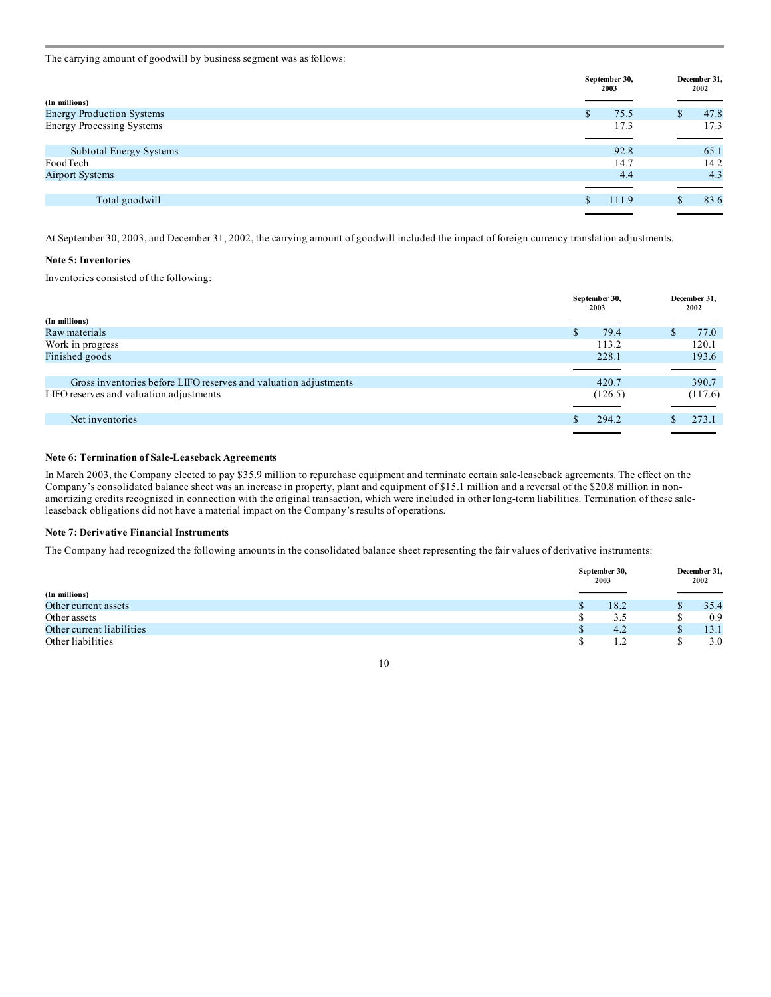The carrying amount of goodwill by business segment was as follows:

|                                  | September 30,<br>2003 | December 31,<br>2002 |
|----------------------------------|-----------------------|----------------------|
| (In millions)                    |                       |                      |
| <b>Energy Production Systems</b> | 75.5<br>$\mathbf{D}$  | 47.8<br>D.           |
| <b>Energy Processing Systems</b> | 17.3                  | 17.3                 |
| Subtotal Energy Systems          | 92.8                  | 65.1                 |
| FoodTech                         | 14.7                  | 14.2                 |
| <b>Airport Systems</b>           | 4.4                   | 4.3                  |
|                                  |                       |                      |
| Total goodwill                   | 111.9                 | 83.6                 |
|                                  |                       |                      |

At September 30, 2003, and December 31, 2002, the carrying amount of goodwill included the impact of foreign currency translation adjustments.

#### **Note 5: Inventories**

Inventories consisted of the following:

|                                                                  | September 30,<br>2003 | December 31,<br>2002 |
|------------------------------------------------------------------|-----------------------|----------------------|
| (In millions)                                                    |                       |                      |
| Raw materials                                                    | 79.4<br>S             | 77.0                 |
| Work in progress                                                 | 113.2                 | 120.1                |
| Finished goods                                                   | 228.1                 | 193.6                |
|                                                                  |                       |                      |
| Gross inventories before LIFO reserves and valuation adjustments | 420.7                 | 390.7                |
| LIFO reserves and valuation adjustments                          | (126.5)               | (117.6)              |
|                                                                  |                       |                      |
| Net inventories                                                  | 294.2                 | 273.1                |
|                                                                  |                       |                      |

# **Note 6: Termination of Sale-Leaseback Agreements**

In March 2003, the Company elected to pay \$35.9 million to repurchase equipment and terminate certain sale-leaseback agreements. The effect on the Company's consolidated balance sheet was an increase in property, plant and equipment of \$15.1 million and a reversal of the \$20.8 million in nonamortizing credits recognized in connection with the original transaction, which were included in other long-term liabilities. Termination of these saleleaseback obligations did not have a material impact on the Company's results of operations.

# **Note 7: Derivative Financial Instruments**

The Company had recognized the following amounts in the consolidated balance sheet representing the fair values of derivative instruments:

|                           |  | September 30,<br>2003 |  | December 31,<br>2002 |
|---------------------------|--|-----------------------|--|----------------------|
| (In millions)             |  |                       |  |                      |
| Other current assets      |  | 18.2                  |  | 35.4                 |
| Other assets              |  | 3.5                   |  | 0.9                  |
| Other current liabilities |  | 4.2                   |  | 13.1                 |
| Other liabilities         |  |                       |  | 3.0                  |

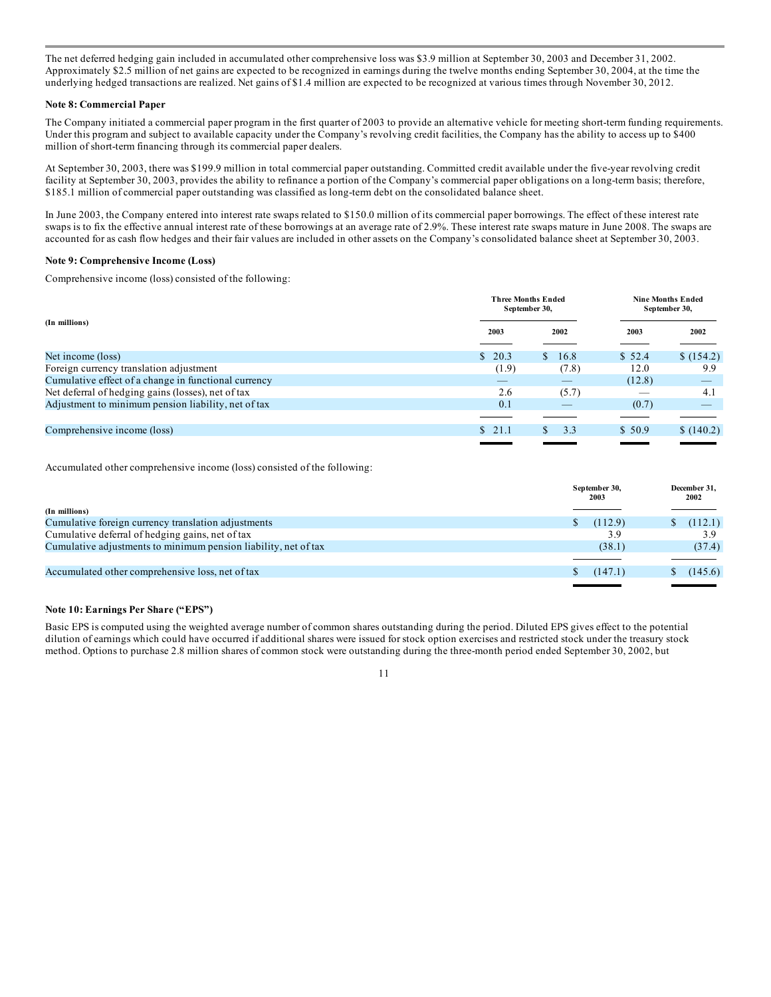The net deferred hedging gain included in accumulated other comprehensive loss was \$3.9 million at September 30, 2003 and December 31, 2002. Approximately \$2.5 million of net gains are expected to be recognized in earnings during the twelve months ending September 30, 2004, at the time the underlying hedged transactions are realized. Net gains of \$1.4 million are expected to be recognized at various times through November 30, 2012.

# **Note 8: Commercial Paper**

The Company initiated a commercial paper program in the first quarter of 2003 to provide an alternative vehicle for meeting short-term funding requirements. Under this program and subject to available capacity under the Company's revolving credit facilities, the Company has the ability to access up to \$400 million of short-term financing through its commercial paper dealers.

At September 30, 2003, there was \$199.9 million in total commercial paper outstanding. Committed credit available under the five-year revolving credit facility at September 30, 2003, provides the ability to refinance a portion of the Company's commercial paper obligations on a long-term basis; therefore, \$185.1 million of commercial paper outstanding was classified as long-term debt on the consolidated balance sheet.

In June 2003, the Company entered into interest rate swaps related to \$150.0 million of its commercial paper borrowings. The effect of these interest rate swaps is to fix the effective annual interest rate of these borrowings at an average rate of 2.9%. These interest rate swaps mature in June 2008. The swaps are accounted for as cash flow hedges and their fair values are included in other assets on the Company's consolidated balance sheet at September 30, 2003.

# **Note 9: Comprehensive Income (Loss)**

Comprehensive income (loss) consisted of the following:

|                                                      |        | <b>Three Months Ended</b><br>September 30, | <b>Nine Months Ended</b><br>September 30, |           |
|------------------------------------------------------|--------|--------------------------------------------|-------------------------------------------|-----------|
| (In millions)                                        | 2003   | 2002                                       | 2003                                      | 2002      |
| Net income (loss)                                    | \$20.3 | $\mathbb{S}$<br>16.8                       | \$52.4                                    | \$(154.2) |
| Foreign currency translation adjustment              | (1.9)  | (7.8)                                      | 12.0                                      | 9.9       |
| Cumulative effect of a change in functional currency |        | —                                          | (12.8)                                    |           |
| Net deferral of hedging gains (losses), net of tax   | 2.6    | (5.7)                                      | __                                        | 4.1       |
| Adjustment to minimum pension liability, net of tax  | 0.1    |                                            | (0.7)                                     |           |
|                                                      |        |                                            |                                           |           |
| Comprehensive income (loss)                          | \$21.1 | 3.3<br>S.                                  | \$50.9                                    | \$(140.2) |
|                                                      |        |                                            |                                           |           |

Accumulated other comprehensive income (loss) consisted of the following:

|                                                                 | September 30,<br>2003 | December 31,<br>2002 |
|-----------------------------------------------------------------|-----------------------|----------------------|
| (In millions)                                                   |                       |                      |
| Cumulative foreign currency translation adjustments             | (112.9)               | (112.1)              |
| Cumulative deferral of hedging gains, net of tax                | 3.9                   | 3.9                  |
| Cumulative adjustments to minimum pension liability, net of tax | (38.1)                | (37.4)               |
|                                                                 |                       |                      |
| Accumulated other comprehensive loss, net of tax                | (147.1)               | (145.6)              |
|                                                                 |                       |                      |

# **Note 10: Earnings Per Share ("EPS")**

Basic EPS is computed using the weighted average number of common shares outstanding during the period. Diluted EPS gives effect to the potential dilution of earnings which could have occurred if additional shares were issued for stock option exercises and restricted stock under the treasury stock method. Options to purchase 2.8 million shares of common stock were outstanding during the three-month period ended September 30, 2002, but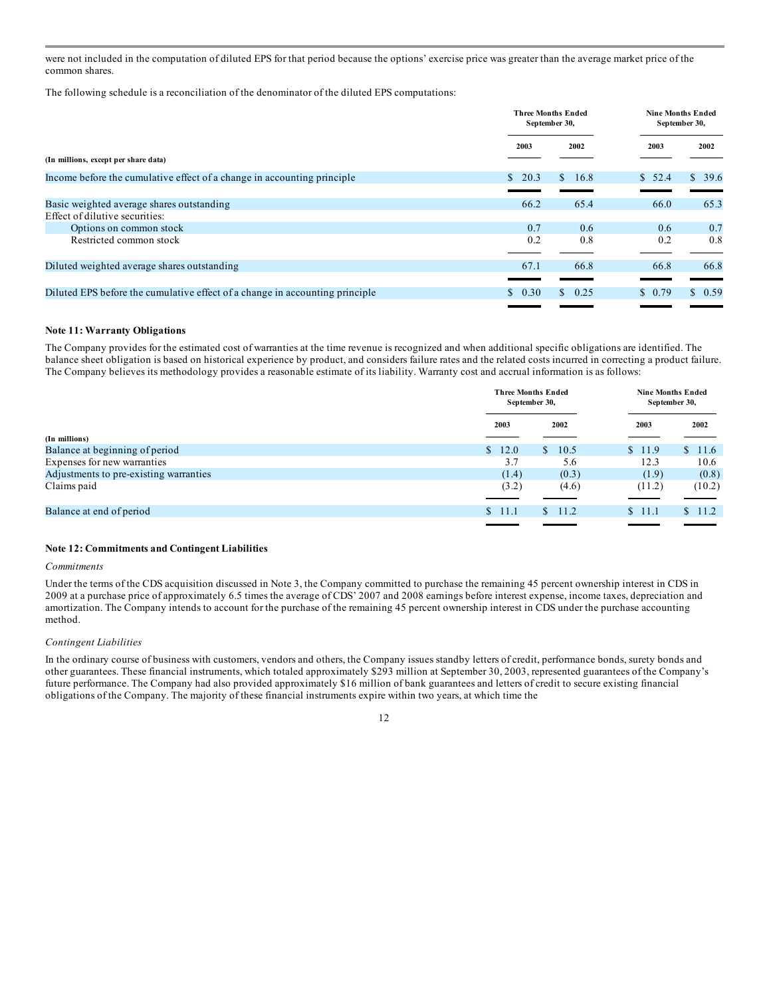were not included in the computation of diluted EPS for that period because the options' exercise price was greater than the average market price of the common shares.

The following schedule is a reconciliation of the denominator of the diluted EPS computations:

|                                                                              |            | <b>Three Months Ended</b><br><b>Nine Months Ended</b><br>September 30,<br>September 30, |        |        |
|------------------------------------------------------------------------------|------------|-----------------------------------------------------------------------------------------|--------|--------|
|                                                                              | 2003       | 2002                                                                                    | 2003   | 2002   |
| (In millions, except per share data)                                         |            |                                                                                         |        |        |
| Income before the cumulative effect of a change in accounting principle      | 20.3<br>S. | 16.8<br>S.                                                                              | \$52.4 | \$39.6 |
|                                                                              |            |                                                                                         |        |        |
| Basic weighted average shares outstanding                                    | 66.2       | 65.4                                                                                    | 66.0   | 65.3   |
| Effect of dilutive securities:                                               |            |                                                                                         |        |        |
| Options on common stock                                                      | 0.7        | 0.6                                                                                     | 0.6    | 0.7    |
| Restricted common stock                                                      | 0.2        | 0.8                                                                                     | 0.2    | 0.8    |
|                                                                              |            |                                                                                         |        |        |
| Diluted weighted average shares outstanding                                  | 67.1       | 66.8                                                                                    | 66.8   | 66.8   |
|                                                                              |            |                                                                                         |        |        |
| Diluted EPS before the cumulative effect of a change in accounting principle | 0.30<br>S. | 0.25<br>S.                                                                              | \$0.79 | \$0.59 |
|                                                                              |            |                                                                                         |        |        |

# **Note 11: Warranty Obligations**

The Company provides for the estimated cost of warranties at the time revenue is recognized and when additional specific obligations are identified. The balance sheet obligation is based on historical experience by product, and considers failure rates and the related costs incurred in correcting a product failure. The Company believes its methodology provides a reasonable estimate of its liability. Warranty cost and accrual information is as follows:

|                                        |            | <b>Three Months Ended</b><br>September 30, |        | <b>Nine Months Ended</b><br>September 30, |  |
|----------------------------------------|------------|--------------------------------------------|--------|-------------------------------------------|--|
|                                        | 2003       | 2002                                       | 2003   | 2002                                      |  |
| (In millions)                          |            |                                            |        |                                           |  |
| Balance at beginning of period         | 12.0<br>S. | 10.5<br>S.                                 | \$11.9 | \$11.6                                    |  |
| Expenses for new warranties            | 3.7        | 5.6                                        | 12.3   | 10.6                                      |  |
| Adjustments to pre-existing warranties | (1.4)      | (0.3)                                      | (1.9)  | (0.8)                                     |  |
| Claims paid                            | (3.2)      | (4.6)                                      | (11.2) | (10.2)                                    |  |
|                                        |            |                                            |        |                                           |  |
| Balance at end of period               | 11.1<br>S. | \$11.2                                     | \$11.1 | \$11.2                                    |  |
|                                        |            |                                            |        |                                           |  |

# **Note 12: Commitments and Contingent Liabilities**

#### *Commitments*

Under the terms of the CDS acquisition discussed in Note 3, the Company committed to purchase the remaining 45 percent ownership interest in CDS in 2009 at a purchase price of approximately 6.5 times the average of CDS' 2007 and 2008 earnings before interest expense, income taxes, depreciation and amortization. The Company intends to account for the purchase of the remaining 45 percent ownership interest in CDS under the purchase accounting method.

#### *Contingent Liabilities*

In the ordinary course of business with customers, vendors and others, the Company issues standby letters of credit, performance bonds, surety bonds and other guarantees. These financial instruments, which totaled approximately \$293 million at September 30, 2003, represented guarantees of the Company's future performance. The Company had also provided approximately \$16 million of bank guarantees and letters of credit to secure existing financial obligations of the Company. The majority of these financial instruments expire within two years, at which time the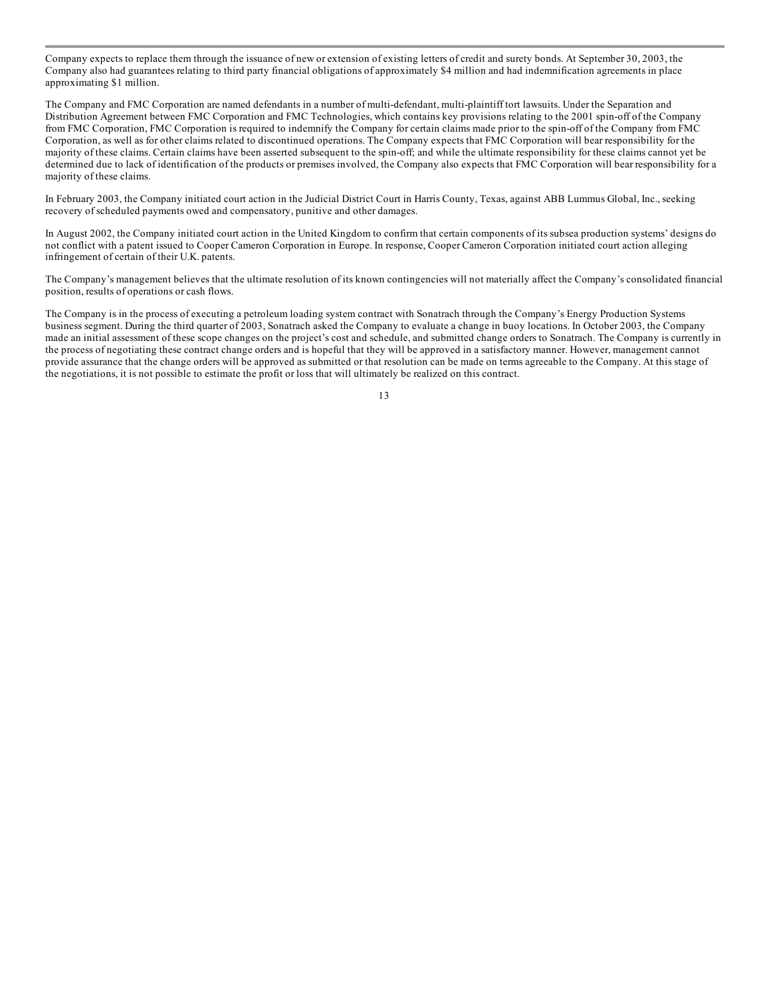Company expects to replace them through the issuance of new or extension of existing letters of credit and surety bonds. At September 30, 2003, the Company also had guarantees relating to third party financial obligations of approximately \$4 million and had indemnification agreements in place approximating \$1 million.

The Company and FMC Corporation are named defendants in a number of multi-defendant, multi-plaintiff tort lawsuits. Under the Separation and Distribution Agreement between FMC Corporation and FMC Technologies, which contains key provisions relating to the 2001 spin-off of the Company from FMC Corporation, FMC Corporation is required to indemnify the Company for certain claims made prior to the spin-off of the Company from FMC Corporation, as well as for other claims related to discontinued operations. The Company expects that FMC Corporation will bear responsibility for the majority of these claims. Certain claims have been asserted subsequent to the spin-off; and while the ultimate responsibility for these claims cannot yet be determined due to lack of identification of the products or premises involved, the Company also expects that FMC Corporation will bear responsibility for a majority of these claims.

In February 2003, the Company initiated court action in the Judicial District Court in Harris County, Texas, against ABB Lummus Global, Inc., seeking recovery of scheduled payments owed and compensatory, punitive and other damages.

In August 2002, the Company initiated court action in the United Kingdom to confirm that certain components of its subsea production systems' designs do not conflict with a patent issued to Cooper Cameron Corporation in Europe. In response, Cooper Cameron Corporation initiated court action alleging infringement of certain of their U.K. patents.

The Company's management believes that the ultimate resolution of its known contingencies will not materially affect the Company's consolidated financial position, results of operations or cash flows.

The Company is in the process of executing a petroleum loading system contract with Sonatrach through the Company's Energy Production Systems business segment. During the third quarter of 2003, Sonatrach asked the Company to evaluate a change in buoy locations. In October 2003, the Company made an initial assessment of these scope changes on the project's cost and schedule, and submitted change orders to Sonatrach. The Company is currently in the process of negotiating these contract change orders and is hopeful that they will be approved in a satisfactory manner. However, management cannot provide assurance that the change orders will be approved as submitted or that resolution can be made on terms agreeable to the Company. At this stage of the negotiations, it is not possible to estimate the profit or loss that will ultimately be realized on this contract.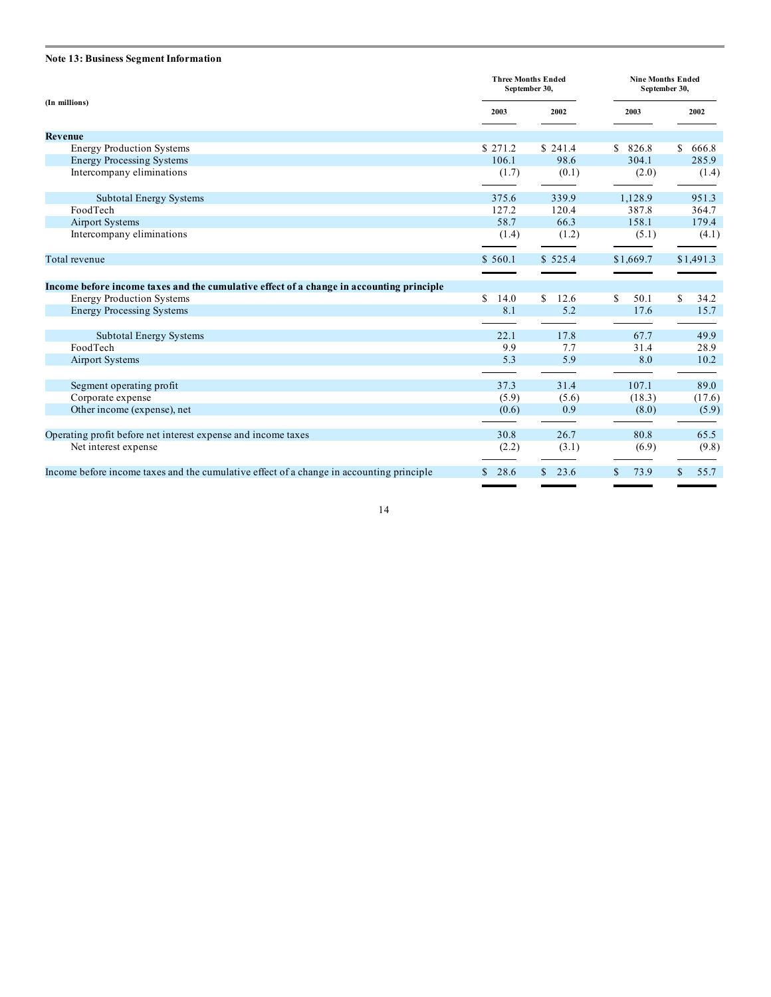# **Note 13: Business Segment Information**

|                                                                                          | <b>Three Months Ended</b><br>September 30, |             | <b>Nine Months Ended</b><br>September 30, |             |
|------------------------------------------------------------------------------------------|--------------------------------------------|-------------|-------------------------------------------|-------------|
| (In millions)                                                                            | 2003                                       | 2002        | 2003                                      | 2002        |
| Revenue                                                                                  |                                            |             |                                           |             |
| <b>Energy Production Systems</b>                                                         | \$271.2                                    | \$241.4     | 826.8<br>S.                               | \$<br>666.8 |
| <b>Energy Processing Systems</b>                                                         | 106.1                                      | 98.6        | 304.1                                     | 285.9       |
| Intercompany eliminations                                                                | (1.7)                                      | (0.1)       | (2.0)                                     | (1.4)       |
| <b>Subtotal Energy Systems</b>                                                           | 375.6                                      | 339.9       | 1,128.9                                   | 951.3       |
| FoodTech                                                                                 | 127.2                                      | 120.4       | 387.8                                     | 364.7       |
| <b>Airport Systems</b>                                                                   | 58.7                                       | 66.3        | 158.1                                     | 179.4       |
| Intercompany eliminations                                                                | (1.4)                                      | (1.2)       | (5.1)                                     | (4.1)       |
| Total revenue                                                                            | \$560.1                                    | \$525.4     | \$1,669.7                                 | \$1,491.3   |
|                                                                                          |                                            |             |                                           |             |
| Income before income taxes and the cumulative effect of a change in accounting principle |                                            |             |                                           |             |
| <b>Energy Production Systems</b>                                                         | \$.<br>14.0                                | \$<br>12.6  | \$<br>50.1                                | 34.2<br>\$  |
| <b>Energy Processing Systems</b>                                                         | 8.1                                        | 5.2         | 17.6                                      | 15.7        |
|                                                                                          |                                            |             |                                           |             |
| <b>Subtotal Energy Systems</b>                                                           | 22.1                                       | 17.8        | 67.7                                      | 49.9        |
| FoodTech                                                                                 | 9.9                                        | 7.7         | 31.4                                      | 28.9        |
| <b>Airport Systems</b>                                                                   | 5.3                                        | 5.9         | 8.0                                       | 10.2        |
|                                                                                          |                                            |             |                                           |             |
| Segment operating profit                                                                 | 37.3                                       | 31.4        | 107.1                                     | 89.0        |
| Corporate expense                                                                        | (5.9)                                      | (5.6)       | (18.3)                                    | (17.6)      |
| Other income (expense), net                                                              | (0.6)                                      | 0.9         | (8.0)                                     | (5.9)       |
|                                                                                          |                                            |             |                                           |             |
| Operating profit before net interest expense and income taxes                            | 30.8                                       | 26.7        | 80.8                                      | 65.5        |
| Net interest expense                                                                     | (2.2)                                      | (3.1)       | (6.9)                                     | (9.8)       |
| Income before income taxes and the cumulative effect of a change in accounting principle | 28.6<br>\$.                                | 23.6<br>\$. | 73.9<br>\$                                | 55.7<br>\$  |
|                                                                                          |                                            |             |                                           |             |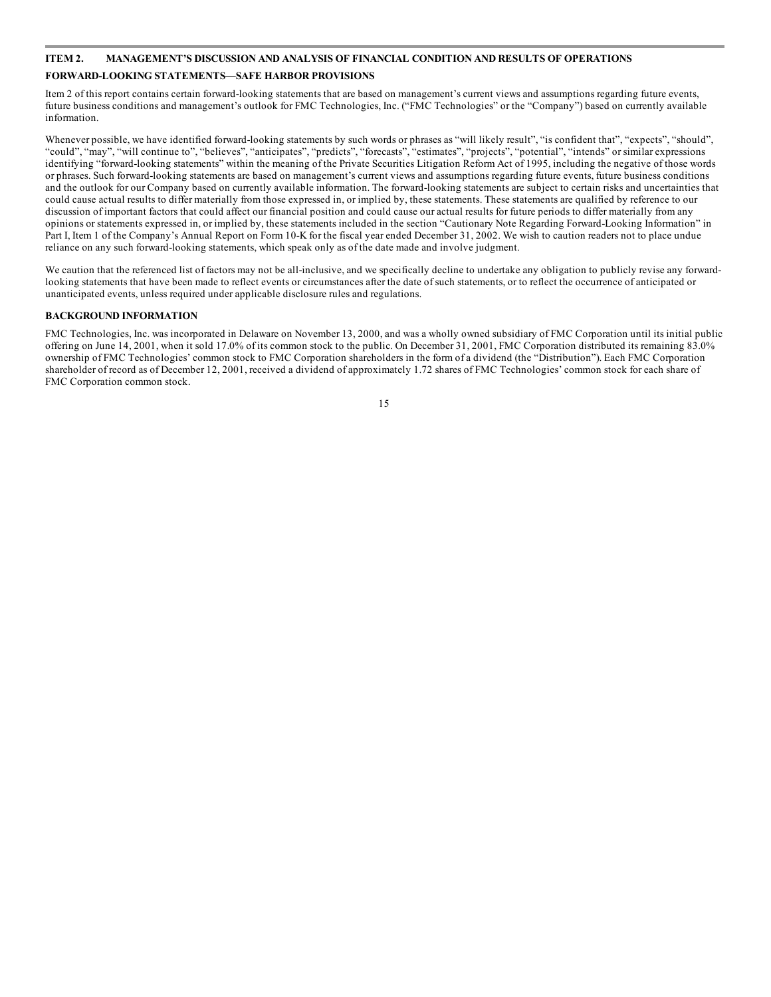# **ITEM 2. MANAGEMENT'S DISCUSSION AND ANALYSIS OF FINANCIAL CONDITION AND RESULTS OF OPERATIONS**

# **FORWARD-LOOKING STATEMENTS—SAFE HARBOR PROVISIONS**

Item 2 of this report contains certain forward-looking statements that are based on management's current views and assumptions regarding future events, future business conditions and management's outlook for FMC Technologies, Inc. ("FMC Technologies" or the "Company") based on currently available information.

Whenever possible, we have identified forward-looking statements by such words or phrases as "will likely result", "is confident that", "expects", "should", "could", "may", "will continue to", "believes", "anticipates", "predicts", "forecasts", "estimates", "projects", "potential", "intends" or similar expressions identifying "forward-looking statements" within the meaning of the Private Securities Litigation Reform Act of 1995, including the negative of those words or phrases. Such forward-looking statements are based on management's current views and assumptions regarding future events, future business conditions and the outlook for our Company based on currently available information. The forward-looking statements are subject to certain risks and uncertainties that could cause actual results to differ materially from those expressed in, or implied by, these statements. These statements are qualified by reference to our discussion of important factors that could affect our financial position and could cause our actual results for future periods to differ materially from any opinions or statements expressed in, or implied by, these statements included in the section "Cautionary Note Regarding Forward-Looking Information" in Part I, Item 1 of the Company's Annual Report on Form 10-K for the fiscal year ended December 31, 2002. We wish to caution readers not to place undue reliance on any such forward-looking statements, which speak only as of the date made and involve judgment.

We caution that the referenced list of factors may not be all-inclusive, and we specifically decline to undertake any obligation to publicly revise any forwardlooking statements that have been made to reflect events or circumstances after the date of such statements, or to reflect the occurrence of anticipated or unanticipated events, unless required under applicable disclosure rules and regulations.

### **BACKGROUND INFORMATION**

FMC Technologies, Inc. was incorporated in Delaware on November 13, 2000, and was a wholly owned subsidiary of FMC Corporation until its initial public offering on June 14, 2001, when it sold 17.0% of its common stock to the public. On December 31, 2001, FMC Corporation distributed its remaining 83.0% ownership of FMC Technologies' common stock to FMC Corporation shareholders in the form of a dividend (the "Distribution"). Each FMC Corporation shareholder of record as of December 12, 2001, received a dividend of approximately 1.72 shares of FMC Technologies' common stock for each share of FMC Corporation common stock.

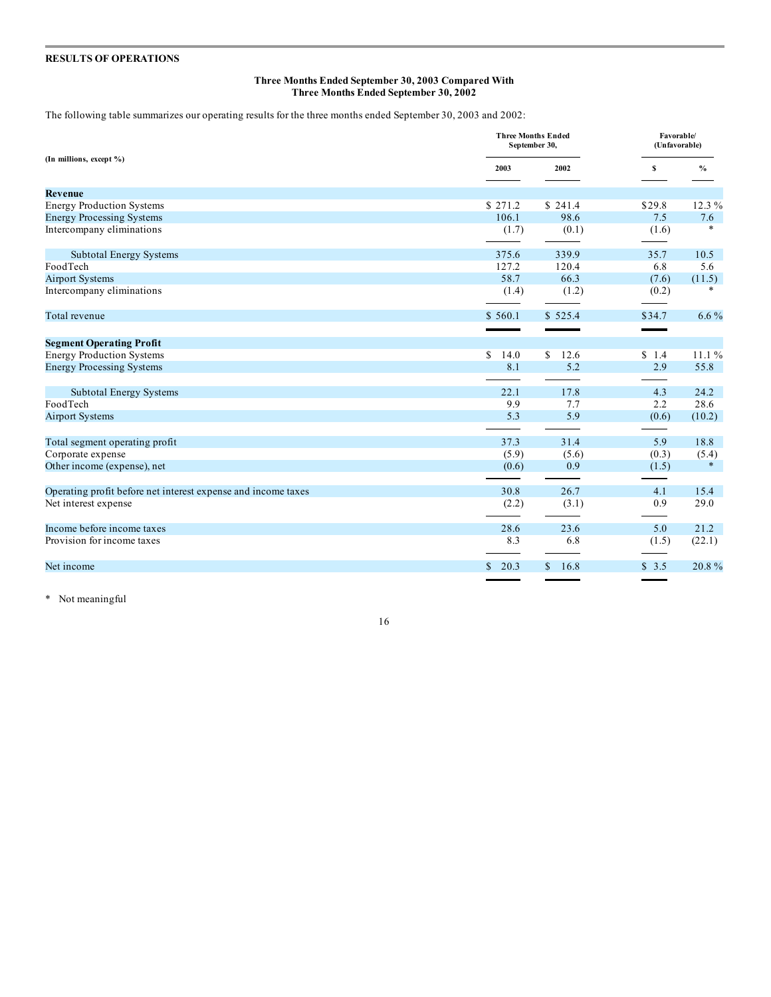# **RESULTS OF OPERATIONS**

# **Three Months Ended September 30, 2003 Compared With Three Months Ended September 30, 2002**

The following table summarizes our operating results for the three months ended September 30, 2003 and 2002:

| <b>Three Months Ended</b><br>September 30,                    |                      |                       | Favorable/<br>(Unfavorable) |               |
|---------------------------------------------------------------|----------------------|-----------------------|-----------------------------|---------------|
| (In millions, except %)                                       | 2003                 | 2002                  | s                           | $\frac{0}{0}$ |
| Revenue                                                       |                      |                       |                             |               |
| <b>Energy Production Systems</b>                              | \$271.2              | \$241.4               | \$29.8                      | $12.3\%$      |
| <b>Energy Processing Systems</b>                              | 106.1                | 98.6                  | 7.5                         | 7.6           |
| Intercompany eliminations                                     | (1.7)                | (0.1)                 | (1.6)                       | $\ast$        |
| Subtotal Energy Systems                                       | 375.6                | 339.9                 | 35.7                        | 10.5          |
| FoodTech                                                      | 127.2                | 120.4                 | 6.8                         | 5.6           |
| <b>Airport Systems</b>                                        | 58.7                 | 66.3                  | (7.6)                       | (11.5)        |
| Intercompany eliminations                                     | (1.4)                | (1.2)                 | (0.2)                       | $\ast$        |
| Total revenue                                                 | \$560.1              | \$525.4               | \$34.7                      | $6.6\%$       |
| <b>Segment Operating Profit</b>                               |                      |                       |                             |               |
| <b>Energy Production Systems</b>                              | S<br>14.0            | 12.6<br>\$            | \$1.4                       | 11.1%         |
| <b>Energy Processing Systems</b>                              | 8.1                  | 5.2                   | 2.9                         | 55.8          |
|                                                               |                      |                       |                             |               |
| <b>Subtotal Energy Systems</b>                                | 22.1                 | 17.8                  | 4.3                         | 24.2          |
| FoodTech                                                      | 9.9                  | 7.7                   | 2.2                         | 28.6          |
| <b>Airport Systems</b>                                        | 5.3                  | 5.9                   | (0.6)                       | (10.2)        |
| Total segment operating profit                                | 37.3                 | 31.4                  | 5.9                         | 18.8          |
| Corporate expense                                             | (5.9)                | (5.6)                 | (0.3)                       | (5.4)         |
| Other income (expense), net                                   | (0.6)                | 0.9                   | (1.5)                       | $\ast$        |
|                                                               |                      |                       |                             |               |
| Operating profit before net interest expense and income taxes | 30.8                 | 26.7                  | 4.1                         | 15.4          |
| Net interest expense                                          | (2.2)                | (3.1)                 | 0.9                         | 29.0          |
| Income before income taxes                                    | 28.6                 | 23.6                  | 5.0                         | 21.2          |
| Provision for income taxes                                    | 8.3                  | 6.8                   | (1.5)                       | (22.1)        |
| Net income                                                    | $\mathbb{S}$<br>20.3 | $\mathcal{S}$<br>16.8 | \$3.5                       | 20.8%         |

\* Not meaningful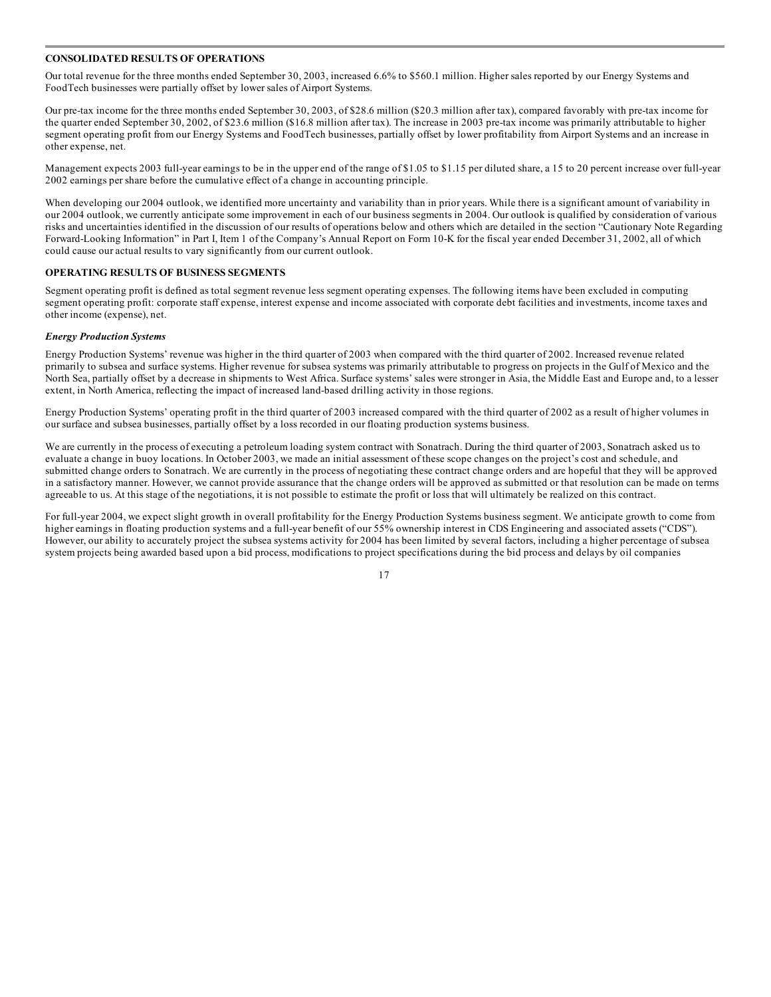# **CONSOLIDATED RESULTS OF OPERATIONS**

Our total revenue for the three months ended September 30, 2003, increased 6.6% to \$560.1 million. Higher sales reported by our Energy Systems and FoodTech businesses were partially offset by lower sales of Airport Systems.

Our pre-tax income for the three months ended September 30, 2003, of \$28.6 million (\$20.3 million after tax), compared favorably with pre-tax income for the quarter ended September 30, 2002, of \$23.6 million (\$16.8 million after tax). The increase in 2003 pre-tax income was primarily attributable to higher segment operating profit from our Energy Systems and FoodTech businesses, partially offset by lower profitability from Airport Systems and an increase in other expense, net.

Management expects 2003 full-year earnings to be in the upper end of the range of \$1.05 to \$1.15 per diluted share, a 15 to 20 percent increase over full-year 2002 earnings per share before the cumulative effect of a change in accounting principle.

When developing our 2004 outlook, we identified more uncertainty and variability than in prior years. While there is a significant amount of variability in our 2004 outlook, we currently anticipate some improvement in each of our business segments in 2004. Our outlook is qualified by consideration of various risks and uncertainties identified in the discussion of our results of operations below and others which are detailed in the section "Cautionary Note Regarding Forward-Looking Information" in Part I, Item 1 of the Company's Annual Report on Form 10-K for the fiscal year ended December 31, 2002, all of which could cause our actual results to vary significantly from our current outlook.

# **OPERATING RESULTS OF BUSINESS SEGMENTS**

Segment operating profit is defined as total segment revenue less segment operating expenses. The following items have been excluded in computing segment operating profit: corporate staff expense, interest expense and income associated with corporate debt facilities and investments, income taxes and other income (expense), net.

### *Energy Production Systems*

Energy Production Systems' revenue was higher in the third quarter of 2003 when compared with the third quarter of 2002. Increased revenue related primarily to subsea and surface systems. Higher revenue for subsea systems was primarily attributable to progress on projects in the Gulf of Mexico and the North Sea, partially offset by a decrease in shipments to West Africa. Surface systems' sales were stronger in Asia, the Middle East and Europe and, to a lesser extent, in North America, reflecting the impact of increased land-based drilling activity in those regions.

Energy Production Systems' operating profit in the third quarter of 2003 increased compared with the third quarter of 2002 as a result of higher volumes in our surface and subsea businesses, partially offset by a loss recorded in our floating production systems business.

We are currently in the process of executing a petroleum loading system contract with Sonatrach. During the third quarter of 2003, Sonatrach asked us to evaluate a change in buoy locations. In October 2003, we made an initial assessment of these scope changes on the project's cost and schedule, and submitted change orders to Sonatrach. We are currently in the process of negotiating these contract change orders and are hopeful that they will be approved in a satisfactory manner. However, we cannot provide assurance that the change orders will be approved as submitted or that resolution can be made on terms agreeable to us. At this stage of the negotiations, it is not possible to estimate the profit or loss that will ultimately be realized on this contract.

For full-year 2004, we expect slight growth in overall profitability for the Energy Production Systems business segment. We anticipate growth to come from higher earnings in floating production systems and a full-year benefit of our 55% ownership interest in CDS Engineering and associated assets ("CDS"). However, our ability to accurately project the subsea systems activity for 2004 has been limited by several factors, including a higher percentage of subsea system projects being awarded based upon a bid process, modifications to project specifications during the bid process and delays by oil companies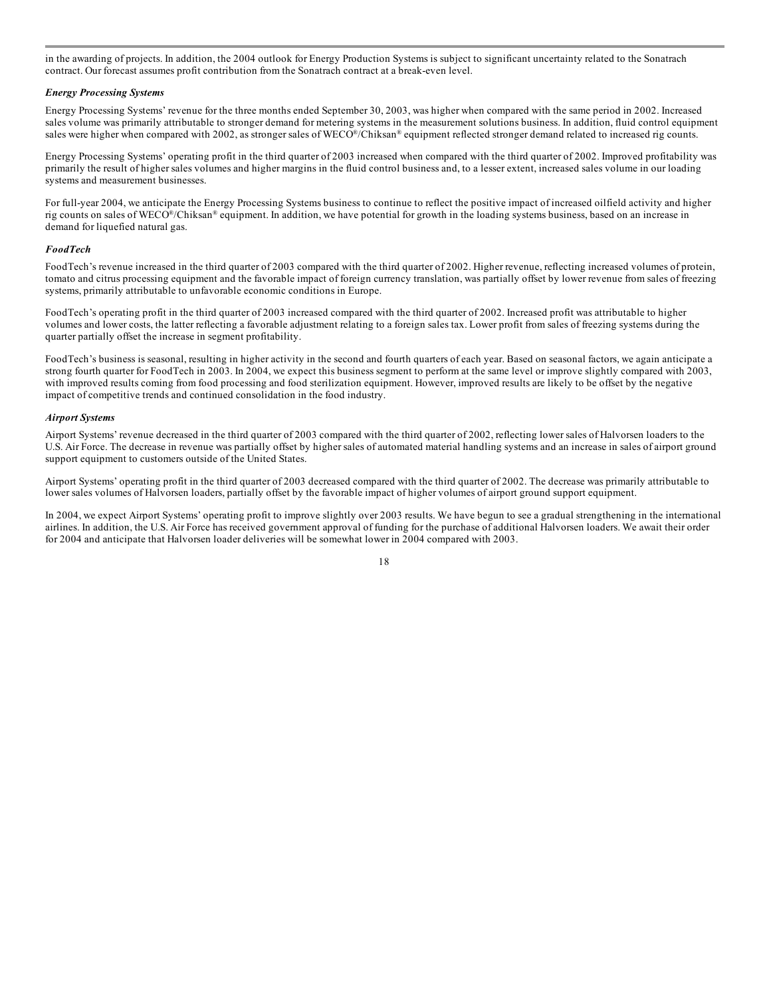in the awarding of projects. In addition, the 2004 outlook for Energy Production Systems is subject to significant uncertainty related to the Sonatrach contract. Our forecast assumes profit contribution from the Sonatrach contract at a break-even level.

# *Energy Processing Systems*

Energy Processing Systems' revenue for the three months ended September 30, 2003, was higher when compared with the same period in 2002. Increased sales volume was primarily attributable to stronger demand for metering systems in the measurement solutions business. In addition, fluid control equipment sales were higher when compared with 2002, as stronger sales of WECO®/Chiksan® equipment reflected stronger demand related to increased rig counts.

Energy Processing Systems' operating profit in the third quarter of 2003 increased when compared with the third quarter of 2002. Improved profitability was primarily the result of higher sales volumes and higher margins in the fluid control business and, to a lesser extent, increased sales volume in our loading systems and measurement businesses.

For full-year 2004, we anticipate the Energy Processing Systems business to continue to reflect the positive impact of increased oilfield activity and higher rig counts on sales of WECO®/Chiksan ® equipment. In addition, we have potential for growth in the loading systems business, based on an increase in demand for liquefied natural gas.

# *FoodTech*

FoodTech's revenue increased in the third quarter of 2003 compared with the third quarter of 2002. Higher revenue, reflecting increased volumes of protein, tomato and citrus processing equipment and the favorable impact of foreign currency translation, was partially offset by lower revenue from sales of freezing systems, primarily attributable to unfavorable economic conditions in Europe.

FoodTech's operating profit in the third quarter of 2003 increased compared with the third quarter of 2002. Increased profit was attributable to higher volumes and lower costs, the latter reflecting a favorable adjustment relating to a foreign sales tax. Lower profit from sales of freezing systems during the quarter partially offset the increase in segment profitability.

FoodTech's business is seasonal, resulting in higher activity in the second and fourth quarters of each year. Based on seasonal factors, we again anticipate a strong fourth quarter for FoodTech in 2003. In 2004, we expect this business segment to perform at the same level or improve slightly compared with 2003, with improved results coming from food processing and food sterilization equipment. However, improved results are likely to be offset by the negative impact of competitive trends and continued consolidation in the food industry.

# *Airport Systems*

Airport Systems' revenue decreased in the third quarter of 2003 compared with the third quarter of 2002, reflecting lower sales of Halvorsen loaders to the U.S. Air Force. The decrease in revenue was partially offset by higher sales of automated material handling systems and an increase in sales of airport ground support equipment to customers outside of the United States.

Airport Systems' operating profit in the third quarter of 2003 decreased compared with the third quarter of 2002. The decrease was primarily attributable to lower sales volumes of Halvorsen loaders, partially offset by the favorable impact of higher volumes of airport ground support equipment.

In 2004, we expect Airport Systems' operating profit to improve slightly over 2003 results. We have begun to see a gradual strengthening in the international airlines. In addition, the U.S. Air Force has received government approval of funding for the purchase of additional Halvorsen loaders. We await their order for 2004 and anticipate that Halvorsen loader deliveries will be somewhat lower in 2004 compared with 2003.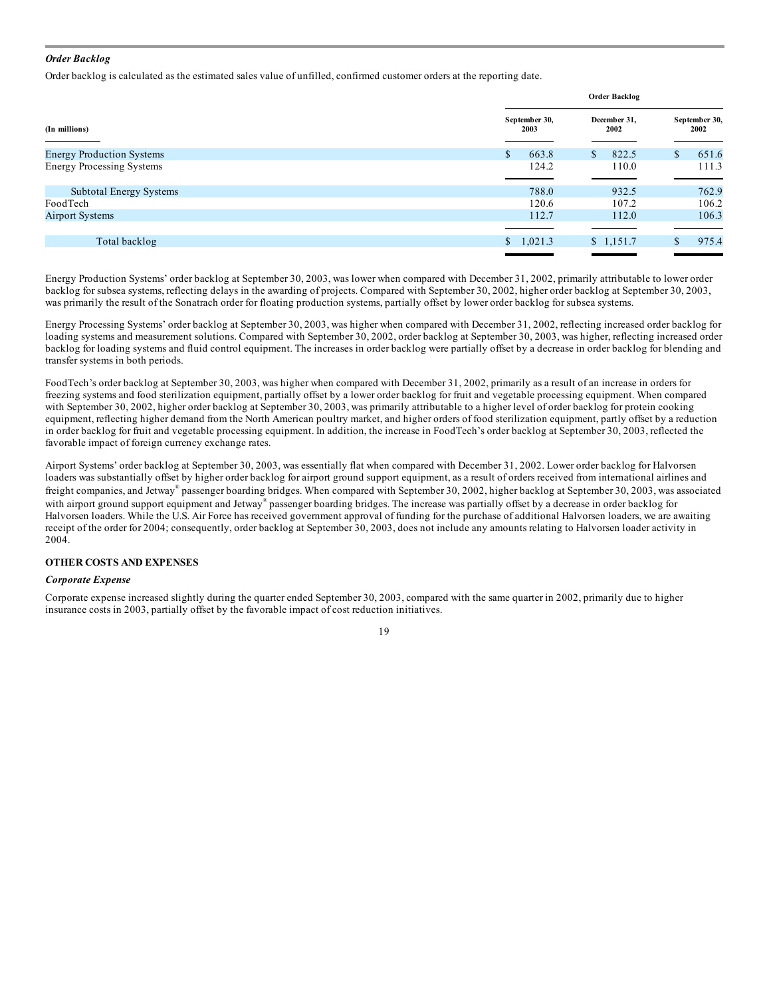# *Order Backlog*

Order backlog is calculated as the estimated sales value of unfilled, confirmed customer orders at the reporting date.

|                                  |                         | <b>Order Backlog</b> |                       |  |  |  |  |
|----------------------------------|-------------------------|----------------------|-----------------------|--|--|--|--|
| (In millions)                    | September 30,<br>2003   | December 31,<br>2002 | September 30,<br>2002 |  |  |  |  |
| <b>Energy Production Systems</b> | 663.8<br>\$.            | 822.5<br>\$          | 651.6<br>S            |  |  |  |  |
| <b>Energy Processing Systems</b> | 124.2                   | 110.0                | 111.3                 |  |  |  |  |
| <b>Subtotal Energy Systems</b>   | 788.0                   | 932.5                | 762.9                 |  |  |  |  |
| FoodTech                         | 120.6                   | 107.2                | 106.2                 |  |  |  |  |
| <b>Airport Systems</b>           | 112.7                   | 112.0                | 106.3                 |  |  |  |  |
|                                  |                         |                      |                       |  |  |  |  |
| Total backlog                    | 1,021.3<br>$\mathbb{S}$ | \$1,151.7            | 975.4<br>S            |  |  |  |  |
|                                  |                         |                      |                       |  |  |  |  |

Energy Production Systems' order backlog at September 30, 2003, was lower when compared with December 31, 2002, primarily attributable to lower order backlog for subsea systems, reflecting delays in the awarding of projects. Compared with September 30, 2002, higher order backlog at September 30, 2003, was primarily the result of the Sonatrach order for floating production systems, partially offset by lower order backlog for subsea systems.

Energy Processing Systems' order backlog at September 30, 2003, was higher when compared with December 31, 2002, reflecting increased order backlog for loading systems and measurement solutions. Compared with September 30, 2002, order backlog at September 30, 2003, was higher, reflecting increased order backlog for loading systems and fluid control equipment. The increases in order backlog were partially offset by a decrease in order backlog for blending and transfer systems in both periods.

FoodTech's order backlog at September 30, 2003, was higher when compared with December 31, 2002, primarily as a result of an increase in orders for freezing systems and food sterilization equipment, partially offset by a lower order backlog for fruit and vegetable processing equipment. When compared with September 30, 2002, higher order backlog at September 30, 2003, was primarily attributable to a higher level of order backlog for protein cooking equipment, reflecting higher demand from the North American poultry market, and higher orders of food sterilization equipment, partly offset by a reduction in order backlog for fruit and vegetable processing equipment. In addition, the increase in FoodTech's order backlog at September 30, 2003, reflected the favorable impact of foreign currency exchange rates.

Airport Systems' order backlog at September 30, 2003, was essentially flat when compared with December 31, 2002. Lower order backlog for Halvorsen loaders was substantially offset by higher order backlog for airport ground support equipment, as a result of orders received from international airlines and freight companies, and Jetway® passenger boarding bridges. When compared with September 30, 2002, higher backlog at September 30, 2003, was associated with airport ground support equipment and Jetway® passenger boarding bridges. The increase was partially offset by a decrease in order backlog for Halvorsen loaders. While the U.S. Air Force has received government approval of funding for the purchase of additional Halvorsen loaders, we are awaiting receipt of the order for 2004; consequently, order backlog at September 30, 2003, does not include any amounts relating to Halvorsen loader activity in 2004.

# **OTHER COSTS AND EXPENSES**

### *Corporate Expense*

Corporate expense increased slightly during the quarter ended September 30, 2003, compared with the same quarter in 2002, primarily due to higher insurance costs in 2003, partially offset by the favorable impact of cost reduction initiatives.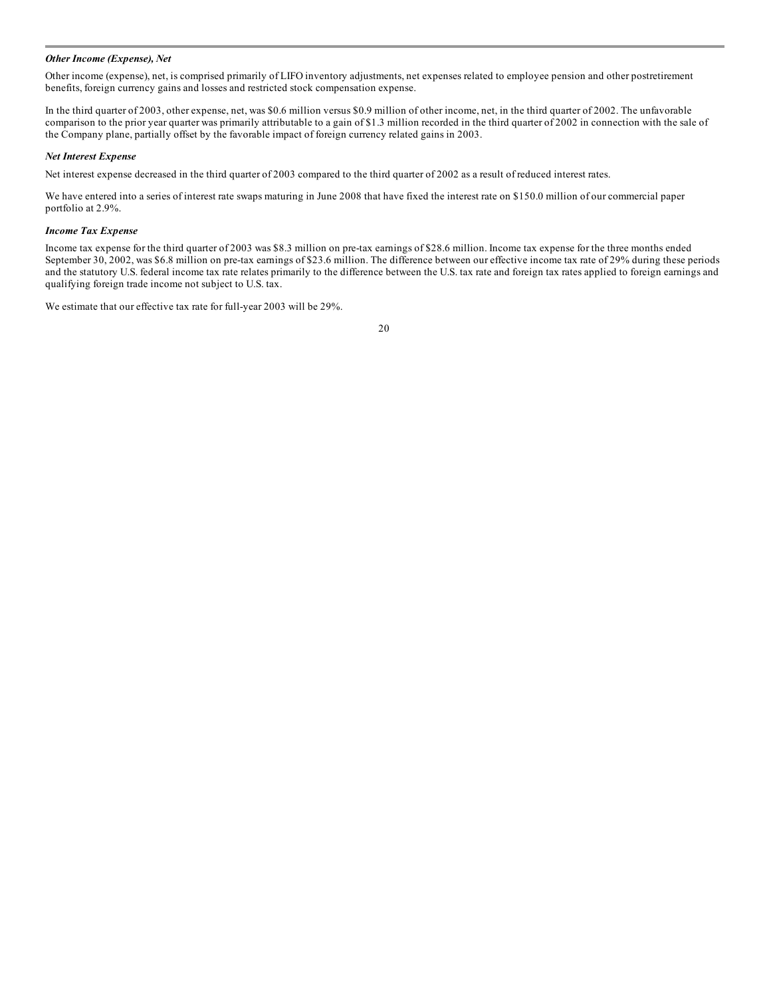# *Other Income (Expense), Net*

Other income (expense), net, is comprised primarily of LIFO inventory adjustments, net expenses related to employee pension and other postretirement benefits, foreign currency gains and losses and restricted stock compensation expense.

In the third quarter of 2003, other expense, net, was \$0.6 million versus \$0.9 million of other income, net, in the third quarter of 2002. The unfavorable comparison to the prior year quarter was primarily attributable to a gain of \$1.3 million recorded in the third quarter of 2002 in connection with the sale of the Company plane, partially offset by the favorable impact of foreign currency related gains in 2003.

# *Net Interest Expense*

Net interest expense decreased in the third quarter of 2003 compared to the third quarter of 2002 as a result of reduced interest rates.

We have entered into a series of interest rate swaps maturing in June 2008 that have fixed the interest rate on \$150.0 million of our commercial paper portfolio at 2.9%.

# *Income Tax Expense*

Income tax expense for the third quarter of 2003 was \$8.3 million on pre-tax earnings of \$28.6 million. Income tax expense for the three months ended September 30, 2002, was \$6.8 million on pre-tax earnings of \$23.6 million. The difference between our effective income tax rate of 29% during these periods and the statutory U.S. federal income tax rate relates primarily to the difference between the U.S. tax rate and foreign tax rates applied to foreign earnings and qualifying foreign trade income not subject to U.S. tax.

We estimate that our effective tax rate for full-year 2003 will be 29%.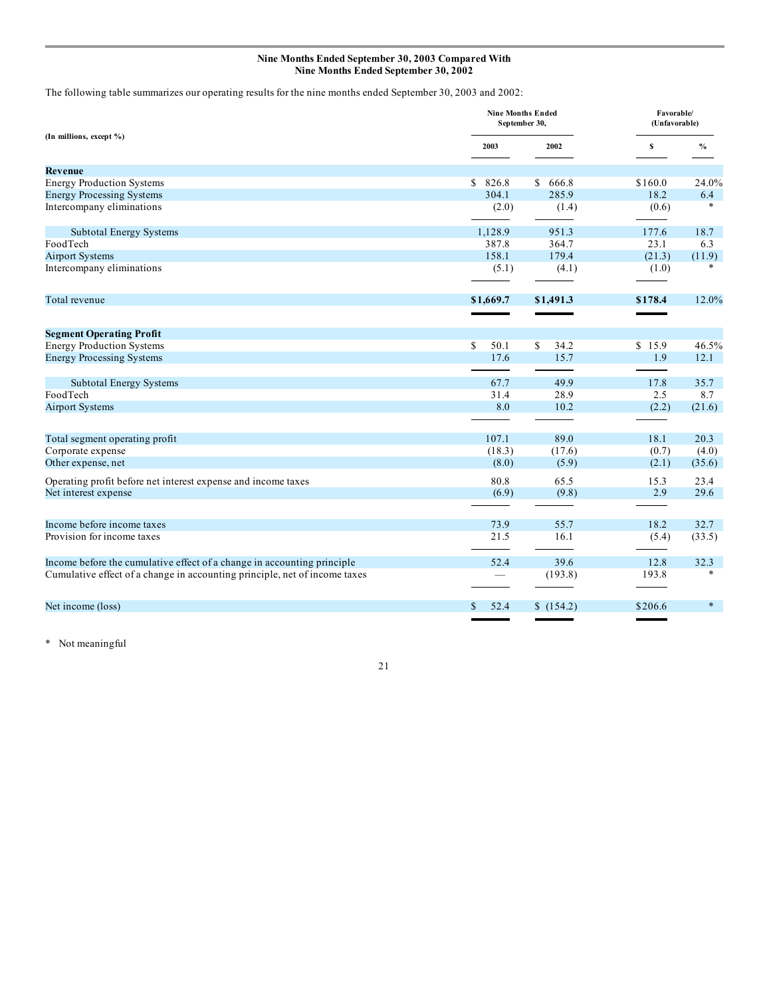# **Nine Months Ended September 30, 2003 Compared With Nine Months Ended September 30, 2002**

The following table summarizes our operating results for the nine months ended September 30, 2003 and 2002:

|                                                                            |                                 | <b>Nine Months Ended</b><br>September 30, |         | Favorable/<br>(Unfavorable) |  |
|----------------------------------------------------------------------------|---------------------------------|-------------------------------------------|---------|-----------------------------|--|
| (In millions, except %)                                                    | 2003                            | 2002                                      | S       | $\%$                        |  |
| Revenue                                                                    |                                 |                                           |         |                             |  |
| <b>Energy Production Systems</b>                                           | \$826.8                         | \$666.8                                   | \$160.0 | 24.0%                       |  |
| <b>Energy Processing Systems</b>                                           | 304.1                           | 285.9                                     | 18.2    | 6.4                         |  |
| Intercompany eliminations                                                  | (2.0)                           | (1.4)                                     | (0.6)   | $\ast$                      |  |
| Subtotal Energy Systems                                                    | 1,128.9                         | 951.3                                     | 177.6   | 18.7                        |  |
| FoodTech                                                                   | 387.8                           | 364.7                                     | 23.1    | 6.3                         |  |
| <b>Airport Systems</b>                                                     | 158.1                           | 179.4                                     | (21.3)  | (11.9)                      |  |
| Intercompany eliminations                                                  | (5.1)                           | (4.1)                                     | (1.0)   | $\ast$                      |  |
| Total revenue                                                              | \$1,669.7                       | \$1,491.3                                 | \$178.4 | 12.0%                       |  |
|                                                                            |                                 |                                           |         |                             |  |
| <b>Segment Operating Profit</b>                                            |                                 |                                           |         |                             |  |
| <b>Energy Production Systems</b>                                           | \$<br>50.1                      | 34.2<br>\$                                | \$15.9  | 46.5%                       |  |
| <b>Energy Processing Systems</b>                                           | 17.6                            | 15.7                                      | 1.9     | 12.1                        |  |
| Subtotal Energy Systems                                                    | 67.7                            | 49.9                                      | 17.8    | 35.7                        |  |
| FoodTech                                                                   | 31.4                            | 28.9                                      | 2.5     | 8.7                         |  |
| <b>Airport Systems</b>                                                     | 8.0                             | 10.2                                      | (2.2)   | (21.6)                      |  |
| Total segment operating profit                                             | 107.1                           | 89.0                                      | 18.1    | 20.3                        |  |
| Corporate expense                                                          | (18.3)                          | (17.6)                                    | (0.7)   | (4.0)                       |  |
| Other expense, net                                                         | (8.0)                           | (5.9)                                     | (2.1)   | (35.6)                      |  |
| Operating profit before net interest expense and income taxes              | 80.8                            | 65.5                                      | 15.3    | 23.4                        |  |
| Net interest expense                                                       | (6.9)                           | (9.8)                                     | 2.9     | 29.6                        |  |
|                                                                            |                                 |                                           |         |                             |  |
| Income before income taxes                                                 | 73.9                            | 55.7                                      | 18.2    | 32.7                        |  |
| Provision for income taxes                                                 | 21.5                            | 16.1                                      | (5.4)   | (33.5)                      |  |
| Income before the cumulative effect of a change in accounting principle    | 52.4                            | 39.6                                      | 12.8    | 32.3                        |  |
| Cumulative effect of a change in accounting principle, net of income taxes | $\hspace{0.1mm}-\hspace{0.1mm}$ | (193.8)                                   | 193.8   | $\ast$                      |  |
| Net income (loss)                                                          | \$<br>52.4                      | \$(154.2)                                 | \$206.6 | $\ast$                      |  |

\* Not meaningful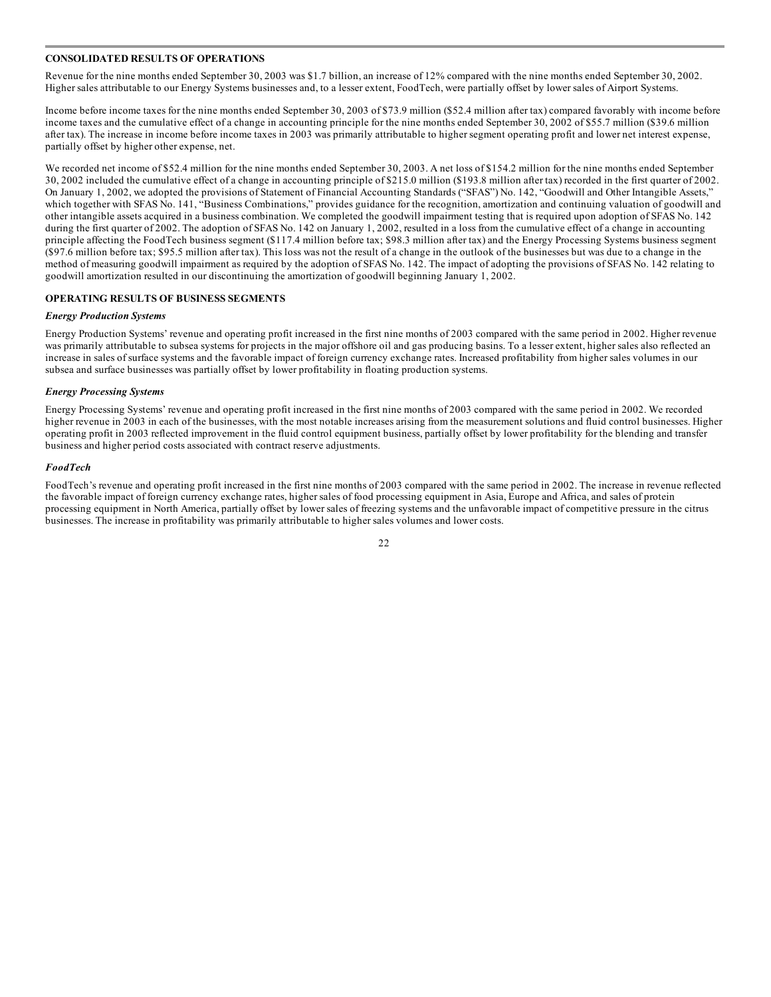# **CONSOLIDATED RESULTS OF OPERATIONS**

Revenue for the nine months ended September 30, 2003 was \$1.7 billion, an increase of 12% compared with the nine months ended September 30, 2002. Higher sales attributable to our Energy Systems businesses and, to a lesser extent, FoodTech, were partially offset by lower sales of Airport Systems.

Income before income taxes for the nine months ended September 30, 2003 of \$73.9 million (\$52.4 million after tax) compared favorably with income before income taxes and the cumulative effect of a change in accounting principle for the nine months ended September 30, 2002 of \$55.7 million (\$39.6 million after tax). The increase in income before income taxes in 2003 was primarily attributable to higher segment operating profit and lower net interest expense, partially offset by higher other expense, net.

We recorded net income of \$52.4 million for the nine months ended September 30, 2003. A net loss of \$154.2 million for the nine months ended September 30, 2002 included the cumulative effect of a change in accounting principle of \$215.0 million (\$193.8 million after tax) recorded in the first quarter of 2002. On January 1, 2002, we adopted the provisions of Statement of Financial Accounting Standards ("SFAS") No. 142, "Goodwill and Other Intangible Assets," which together with SFAS No. 141, "Business Combinations," provides guidance for the recognition, amortization and continuing valuation of goodwill and other intangible assets acquired in a business combination. We completed the goodwill impairment testing that is required upon adoption of SFAS No. 142 during the first quarter of 2002. The adoption of SFAS No. 142 on January 1, 2002, resulted in a loss from the cumulative effect of a change in accounting principle affecting the FoodTech business segment (\$117.4 million before tax; \$98.3 million after tax) and the Energy Processing Systems business segment (\$97.6 million before tax; \$95.5 million after tax). This loss was not the result of a change in the outlook of the businesses but was due to a change in the method of measuring goodwill impairment as required by the adoption of SFAS No. 142. The impact of adopting the provisions of SFAS No. 142 relating to goodwill amortization resulted in our discontinuing the amortization of goodwill beginning January 1, 2002.

# **OPERATING RESULTS OF BUSINESS SEGMENTS**

# *Energy Production Systems*

Energy Production Systems' revenue and operating profit increased in the first nine months of 2003 compared with the same period in 2002. Higher revenue was primarily attributable to subsea systems for projects in the major offshore oil and gas producing basins. To a lesser extent, higher sales also reflected an increase in sales of surface systems and the favorable impact of foreign currency exchange rates. Increased profitability from higher sales volumes in our subsea and surface businesses was partially offset by lower profitability in floating production systems.

# *Energy Processing Systems*

Energy Processing Systems' revenue and operating profit increased in the first nine months of 2003 compared with the same period in 2002. We recorded higher revenue in 2003 in each of the businesses, with the most notable increases arising from the measurement solutions and fluid control businesses. Higher operating profit in 2003 reflected improvement in the fluid control equipment business, partially offset by lower profitability for the blending and transfer business and higher period costs associated with contract reserve adjustments.

### *FoodTech*

FoodTech's revenue and operating profit increased in the first nine months of 2003 compared with the same period in 2002. The increase in revenue reflected the favorable impact of foreign currency exchange rates, higher sales of food processing equipment in Asia, Europe and Africa, and sales of protein processing equipment in North America, partially offset by lower sales of freezing systems and the unfavorable impact of competitive pressure in the citrus businesses. The increase in profitability was primarily attributable to higher sales volumes and lower costs.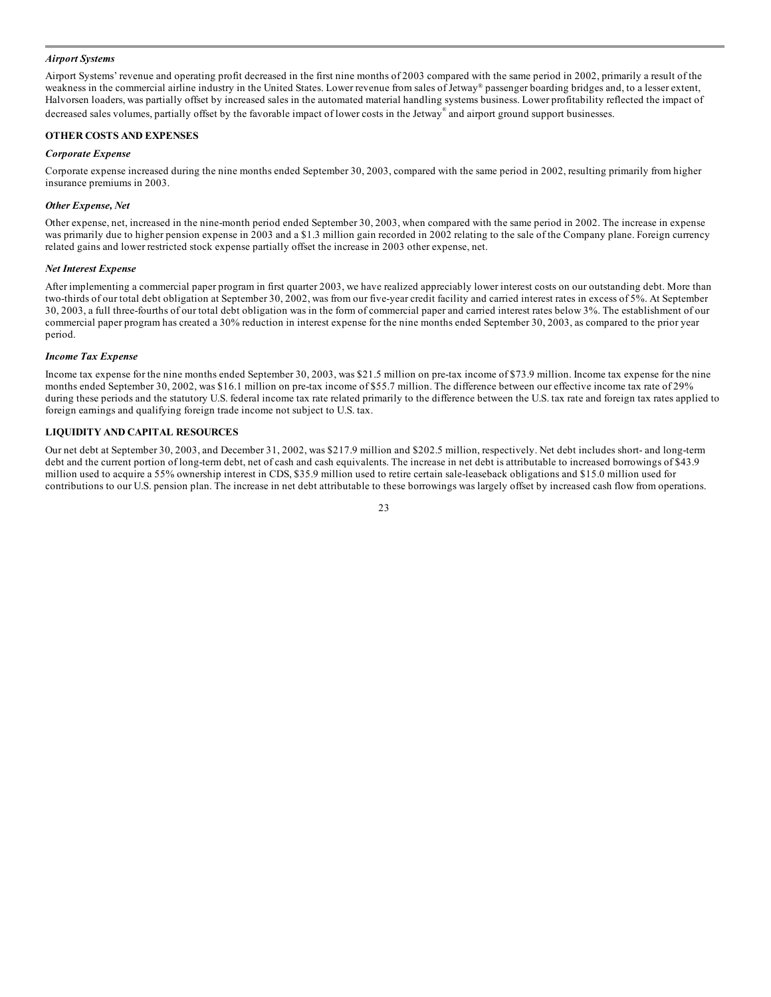# *Airport Systems*

Airport Systems' revenue and operating profit decreased in the first nine months of 2003 compared with the same period in 2002, primarily a result of the weakness in the commercial airline industry in the United States. Lower revenue from sales of Jetway ® passenger boarding bridges and, to a lesser extent, Halvorsen loaders, was partially offset by increased sales in the automated material handling systems business. Lower profitability reflected the impact of decreased sales volumes, partially offset by the favorable impact of lower costs in the Jetway<sup>®</sup> and airport ground support businesses.

# **OTHER COSTS AND EXPENSES**

# *Corporate Expense*

Corporate expense increased during the nine months ended September 30, 2003, compared with the same period in 2002, resulting primarily from higher insurance premiums in 2003.

# *Other Expense, Net*

Other expense, net, increased in the nine-month period ended September 30, 2003, when compared with the same period in 2002. The increase in expense was primarily due to higher pension expense in 2003 and a \$1.3 million gain recorded in 2002 relating to the sale of the Company plane. Foreign currency related gains and lower restricted stock expense partially offset the increase in 2003 other expense, net.

# *Net Interest Expense*

After implementing a commercial paper program in first quarter 2003, we have realized appreciably lower interest costs on our outstanding debt. More than two-thirds of our total debt obligation at September 30, 2002, was from our five-year credit facility and carried interest rates in excess of 5%. At September 30, 2003, a full three-fourths of our total debt obligation was in the form of commercial paper and carried interest rates below 3%. The establishment of our commercial paper program has created a 30% reduction in interest expense for the nine months ended September 30, 2003, as compared to the prior year period.

#### *Income Tax Expense*

Income tax expense for the nine months ended September 30, 2003, was \$21.5 million on pre-tax income of \$73.9 million. Income tax expense for the nine months ended September 30, 2002, was \$16.1 million on pre-tax income of \$55.7 million. The difference between our effective income tax rate of 29% during these periods and the statutory U.S. federal income tax rate related primarily to the difference between the U.S. tax rate and foreign tax rates applied to foreign earnings and qualifying foreign trade income not subject to U.S. tax.

### **LIQUIDITY AND CAPITAL RESOURCES**

Our net debt at September 30, 2003, and December 31, 2002, was \$217.9 million and \$202.5 million, respectively. Net debt includes short- and long-term debt and the current portion of long-term debt, net of cash and cash equivalents. The increase in net debt is attributable to increased borrowings of \$43.9 million used to acquire a 55% ownership interest in CDS, \$35.9 million used to retire certain sale-leaseback obligations and \$15.0 million used for contributions to our U.S. pension plan. The increase in net debt attributable to these borrowings was largely offset by increased cash flow from operations.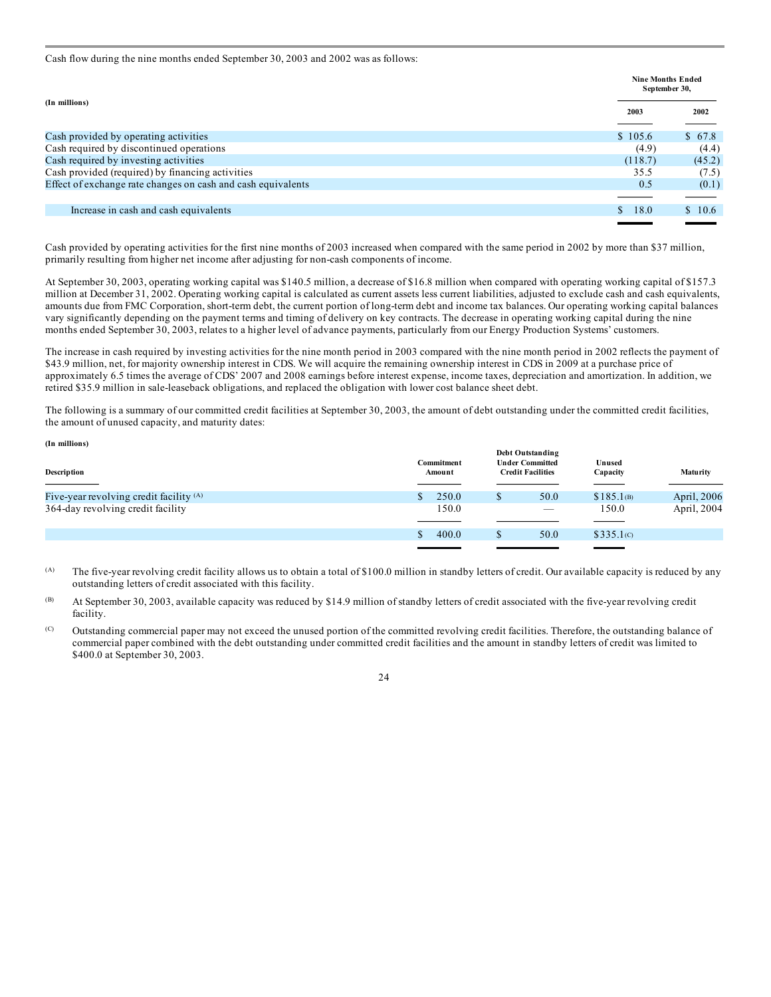Cash flow during the nine months ended September 30, 2003 and 2002 was as follows:

|                                                              |            | <b>Nine Months Ended</b><br>September 30, |  |
|--------------------------------------------------------------|------------|-------------------------------------------|--|
| (In millions)                                                | 2003       | 2002                                      |  |
| Cash provided by operating activities                        | \$105.6    | \$67.8                                    |  |
| Cash required by discontinued operations                     | (4.9)      | (4.4)                                     |  |
| Cash required by investing activities                        | (118.7)    | (45.2)                                    |  |
| Cash provided (required) by financing activities             | 35.5       | (7.5)                                     |  |
| Effect of exchange rate changes on cash and cash equivalents | 0.5        | (0.1)                                     |  |
|                                                              |            |                                           |  |
| Increase in cash and cash equivalents                        | 18.0<br>S. | \$10.6                                    |  |
|                                                              |            |                                           |  |

Cash provided by operating activities for the first nine months of 2003 increased when compared with the same period in 2002 by more than \$37 million, primarily resulting from higher net income after adjusting for non-cash components of income.

At September 30, 2003, operating working capital was \$140.5 million, a decrease of \$16.8 million when compared with operating working capital of \$157.3 million at December 31, 2002. Operating working capital is calculated as current assets less current liabilities, adjusted to exclude cash and cash equivalents, amounts due from FMC Corporation, short-term debt, the current portion of long-term debt and income tax balances. Our operating working capital balances vary significantly depending on the payment terms and timing of delivery on key contracts. The decrease in operating working capital during the nine months ended September 30, 2003, relates to a higher level of advance payments, particularly from our Energy Production Systems' customers.

The increase in cash required by investing activities for the nine month period in 2003 compared with the nine month period in 2002 reflects the payment of \$43.9 million, net, for majority ownership interest in CDS. We will acquire the remaining ownership interest in CDS in 2009 at a purchase price of approximately 6.5 times the average of CDS' 2007 and 2008 earnings before interest expense, income taxes, depreciation and amortization. In addition, we retired \$35.9 million in sale-leaseback obligations, and replaced the obligation with lower cost balance sheet debt.

The following is a summary of our committed credit facilities at September 30, 2003, the amount of debt outstanding under the committed credit facilities, the amount of unused capacity, and maturity dates:

#### **(In millions)**

| Description                             | <b>Commitment</b><br>Amount | <b>Debt Outstanding</b><br><b>Under Committed</b><br><b>Credit Facilities</b> | Unused<br>Capacity | Maturity    |
|-----------------------------------------|-----------------------------|-------------------------------------------------------------------------------|--------------------|-------------|
| Five-year revolving credit facility (A) | 250.0<br>S.                 | 50.0                                                                          | \$185.1(B)         | April, 2006 |
| 364-day revolving credit facility       | 150.0                       |                                                                               | 150.0              |             |
|                                         |                             |                                                                               |                    | April, 2004 |
|                                         | 400.0                       | 50.0                                                                          | \$335.1(c)         |             |
|                                         |                             |                                                                               |                    |             |

- $(A)$  The five-year revolving credit facility allows us to obtain a total of \$100.0 million in standby letters of credit. Our available capacity is reduced by any outstanding letters of credit associated with this facility.
- (B) At September 30, 2003, available capacity was reduced by \$14.9 million of standby letters of credit associated with the five-year revolving credit facility.
- (C) Outstanding commercial paper may not exceed the unused portion of the committed revolving credit facilities. Therefore, the outstanding balance of commercial paper combined with the debt outstanding under committed credit facilities and the amount in standby letters of credit was limited to \$400.0 at September 30, 2003.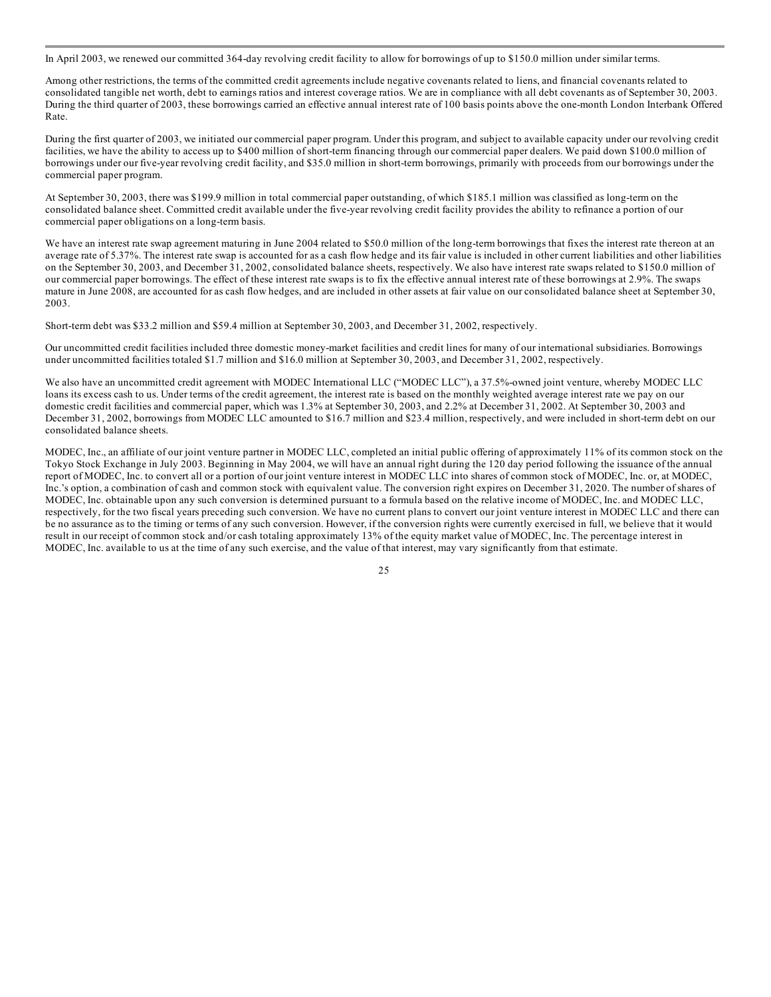In April 2003, we renewed our committed 364-day revolving credit facility to allow for borrowings of up to \$150.0 million under similar terms.

Among other restrictions, the terms of the committed credit agreements include negative covenants related to liens, and financial covenants related to consolidated tangible net worth, debt to earnings ratios and interest coverage ratios. We are in compliance with all debt covenants as of September 30, 2003. During the third quarter of 2003, these borrowings carried an effective annual interest rate of 100 basis points above the one-month London Interbank Offered Rate.

During the first quarter of 2003, we initiated our commercial paper program. Under this program, and subject to available capacity under our revolving credit facilities, we have the ability to access up to \$400 million of short-term financing through our commercial paper dealers. We paid down \$100.0 million of borrowings under our five-year revolving credit facility, and \$35.0 million in short-term borrowings, primarily with proceeds from our borrowings under the commercial paper program.

At September 30, 2003, there was \$199.9 million in total commercial paper outstanding, of which \$185.1 million was classified as long-term on the consolidated balance sheet. Committed credit available under the five-year revolving credit facility provides the ability to refinance a portion of our commercial paper obligations on a long-term basis.

We have an interest rate swap agreement maturing in June 2004 related to \$50.0 million of the long-term borrowings that fixes the interest rate thereon at an average rate of 5.37%. The interest rate swap is accounted for as a cash flow hedge and its fair value is included in other current liabilities and other liabilities on the September 30, 2003, and December 31, 2002, consolidated balance sheets, respectively. We also have interest rate swaps related to \$150.0 million of our commercial paper borrowings. The effect of these interest rate swaps is to fix the effective annual interest rate of these borrowings at 2.9%. The swaps mature in June 2008, are accounted for as cash flow hedges, and are included in other assets at fair value on our consolidated balance sheet at September 30, 2003.

Short-term debt was \$33.2 million and \$59.4 million at September 30, 2003, and December 31, 2002, respectively.

Our uncommitted credit facilities included three domestic money-market facilities and credit lines for many of our international subsidiaries. Borrowings under uncommitted facilities totaled \$1.7 million and \$16.0 million at September 30, 2003, and December 31, 2002, respectively.

We also have an uncommitted credit agreement with MODEC International LLC ("MODEC LLC"), a 37.5%-owned joint venture, whereby MODEC LLC loans its excess cash to us. Under terms of the credit agreement, the interest rate is based on the monthly weighted average interest rate we pay on our domestic credit facilities and commercial paper, which was 1.3% at September 30, 2003, and 2.2% at December 31, 2002. At September 30, 2003 and December 31, 2002, borrowings from MODEC LLC amounted to \$16.7 million and \$23.4 million, respectively, and were included in short-term debt on our consolidated balance sheets.

MODEC, Inc., an affiliate of our joint venture partner in MODEC LLC, completed an initial public offering of approximately 11% of its common stock on the Tokyo Stock Exchange in July 2003. Beginning in May 2004, we will have an annual right during the 120 day period following the issuance of the annual report of MODEC, Inc. to convert all or a portion of our joint venture interest in MODEC LLC into shares of common stock of MODEC, Inc. or, at MODEC, Inc.'s option, a combination of cash and common stock with equivalent value. The conversion right expires on December 31, 2020. The number of shares of MODEC, Inc. obtainable upon any such conversion is determined pursuant to a formula based on the relative income of MODEC, Inc. and MODEC LLC, respectively, for the two fiscal years preceding such conversion. We have no current plans to convert our joint venture interest in MODEC LLC and there can be no assurance as to the timing or terms of any such conversion. However, if the conversion rights were currently exercised in full, we believe that it would result in our receipt of common stock and/or cash totaling approximately 13% of the equity market value of MODEC, Inc. The percentage interest in MODEC, Inc. available to us at the time of any such exercise, and the value of that interest, may vary significantly from that estimate.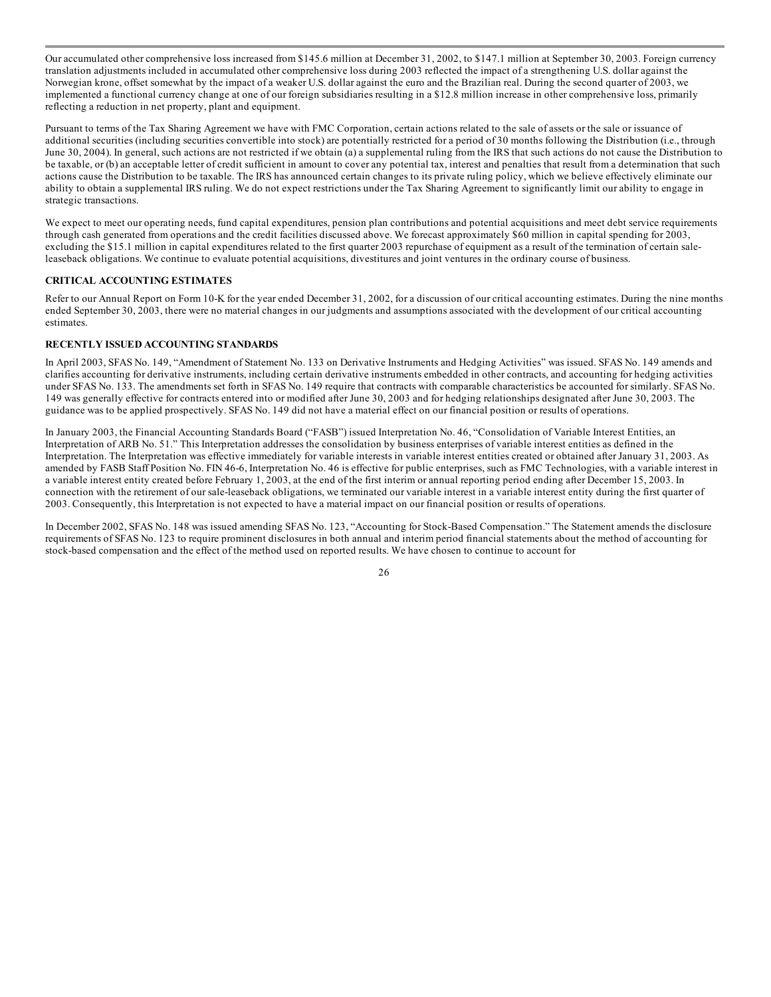Our accumulated other comprehensive loss increased from \$145.6 million at December 31, 2002, to \$147.1 million at September 30, 2003. Foreign currency translation adjustments included in accumulated other comprehensive loss during 2003 reflected the impact of a strengthening U.S. dollar against the Norwegian krone, offset somewhat by the impact of a weaker U.S. dollar against the euro and the Brazilian real. During the second quarter of 2003, we implemented a functional currency change at one of our foreign subsidiaries resulting in a \$12.8 million increase in other comprehensive loss, primarily reflecting a reduction in net property, plant and equipment.

Pursuant to terms of the Tax Sharing Agreement we have with FMC Corporation, certain actions related to the sale of assets or the sale or issuance of additional securities (including securities convertible into stock) are potentially restricted for a period of 30 months following the Distribution (i.e., through June 30, 2004). In general, such actions are not restricted if we obtain (a) a supplemental ruling from the IRS that such actions do not cause the Distribution to be taxable, or (b) an acceptable letter of credit sufficient in amount to cover any potential tax, interest and penalties that result from a determination that such actions cause the Distribution to be taxable. The IRS has announced certain changes to its private ruling policy, which we believe effectively eliminate our ability to obtain a supplemental IRS ruling. We do not expect restrictions under the Tax Sharing Agreement to significantly limit our ability to engage in strategic transactions.

We expect to meet our operating needs, fund capital expenditures, pension plan contributions and potential acquisitions and meet debt service requirements through cash generated from operations and the credit facilities discussed above. We forecast approximately \$60 million in capital spending for 2003, excluding the \$15.1 million in capital expenditures related to the first quarter 2003 repurchase of equipment as a result of the termination of certain saleleaseback obligations. We continue to evaluate potential acquisitions, divestitures and joint ventures in the ordinary course of business.

# **CRITICAL ACCOUNTING ESTIMATES**

Refer to our Annual Report on Form 10-K for the year ended December 31, 2002, for a discussion of our critical accounting estimates. During the nine months ended September 30, 2003, there were no material changes in our judgments and assumptions associated with the development of our critical accounting estimates.

# **RECENTLY ISSUED ACCOUNTING STANDARDS**

In April 2003, SFAS No. 149, "Amendment of Statement No. 133 on Derivative Instruments and Hedging Activities" was issued. SFAS No. 149 amends and clarifies accounting for derivative instruments, including certain derivative instruments embedded in other contracts, and accounting for hedging activities under SFAS No. 133. The amendments set forth in SFAS No. 149 require that contracts with comparable characteristics be accounted for similarly. SFAS No. 149 was generally effective for contracts entered into or modified after June 30, 2003 and for hedging relationships designated after June 30, 2003. The guidance was to be applied prospectively. SFAS No. 149 did not have a material effect on our financial position or results of operations.

In January 2003, the Financial Accounting Standards Board ("FASB") issued Interpretation No. 46, "Consolidation of Variable Interest Entities, an Interpretation of ARB No. 51." This Interpretation addresses the consolidation by business enterprises of variable interest entities as defined in the Interpretation. The Interpretation was effective immediately for variable interests in variable interest entities created or obtained after January 31, 2003. As amended by FASB Staff Position No. FIN 46-6, Interpretation No. 46 is effective for public enterprises, such as FMC Technologies, with a variable interest in a variable interest entity created before February 1, 2003, at the end of the first interim or annual reporting period ending after December 15, 2003. In connection with the retirement of our sale-leaseback obligations, we terminated our variable interest in a variable interest entity during the first quarter of 2003. Consequently, this Interpretation is not expected to have a material impact on our financial position or results of operations.

In December 2002, SFAS No. 148 was issued amending SFAS No. 123, "Accounting for Stock-Based Compensation." The Statement amends the disclosure requirements of SFAS No. 123 to require prominent disclosures in both annual and interim period financial statements about the method of accounting for stock-based compensation and the effect of the method used on reported results. We have chosen to continue to account for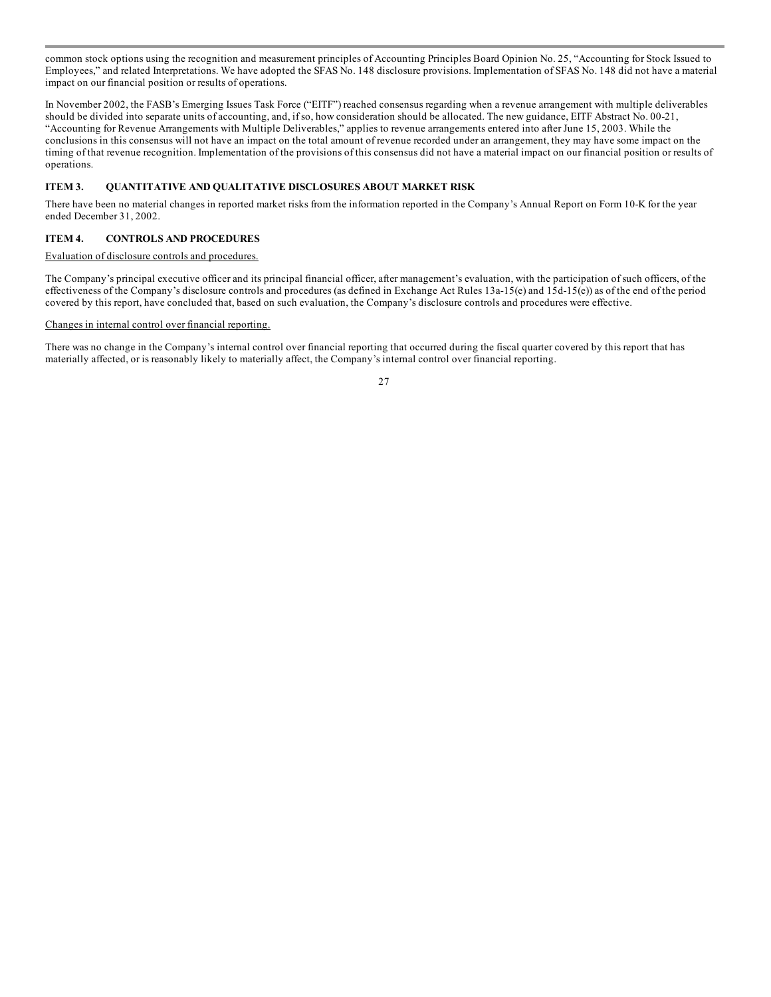common stock options using the recognition and measurement principles of Accounting Principles Board Opinion No. 25, "Accounting for Stock Issued to Employees," and related Interpretations. We have adopted the SFAS No. 148 disclosure provisions. Implementation of SFAS No. 148 did not have a material impact on our financial position or results of operations.

In November 2002, the FASB's Emerging Issues Task Force ("EITF") reached consensus regarding when a revenue arrangement with multiple deliverables should be divided into separate units of accounting, and, if so, how consideration should be allocated. The new guidance, EITF Abstract No. 00-21, "Accounting for Revenue Arrangements with Multiple Deliverables," applies to revenue arrangements entered into after June 15, 2003. While the conclusions in this consensus will not have an impact on the total amount of revenue recorded under an arrangement, they may have some impact on the timing of that revenue recognition. Implementation of the provisions of this consensus did not have a material impact on our financial position or results of operations.

# **ITEM 3. QUANTITATIVE AND QUALITATIVE DISCLOSURES ABOUT MARKET RISK**

There have been no material changes in reported market risks from the information reported in the Company's Annual Report on Form 10-K for the year ended December 31, 2002.

# **ITEM 4. CONTROLS AND PROCEDURES**

# Evaluation of disclosure controls and procedures.

The Company's principal executive officer and its principal financial officer, after management's evaluation, with the participation of such officers, of the effectiveness of the Company's disclosure controls and procedures (as defined in Exchange Act Rules 13a-15(e) and 15d-15(e)) as of the end of the period covered by this report, have concluded that, based on such evaluation, the Company's disclosure controls and procedures were effective.

# Changes in internal control over financial reporting.

There was no change in the Company's internal control over financial reporting that occurred during the fiscal quarter covered by this report that has materially affected, or is reasonably likely to materially affect, the Company's internal control over financial reporting.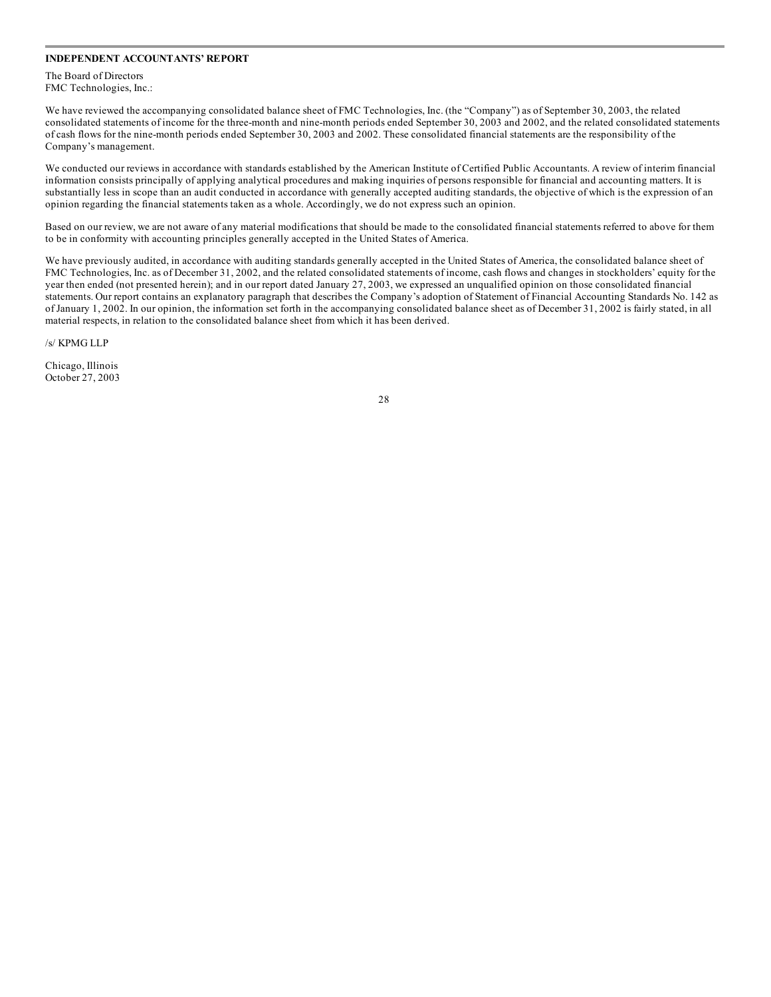# **INDEPENDENT ACCOUNTANTS' REPORT**

The Board of Directors FMC Technologies, Inc.:

We have reviewed the accompanying consolidated balance sheet of FMC Technologies, Inc. (the "Company") as of September 30, 2003, the related consolidated statements of income for the three-month and nine-month periods ended September 30, 2003 and 2002, and the related consolidated statements of cash flows for the nine-month periods ended September 30, 2003 and 2002. These consolidated financial statements are the responsibility of the Company's management.

We conducted our reviews in accordance with standards established by the American Institute of Certified Public Accountants. A review of interim financial information consists principally of applying analytical procedures and making inquiries of persons responsible for financial and accounting matters. It is substantially less in scope than an audit conducted in accordance with generally accepted auditing standards, the objective of which is the expression of an opinion regarding the financial statements taken as a whole. Accordingly, we do not express such an opinion.

Based on our review, we are not aware of any material modifications that should be made to the consolidated financial statements referred to above for them to be in conformity with accounting principles generally accepted in the United States of America.

We have previously audited, in accordance with auditing standards generally accepted in the United States of America, the consolidated balance sheet of FMC Technologies, Inc. as of December 31, 2002, and the related consolidated statements of income, cash flows and changes in stockholders' equity for the year then ended (not presented herein); and in our report dated January 27, 2003, we expressed an unqualified opinion on those consolidated financial statements. Our report contains an explanatory paragraph that describes the Company's adoption of Statement of Financial Accounting Standards No. 142 as of January 1, 2002. In our opinion, the information set forth in the accompanying consolidated balance sheet as of December 31, 2002 is fairly stated, in all material respects, in relation to the consolidated balance sheet from which it has been derived.

/s/ KPMG LLP

Chicago, Illinois October 27, 2003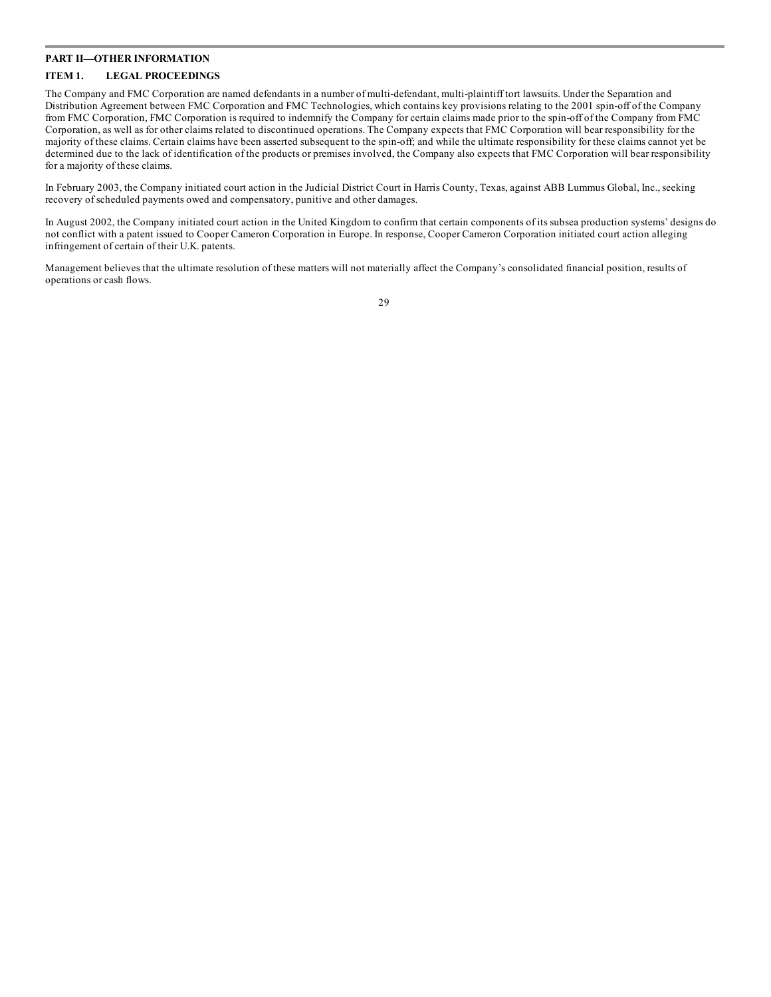# **PART II—OTHER INFORMATION**

# **ITEM 1. LEGAL PROCEEDINGS**

The Company and FMC Corporation are named defendants in a number of multi-defendant, multi-plaintiff tort lawsuits. Under the Separation and Distribution Agreement between FMC Corporation and FMC Technologies, which contains key provisions relating to the 2001 spin-off of the Company from FMC Corporation, FMC Corporation is required to indemnify the Company for certain claims made prior to the spin-off of the Company from FMC Corporation, as well as for other claims related to discontinued operations. The Company expects that FMC Corporation will bear responsibility for the majority of these claims. Certain claims have been asserted subsequent to the spin-off; and while the ultimate responsibility for these claims cannot yet be determined due to the lack of identification of the products or premises involved, the Company also expects that FMC Corporation will bear responsibility for a majority of these claims.

In February 2003, the Company initiated court action in the Judicial District Court in Harris County, Texas, against ABB Lummus Global, Inc., seeking recovery of scheduled payments owed and compensatory, punitive and other damages.

In August 2002, the Company initiated court action in the United Kingdom to confirm that certain components of its subsea production systems' designs do not conflict with a patent issued to Cooper Cameron Corporation in Europe. In response, Cooper Cameron Corporation initiated court action alleging infringement of certain of their U.K. patents.

Management believes that the ultimate resolution of these matters will not materially affect the Company's consolidated financial position, results of operations or cash flows.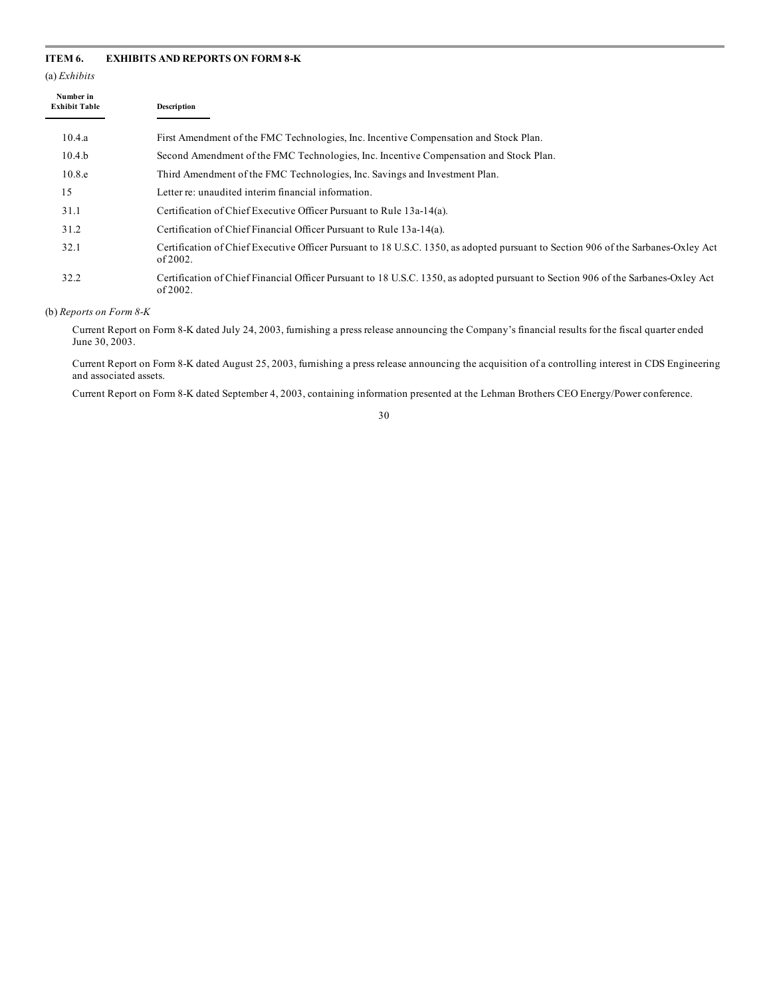# **ITEM 6. EXHIBITS AND REPORTS ON FORM 8-K**

# (a) *Exhibits*

| Number in<br><b>Exhibit Table</b> | Description                                                                                                                                      |
|-----------------------------------|--------------------------------------------------------------------------------------------------------------------------------------------------|
| 10.4.a                            | First Amendment of the FMC Technologies, Inc. Incentive Compensation and Stock Plan.                                                             |
| 10.4.b                            | Second Amendment of the FMC Technologies, Inc. Incentive Compensation and Stock Plan.                                                            |
| 10.8.e                            | Third Amendment of the FMC Technologies, Inc. Savings and Investment Plan.                                                                       |
| 15                                | Letter re: unaudited interim financial information.                                                                                              |
| 31.1                              | Certification of Chief Executive Officer Pursuant to Rule 13a-14(a).                                                                             |
| 31.2                              | Certification of Chief Financial Officer Pursuant to Rule 13a-14(a).                                                                             |
| 32.1                              | Certification of Chief Executive Officer Pursuant to 18 U.S.C. 1350, as adopted pursuant to Section 906 of the Sarbanes-Oxley Act<br>of $2002$ . |
| 32.2                              | Certification of Chief Financial Officer Pursuant to 18 U.S.C. 1350, as adopted pursuant to Section 906 of the Sarbanes-Oxley Act<br>of $2002$ . |

(b) *Reports on Form 8-K*

Current Report on Form 8-K dated July 24, 2003, furnishing a press release announcing the Company's financial results for the fiscal quarter ended June 30, 2003.

Current Report on Form 8-K dated August 25, 2003, furnishing a press release announcing the acquisition of a controlling interest in CDS Engineering and associated assets.

Current Report on Form 8-K dated September 4, 2003, containing information presented at the Lehman Brothers CEO Energy/Power conference.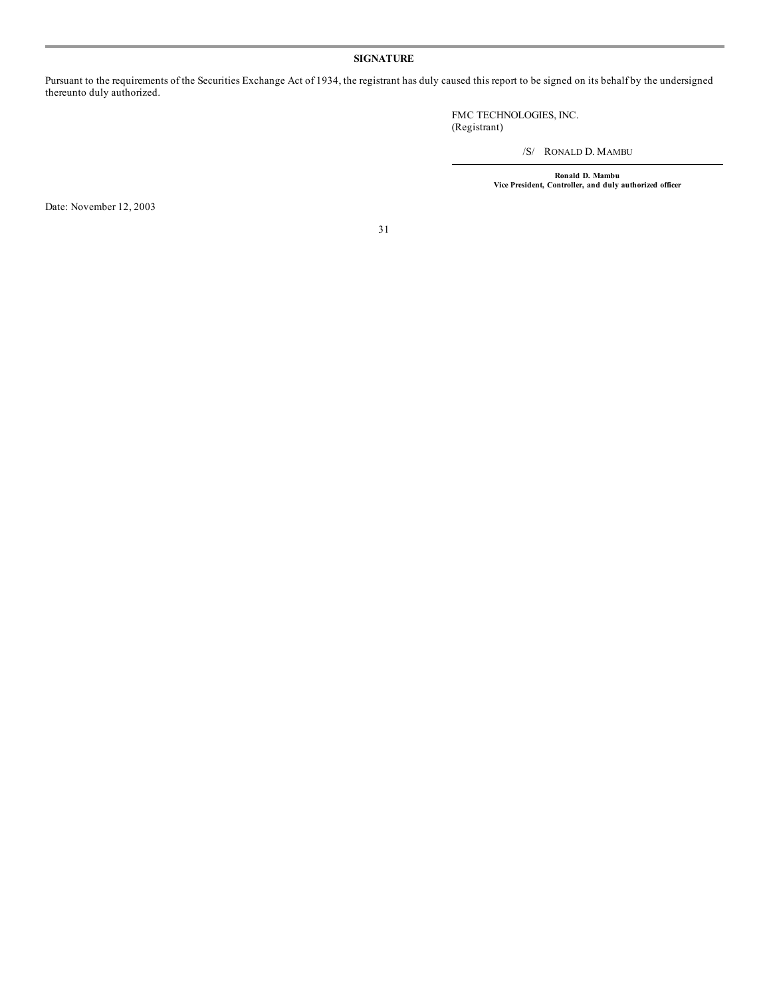# **SIGNATURE**

Pursuant to the requirements of the Securities Exchange Act of 1934, the registrant has duly caused this report to be signed on its behalf by the undersigned thereunto duly authorized.

> FMC TECHNOLOGIES, INC. (Registrant)

> > /S/ RONALD D. MAMBU

**Ronald D. Mambu Vice President, Controller, and duly authorized officer**

Date: November 12, 2003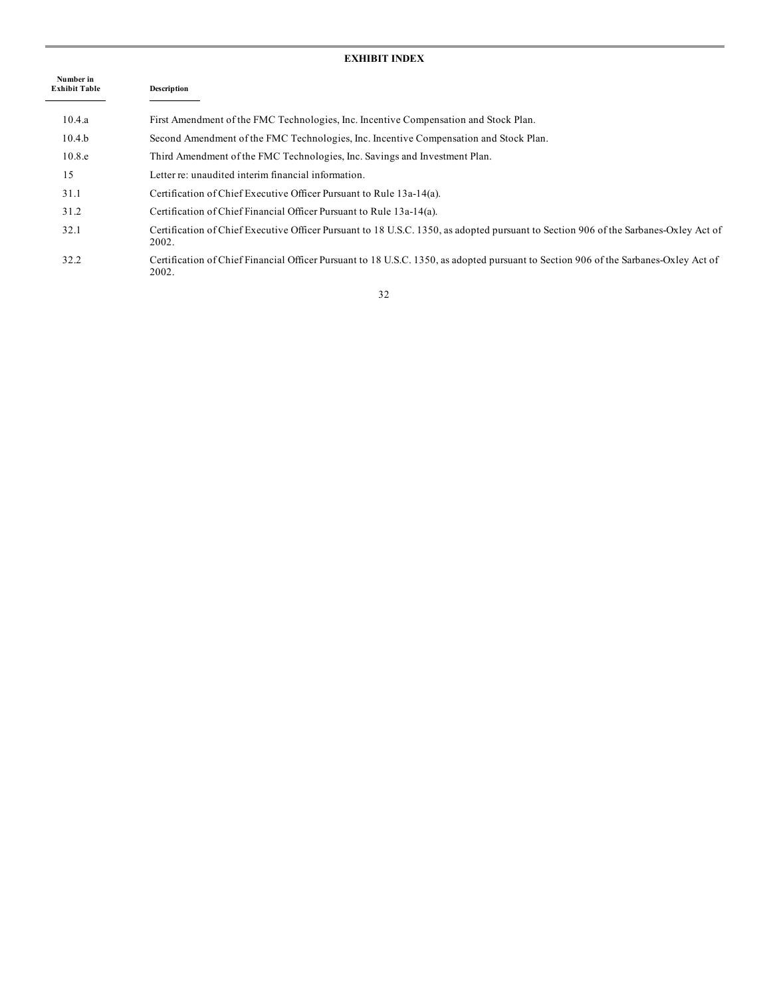# **EXHIBIT INDEX**

| Number in<br><b>Exhibit Table</b> | Description                                                                                                                                   |
|-----------------------------------|-----------------------------------------------------------------------------------------------------------------------------------------------|
| 10.4.a                            | First Amendment of the FMC Technologies, Inc. Incentive Compensation and Stock Plan.                                                          |
| 10.4.b                            | Second Amendment of the FMC Technologies, Inc. Incentive Compensation and Stock Plan.                                                         |
| 10.8.e                            | Third Amendment of the FMC Technologies, Inc. Savings and Investment Plan.                                                                    |
| 15                                | Letter re: unaudited interim financial information.                                                                                           |
| 31.1                              | Certification of Chief Executive Officer Pursuant to Rule 13a-14(a).                                                                          |
| 31.2                              | Certification of Chief Financial Officer Pursuant to Rule 13a-14(a).                                                                          |
| 32.1                              | Certification of Chief Executive Officer Pursuant to 18 U.S.C. 1350, as adopted pursuant to Section 906 of the Sarbanes-Oxley Act of<br>2002. |
| 32.2                              | Certification of Chief Financial Officer Pursuant to 18 U.S.C. 1350, as adopted pursuant to Section 906 of the Sarbanes-Oxley Act of<br>2002. |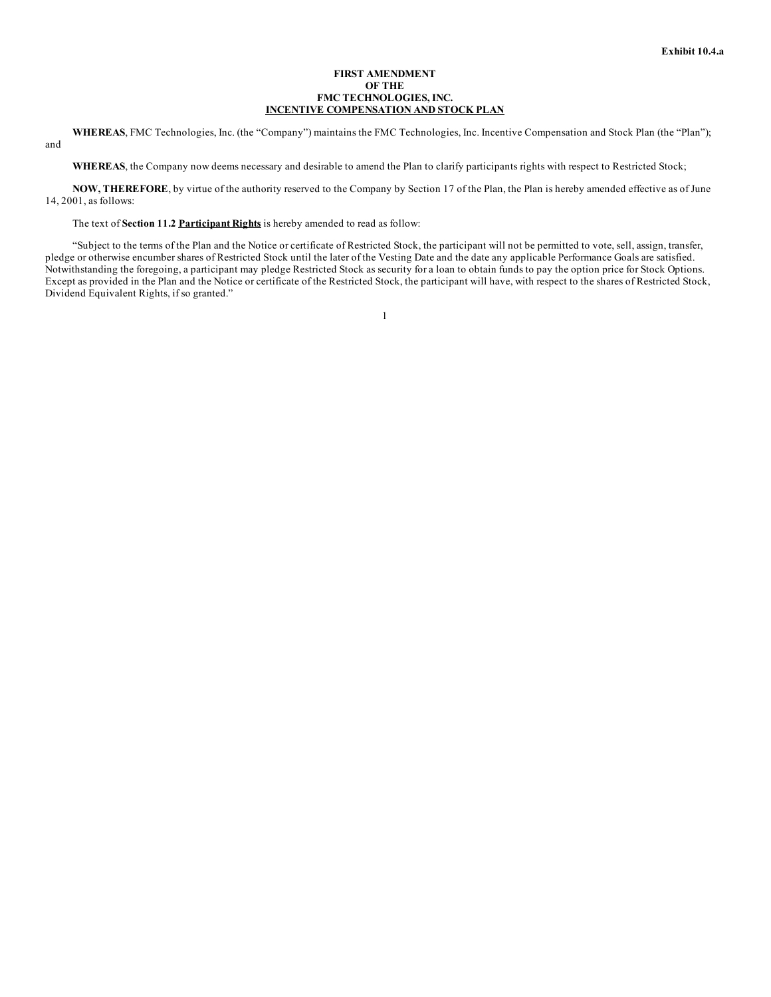# **FIRST AMENDMENT OF THE FMC TECHNOLOGIES, INC. INCENTIVE COMPENSATION AND STOCK PLAN**

**WHEREAS**, FMC Technologies, Inc. (the "Company") maintains the FMC Technologies, Inc. Incentive Compensation and Stock Plan (the "Plan"); and

**WHEREAS**, the Company now deems necessary and desirable to amend the Plan to clarify participants rights with respect to Restricted Stock;

**NOW, THEREFORE**, by virtue of the authority reserved to the Company by Section 17 of the Plan, the Plan is hereby amended effective as of June 14, 2001, as follows:

The text of **Section 11.2 Participant Rights** is hereby amended to read as follow:

"Subject to the terms of the Plan and the Notice or certificate of Restricted Stock, the participant will not be permitted to vote, sell, assign, transfer, pledge or otherwise encumber shares of Restricted Stock until the later of the Vesting Date and the date any applicable Performance Goals are satisfied. Notwithstanding the foregoing, a participant may pledge Restricted Stock as security for a loan to obtain funds to pay the option price for Stock Options. Except as provided in the Plan and the Notice or certificate of the Restricted Stock, the participant will have, with respect to the shares of Restricted Stock, Dividend Equivalent Rights, if so granted."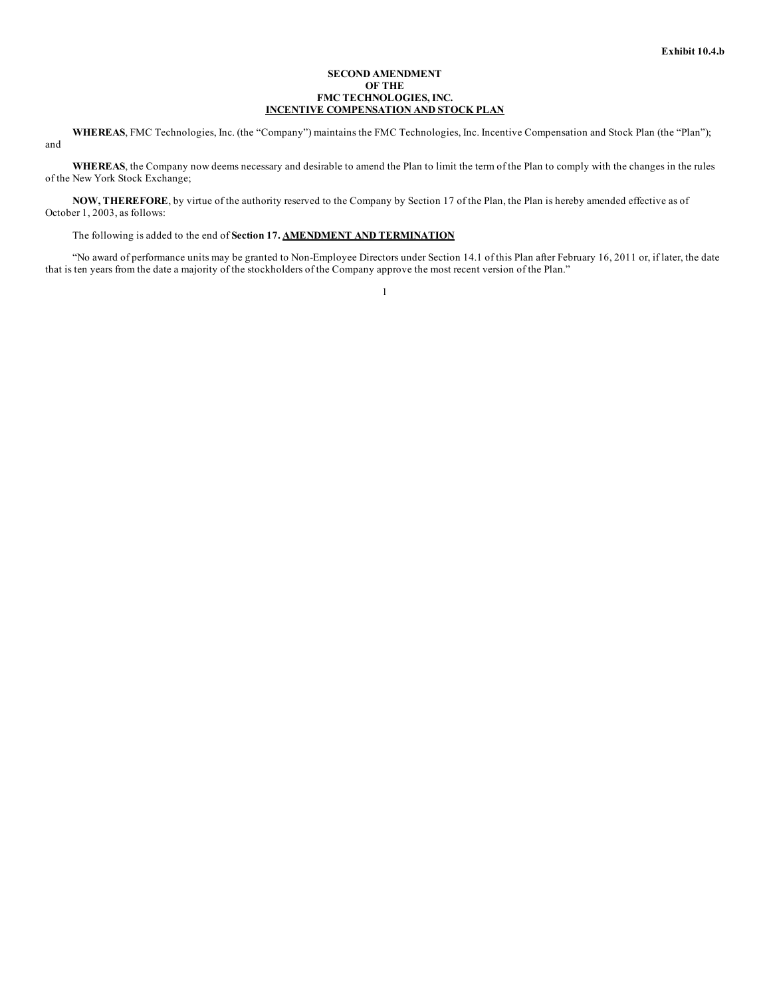# **SECOND AMENDMENT OF THE FMC TECHNOLOGIES, INC. INCENTIVE COMPENSATION AND STOCK PLAN**

**WHEREAS**, FMC Technologies, Inc. (the "Company") maintains the FMC Technologies, Inc. Incentive Compensation and Stock Plan (the "Plan"); and

**WHEREAS**, the Company now deems necessary and desirable to amend the Plan to limit the term of the Plan to comply with the changes in the rules of the New York Stock Exchange;

**NOW, THEREFORE**, by virtue of the authority reserved to the Company by Section 17 of the Plan, the Plan is hereby amended effective as of October 1, 2003, as follows:

The following is added to the end of **Section 17. AMENDMENT AND TERMINATION**

"No award of performance units may be granted to Non-Employee Directors under Section 14.1 of this Plan after February 16, 2011 or, if later, the date that is ten years from the date a majority of the stockholders of the Company approve the most recent version of the Plan."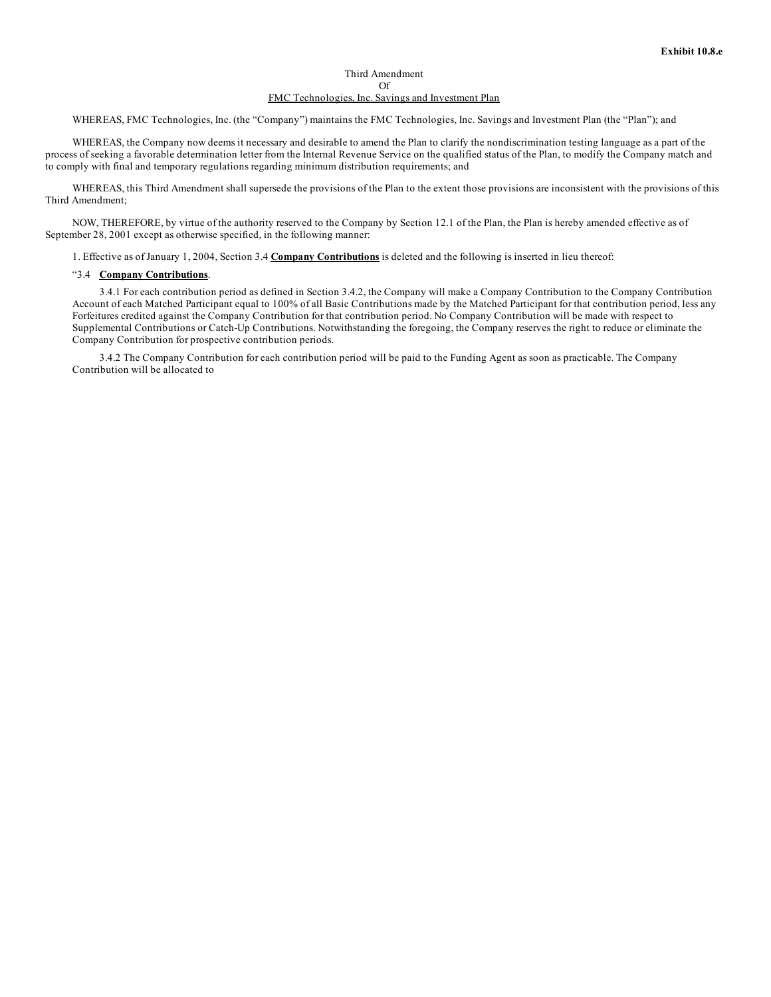#### Third Amendment Of FMC Technologies, Inc. Savings and Investment Plan

WHEREAS, FMC Technologies, Inc. (the "Company") maintains the FMC Technologies, Inc. Savings and Investment Plan (the "Plan"); and

WHEREAS, the Company now deems it necessary and desirable to amend the Plan to clarify the nondiscrimination testing language as a part of the process of seeking a favorable determination letter from the Internal Revenue Service on the qualified status of the Plan, to modify the Company match and to comply with final and temporary regulations regarding minimum distribution requirements; and

WHEREAS, this Third Amendment shall supersede the provisions of the Plan to the extent those provisions are inconsistent with the provisions of this Third Amendment;

NOW, THEREFORE, by virtue of the authority reserved to the Company by Section 12.1 of the Plan, the Plan is hereby amended effective as of September 28, 2001 except as otherwise specified, in the following manner:

1. Effective as of January 1, 2004, Section 3.4 **Company Contributions** is deleted and the following is inserted in lieu thereof:

# "3.4 **Company Contributions**.

3.4.1 For each contribution period as defined in Section 3.4.2, the Company will make a Company Contribution to the Company Contribution Account of each Matched Participant equal to 100% of all Basic Contributions made by the Matched Participant for that contribution period, less any Forfeitures credited against the Company Contribution for that contribution period. No Company Contribution will be made with respect to Supplemental Contributions or Catch-Up Contributions. Notwithstanding the foregoing, the Company reserves the right to reduce or eliminate the Company Contribution for prospective contribution periods.

3.4.2 The Company Contribution for each contribution period will be paid to the Funding Agent as soon as practicable. The Company Contribution will be allocated to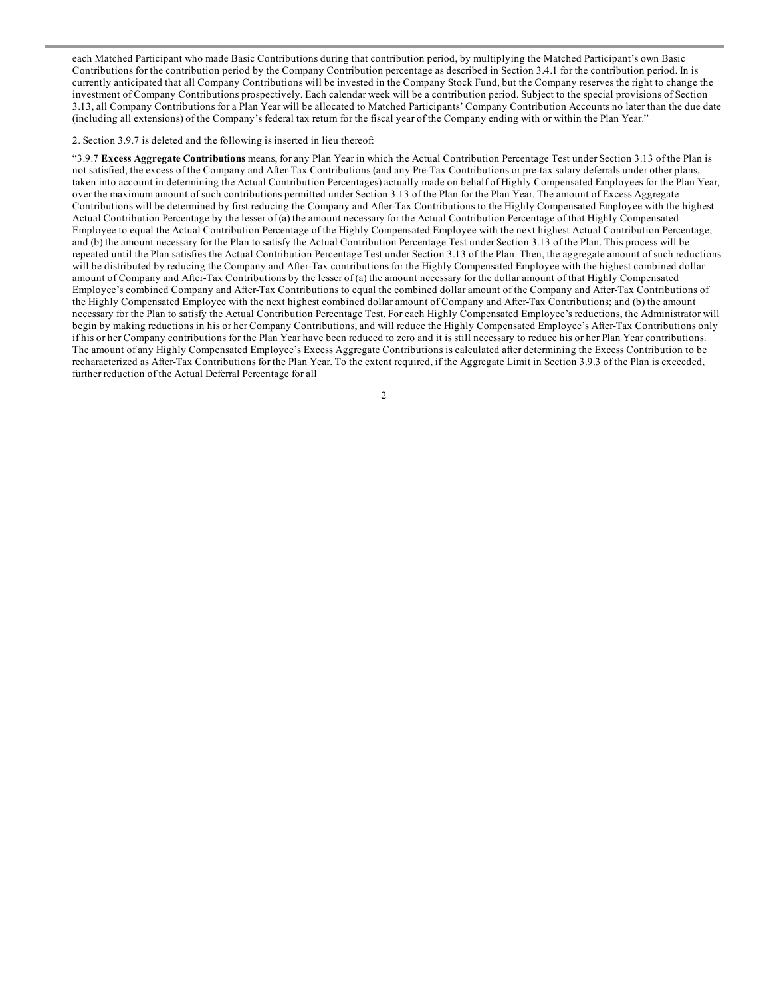each Matched Participant who made Basic Contributions during that contribution period, by multiplying the Matched Participant's own Basic Contributions for the contribution period by the Company Contribution percentage as described in Section 3.4.1 for the contribution period. In is currently anticipated that all Company Contributions will be invested in the Company Stock Fund, but the Company reserves the right to change the investment of Company Contributions prospectively. Each calendar week will be a contribution period. Subject to the special provisions of Section 3.13, all Company Contributions for a Plan Year will be allocated to Matched Participants' Company Contribution Accounts no later than the due date (including all extensions) of the Company's federal tax return for the fiscal year of the Company ending with or within the Plan Year."

#### 2. Section 3.9.7 is deleted and the following is inserted in lieu thereof:

"3.9.7 **Excess Aggregate Contributions** means, for any Plan Year in which the Actual Contribution Percentage Test under Section 3.13 of the Plan is not satisfied, the excess of the Company and After-Tax Contributions (and any Pre-Tax Contributions or pre-tax salary deferrals under other plans, taken into account in determining the Actual Contribution Percentages) actually made on behalf of Highly Compensated Employees for the Plan Year, over the maximum amount of such contributions permitted under Section 3.13 of the Plan for the Plan Year. The amount of Excess Aggregate Contributions will be determined by first reducing the Company and After-Tax Contributions to the Highly Compensated Employee with the highest Actual Contribution Percentage by the lesser of (a) the amount necessary for the Actual Contribution Percentage of that Highly Compensated Employee to equal the Actual Contribution Percentage of the Highly Compensated Employee with the next highest Actual Contribution Percentage; and (b) the amount necessary for the Plan to satisfy the Actual Contribution Percentage Test under Section 3.13 of the Plan. This process will be repeated until the Plan satisfies the Actual Contribution Percentage Test under Section 3.13 of the Plan. Then, the aggregate amount of such reductions will be distributed by reducing the Company and After-Tax contributions for the Highly Compensated Employee with the highest combined dollar amount of Company and After-Tax Contributions by the lesser of (a) the amount necessary for the dollar amount of that Highly Compensated Employee's combined Company and After-Tax Contributions to equal the combined dollar amount of the Company and After-Tax Contributions of the Highly Compensated Employee with the next highest combined dollar amount of Company and After-Tax Contributions; and (b) the amount necessary for the Plan to satisfy the Actual Contribution Percentage Test. For each Highly Compensated Employee's reductions, the Administrator will begin by making reductions in his or her Company Contributions, and will reduce the Highly Compensated Employee's After-Tax Contributions only if his or her Company contributions for the Plan Year have been reduced to zero and it is still necessary to reduce his or her Plan Year contributions. The amount of any Highly Compensated Employee's Excess Aggregate Contributions is calculated after determining the Excess Contribution to be recharacterized as After-Tax Contributions for the Plan Year. To the extent required, if the Aggregate Limit in Section 3.9.3 of the Plan is exceeded, further reduction of the Actual Deferral Percentage for all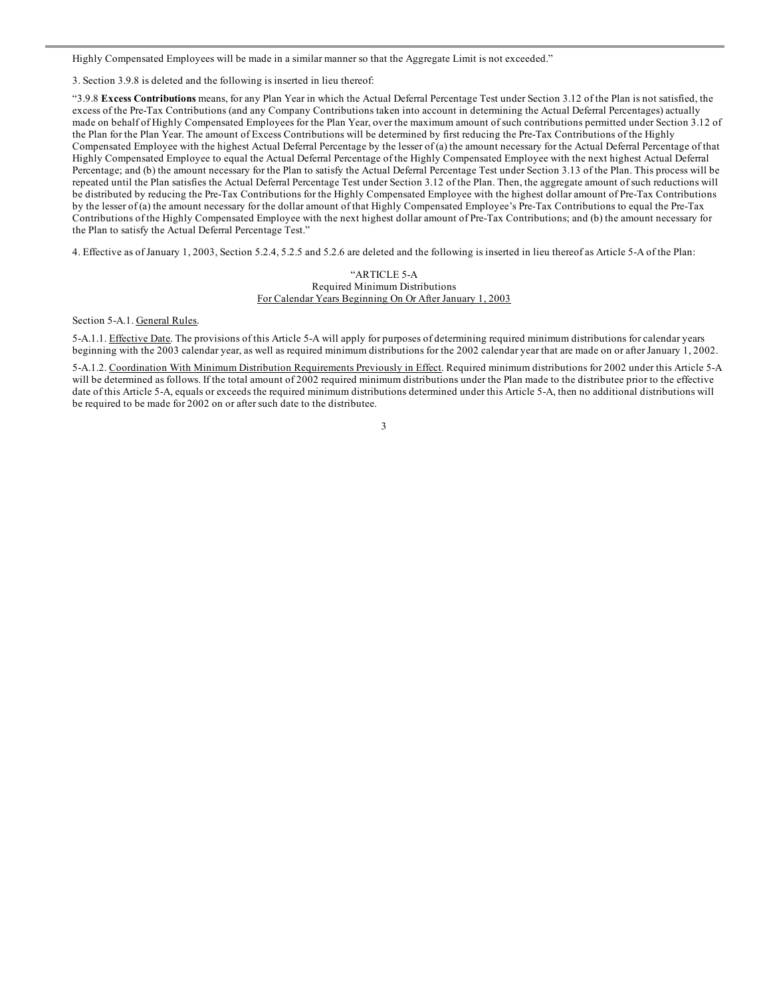Highly Compensated Employees will be made in a similar manner so that the Aggregate Limit is not exceeded."

3. Section 3.9.8 is deleted and the following is inserted in lieu thereof:

"3.9.8 **Excess Contributions** means, for any Plan Year in which the Actual Deferral Percentage Test under Section 3.12 of the Plan is not satisfied, the excess of the Pre-Tax Contributions (and any Company Contributions taken into account in determining the Actual Deferral Percentages) actually made on behalf of Highly Compensated Employees for the Plan Year, over the maximum amount of such contributions permitted under Section 3.12 of the Plan for the Plan Year. The amount of Excess Contributions will be determined by first reducing the Pre-Tax Contributions of the Highly Compensated Employee with the highest Actual Deferral Percentage by the lesser of (a) the amount necessary for the Actual Deferral Percentage of that Highly Compensated Employee to equal the Actual Deferral Percentage of the Highly Compensated Employee with the next highest Actual Deferral Percentage; and (b) the amount necessary for the Plan to satisfy the Actual Deferral Percentage Test under Section 3.13 of the Plan. This process will be repeated until the Plan satisfies the Actual Deferral Percentage Test under Section 3.12 of the Plan. Then, the aggregate amount of such reductions will be distributed by reducing the Pre-Tax Contributions for the Highly Compensated Employee with the highest dollar amount of Pre-Tax Contributions by the lesser of (a) the amount necessary for the dollar amount of that Highly Compensated Employee's Pre-Tax Contributions to equal the Pre-Tax Contributions of the Highly Compensated Employee with the next highest dollar amount of Pre-Tax Contributions; and (b) the amount necessary for the Plan to satisfy the Actual Deferral Percentage Test."

4. Effective as of January 1, 2003, Section 5.2.4, 5.2.5 and 5.2.6 are deleted and the following is inserted in lieu thereof as Article 5-A of the Plan:

#### "ARTICLE 5-A Required Minimum Distributions For Calendar Years Beginning On Or After January 1, 2003

#### Section 5-A.1. General Rules.

5-A.1.1. Effective Date. The provisions of this Article 5-A will apply for purposes of determining required minimum distributions for calendar years beginning with the 2003 calendar year, as well as required minimum distributions for the 2002 calendar year that are made on or after January 1, 2002.

5-A.1.2. Coordination With Minimum Distribution Requirements Previously in Effect. Required minimum distributions for 2002 under this Article 5-A will be determined as follows. If the total amount of 2002 required minimum distributions under the Plan made to the distributee prior to the effective date of this Article 5-A, equals or exceeds the required minimum distributions determined under this Article 5-A, then no additional distributions will be required to be made for 2002 on or after such date to the distributee.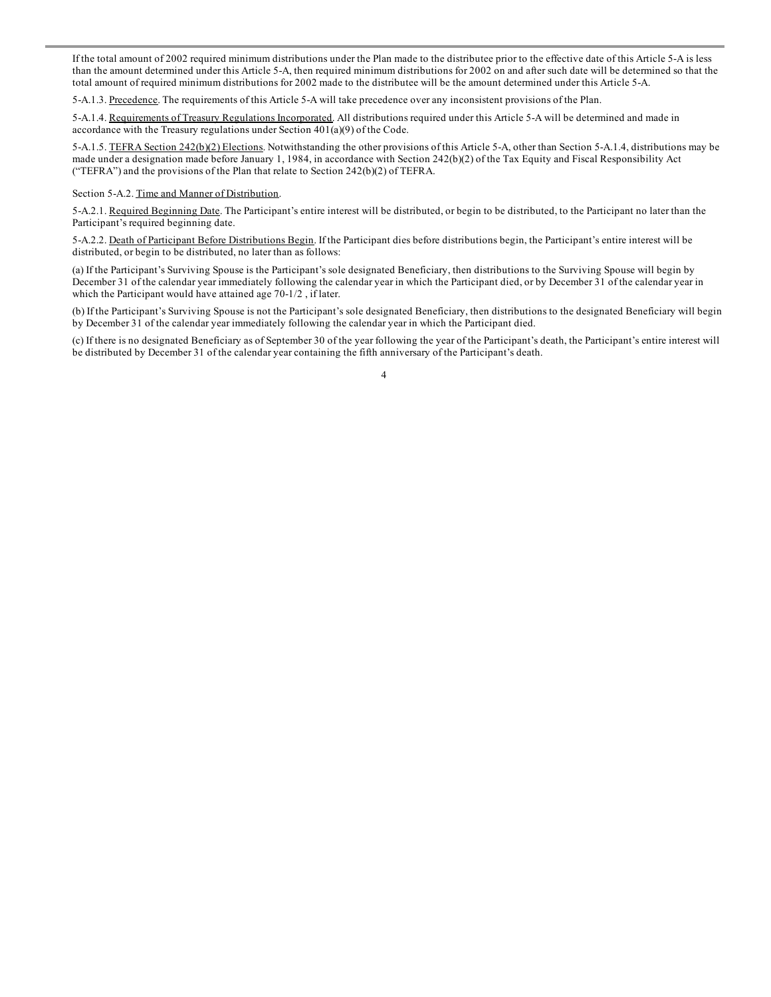If the total amount of 2002 required minimum distributions under the Plan made to the distributee prior to the effective date of this Article 5-A is less than the amount determined under this Article 5-A, then required minimum distributions for 2002 on and after such date will be determined so that the total amount of required minimum distributions for 2002 made to the distributee will be the amount determined under this Article 5-A.

5-A.1.3. Precedence. The requirements of this Article 5-A will take precedence over any inconsistent provisions of the Plan.

5-A.1.4. Requirements of Treasury Regulations Incorporated. All distributions required under this Article 5-A will be determined and made in accordance with the Treasury regulations under Section 401(a)(9) of the Code.

5-A.1.5. TEFRA Section 242(b)(2) Elections. Notwithstanding the other provisions of this Article 5-A, other than Section 5-A.1.4, distributions may be made under a designation made before January 1, 1984, in accordance with Section 242(b)(2) of the Tax Equity and Fiscal Responsibility Act ("TEFRA") and the provisions of the Plan that relate to Section 242(b)(2) of TEFRA.

Section 5-A.2. Time and Manner of Distribution.

5-A.2.1. Required Beginning Date. The Participant's entire interest will be distributed, or begin to be distributed, to the Participant no later than the Participant's required beginning date.

5-A.2.2. Death of Participant Before Distributions Begin. If the Participant dies before distributions begin, the Participant's entire interest will be distributed, or begin to be distributed, no later than as follows:

(a) If the Participant's Surviving Spouse is the Participant's sole designated Beneficiary, then distributions to the Surviving Spouse will begin by December 31 of the calendar year immediately following the calendar year in which the Participant died, or by December 31 of the calendar year in which the Participant would have attained age 70-1/2 , if later.

(b) If the Participant's Surviving Spouse is not the Participant's sole designated Beneficiary, then distributions to the designated Beneficiary will begin by December 31 of the calendar year immediately following the calendar year in which the Participant died.

(c) If there is no designated Beneficiary as of September 30 of the year following the year of the Participant's death, the Participant's entire interest will be distributed by December 31 of the calendar year containing the fifth anniversary of the Participant's death.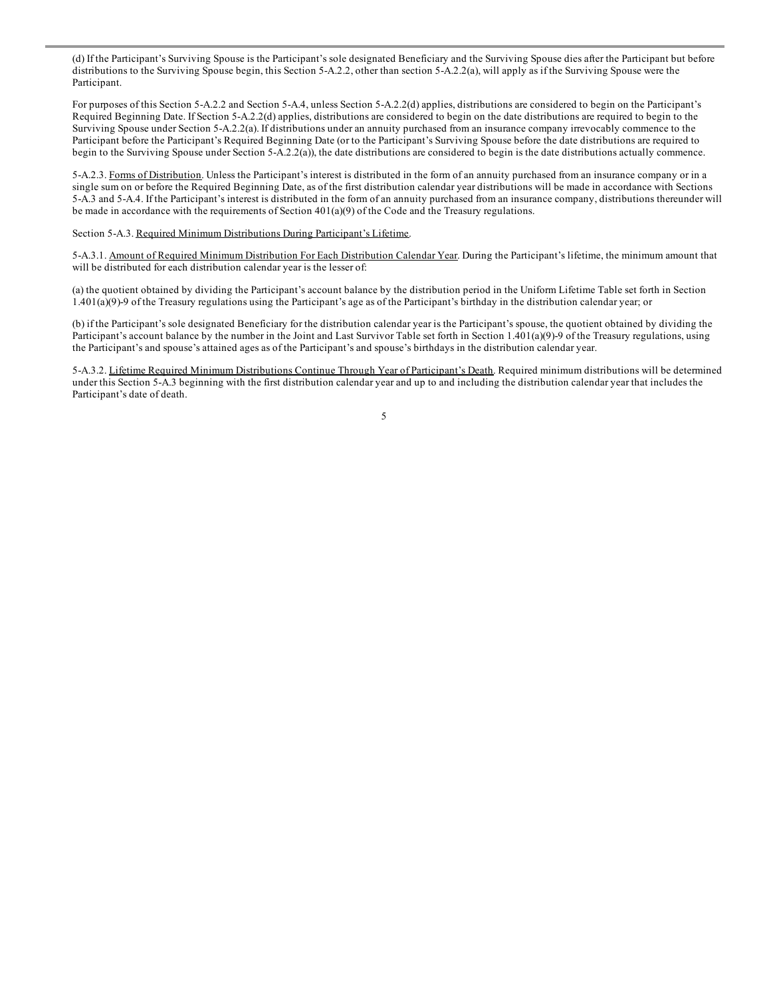(d) If the Participant's Surviving Spouse is the Participant's sole designated Beneficiary and the Surviving Spouse dies after the Participant but before distributions to the Surviving Spouse begin, this Section 5-A.2.2, other than section 5-A.2.2(a), will apply as if the Surviving Spouse were the Participant.

For purposes of this Section 5-A.2.2 and Section 5-A.4, unless Section 5-A.2.2(d) applies, distributions are considered to begin on the Participant's Required Beginning Date. If Section 5-A.2.2(d) applies, distributions are considered to begin on the date distributions are required to begin to the Surviving Spouse under Section 5-A.2.2(a). If distributions under an annuity purchased from an insurance company irrevocably commence to the Participant before the Participant's Required Beginning Date (or to the Participant's Surviving Spouse before the date distributions are required to begin to the Surviving Spouse under Section 5-A.2.2(a)), the date distributions are considered to begin is the date distributions actually commence.

5-A.2.3. Forms of Distribution. Unless the Participant's interest is distributed in the form of an annuity purchased from an insurance company or in a single sum on or before the Required Beginning Date, as of the first distribution calendar year distributions will be made in accordance with Sections 5-A.3 and 5-A.4. If the Participant's interest is distributed in the form of an annuity purchased from an insurance company, distributions thereunder will be made in accordance with the requirements of Section  $401(a)(9)$  of the Code and the Treasury regulations.

Section 5-A.3. Required Minimum Distributions During Participant's Lifetime.

5-A.3.1. Amount of Required Minimum Distribution For Each Distribution Calendar Year. During the Participant's lifetime, the minimum amount that will be distributed for each distribution calendar year is the lesser of:

(a) the quotient obtained by dividing the Participant's account balance by the distribution period in the Uniform Lifetime Table set forth in Section 1.401(a)(9)-9 of the Treasury regulations using the Participant's age as of the Participant's birthday in the distribution calendar year; or

(b) if the Participant's sole designated Beneficiary for the distribution calendar year is the Participant's spouse, the quotient obtained by dividing the Participant's account balance by the number in the Joint and Last Survivor Table set forth in Section 1.401(a)(9)-9 of the Treasury regulations, using the Participant's and spouse's attained ages as of the Participant's and spouse's birthdays in the distribution calendar year.

5-A.3.2. Lifetime Required Minimum Distributions Continue Through Year of Participant's Death. Required minimum distributions will be determined under this Section 5-A.3 beginning with the first distribution calendar year and up to and including the distribution calendar year that includes the Participant's date of death.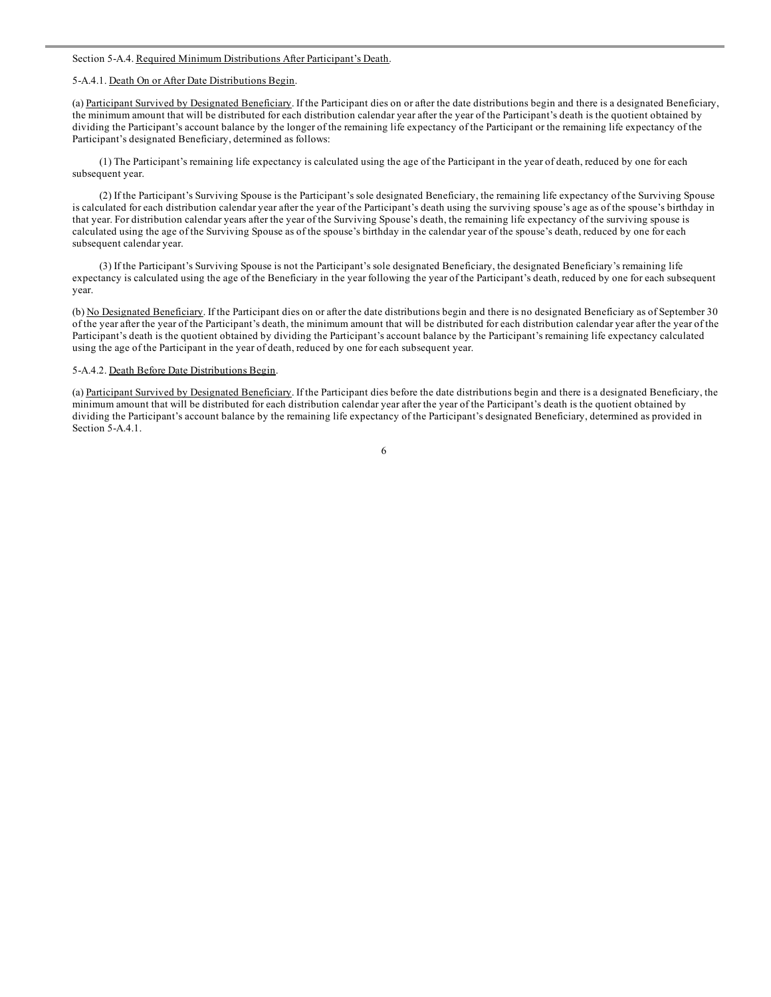#### Section 5-A.4. Required Minimum Distributions After Participant's Death.

# 5-A.4.1. Death On or After Date Distributions Begin.

(a) Participant Survived by Designated Beneficiary. If the Participant dies on or after the date distributions begin and there is a designated Beneficiary, the minimum amount that will be distributed for each distribution calendar year after the year of the Participant's death is the quotient obtained by dividing the Participant's account balance by the longer of the remaining life expectancy of the Participant or the remaining life expectancy of the Participant's designated Beneficiary, determined as follows:

(1) The Participant's remaining life expectancy is calculated using the age of the Participant in the year of death, reduced by one for each subsequent year.

(2) If the Participant's Surviving Spouse is the Participant's sole designated Beneficiary, the remaining life expectancy of the Surviving Spouse is calculated for each distribution calendar year after the year of the Participant's death using the surviving spouse's age as of the spouse's birthday in that year. For distribution calendar years after the year of the Surviving Spouse's death, the remaining life expectancy of the surviving spouse is calculated using the age of the Surviving Spouse as of the spouse's birthday in the calendar year of the spouse's death, reduced by one for each subsequent calendar year.

(3) If the Participant's Surviving Spouse is not the Participant's sole designated Beneficiary, the designated Beneficiary's remaining life expectancy is calculated using the age of the Beneficiary in the year following the year of the Participant's death, reduced by one for each subsequent year.

(b) No Designated Beneficiary. If the Participant dies on or after the date distributions begin and there is no designated Beneficiary as of September 30 of the year after the year of the Participant's death, the minimum amount that will be distributed for each distribution calendar year after the year of the Participant's death is the quotient obtained by dividing the Participant's account balance by the Participant's remaining life expectancy calculated using the age of the Participant in the year of death, reduced by one for each subsequent year.

# 5-A.4.2. Death Before Date Distributions Begin.

(a) Participant Survived by Designated Beneficiary. If the Participant dies before the date distributions begin and there is a designated Beneficiary, the minimum amount that will be distributed for each distribution calendar year after the year of the Participant's death is the quotient obtained by dividing the Participant's account balance by the remaining life expectancy of the Participant's designated Beneficiary, determined as provided in Section 5-A.4.1.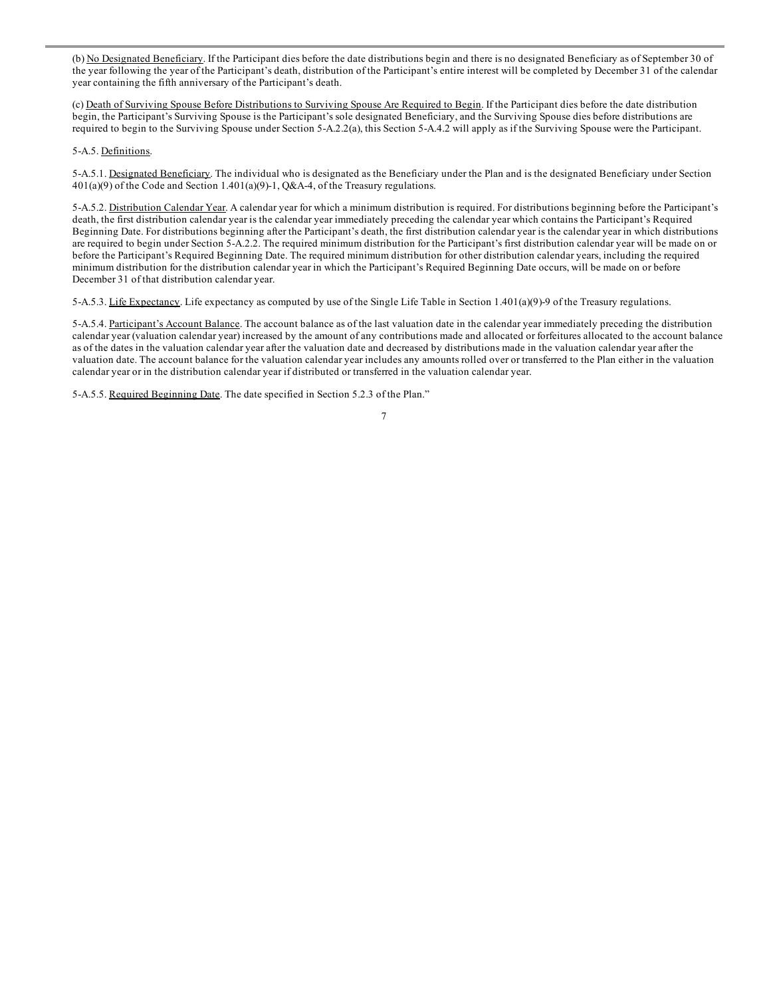(b) No Designated Beneficiary. If the Participant dies before the date distributions begin and there is no designated Beneficiary as of September 30 of the year following the year of the Participant's death, distribution of the Participant's entire interest will be completed by December 31 of the calendar year containing the fifth anniversary of the Participant's death.

(c) Death of Surviving Spouse Before Distributions to Surviving Spouse Are Required to Begin. If the Participant dies before the date distribution begin, the Participant's Surviving Spouse is the Participant's sole designated Beneficiary, and the Surviving Spouse dies before distributions are required to begin to the Surviving Spouse under Section 5-A.2.2(a), this Section 5-A.4.2 will apply as if the Surviving Spouse were the Participant.

# 5-A.5. Definitions.

5-A.5.1. Designated Beneficiary. The individual who is designated as the Beneficiary under the Plan and is the designated Beneficiary under Section 401(a)(9) of the Code and Section 1.401(a)(9)-1, Q&A-4, of the Treasury regulations.

5-A.5.2. Distribution Calendar Year. A calendar year for which a minimum distribution is required. For distributions beginning before the Participant's death, the first distribution calendar year is the calendar year immediately preceding the calendar year which contains the Participant's Required Beginning Date. For distributions beginning after the Participant's death, the first distribution calendar year is the calendar year in which distributions are required to begin under Section 5-A.2.2. The required minimum distribution for the Participant's first distribution calendar year will be made on or before the Participant's Required Beginning Date. The required minimum distribution for other distribution calendar years, including the required minimum distribution for the distribution calendar year in which the Participant's Required Beginning Date occurs, will be made on or before December 31 of that distribution calendar year.

5-A.5.3. Life Expectancy. Life expectancy as computed by use of the Single Life Table in Section 1.401(a)(9)-9 of the Treasury regulations.

5-A.5.4. Participant's Account Balance. The account balance as of the last valuation date in the calendar year immediately preceding the distribution calendar year (valuation calendar year) increased by the amount of any contributions made and allocated or forfeitures allocated to the account balance as of the dates in the valuation calendar year after the valuation date and decreased by distributions made in the valuation calendar year after the valuation date. The account balance for the valuation calendar year includes any amounts rolled over or transferred to the Plan either in the valuation calendar year or in the distribution calendar year if distributed or transferred in the valuation calendar year.

7

5-A.5.5. Required Beginning Date. The date specified in Section 5.2.3 of the Plan."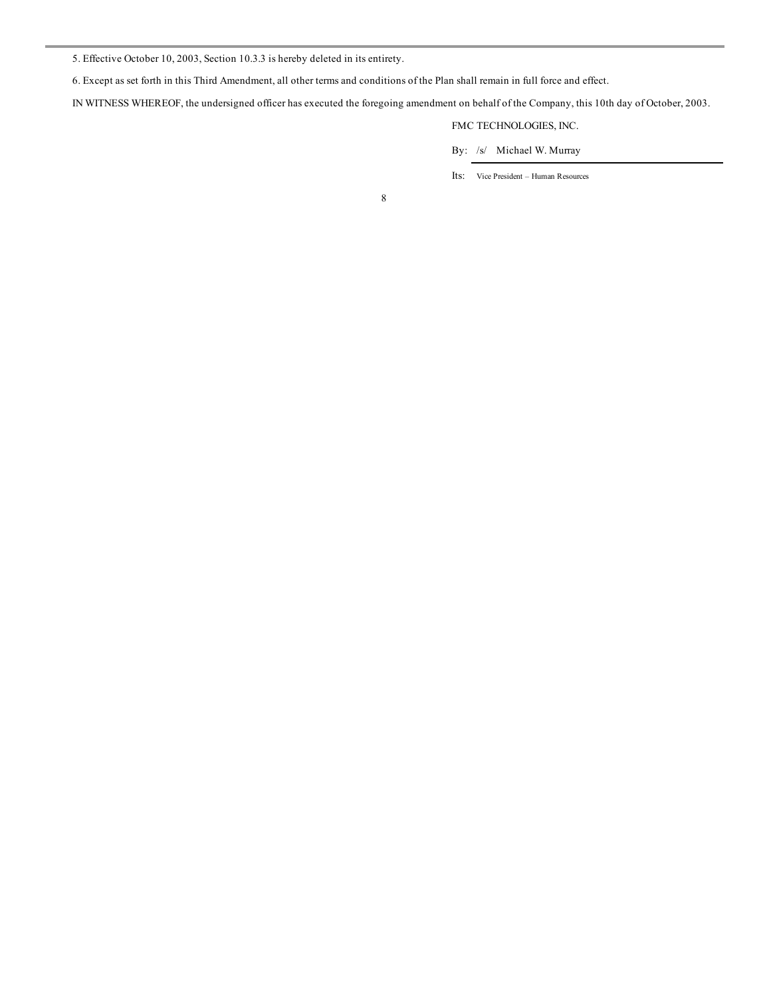5. Effective October 10, 2003, Section 10.3.3 is hereby deleted in its entirety.

6. Except as set forth in this Third Amendment, all other terms and conditions of the Plan shall remain in full force and effect.

IN WITNESS WHEREOF, the undersigned officer has executed the foregoing amendment on behalf of the Company, this 10th day of October, 2003.

FMC TECHNOLOGIES, INC.

By: /s/ Michael W. Murray

Its: Vice President – Human Resources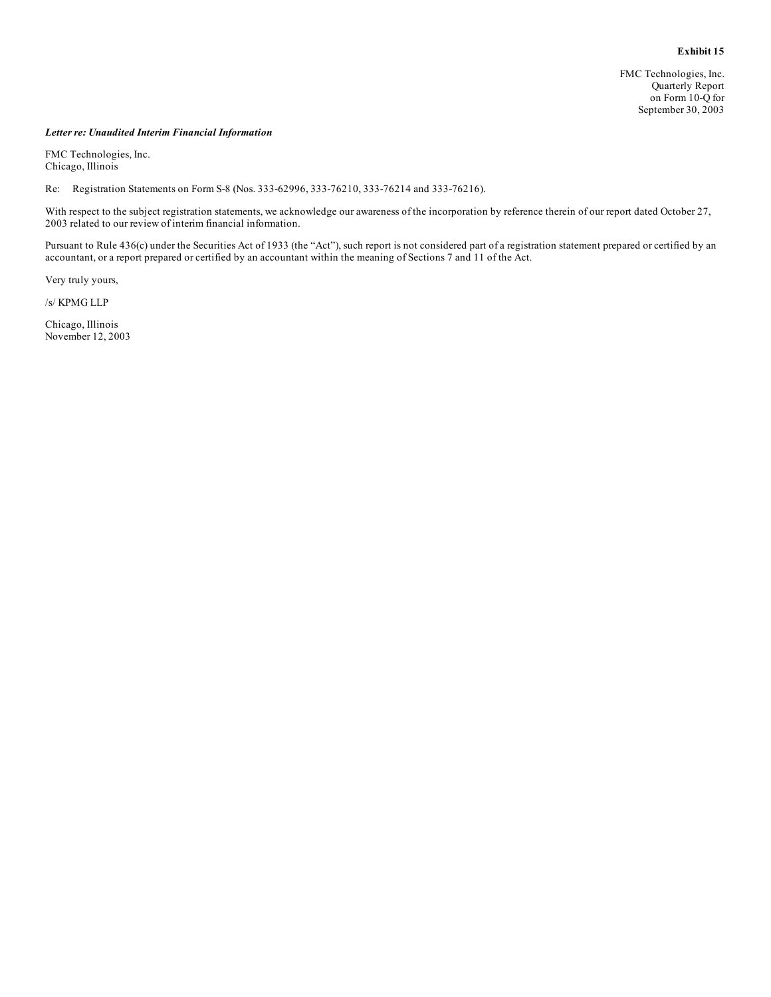FMC Technologies, Inc. Quarterly Report on Form 10-Q for September 30, 2003

# *Letter re: Unaudited Interim Financial Information*

FMC Technologies, Inc. Chicago, Illinois

Re: Registration Statements on Form S-8 (Nos. 333-62996, 333-76210, 333-76214 and 333-76216).

With respect to the subject registration statements, we acknowledge our awareness of the incorporation by reference therein of our report dated October 27, 2003 related to our review of interim financial information.

Pursuant to Rule 436(c) under the Securities Act of 1933 (the "Act"), such report is not considered part of a registration statement prepared or certified by an accountant, or a report prepared or certified by an accountant within the meaning of Sections 7 and 11 of the Act.

Very truly yours,

/s/ KPMG LLP

Chicago, Illinois November 12, 2003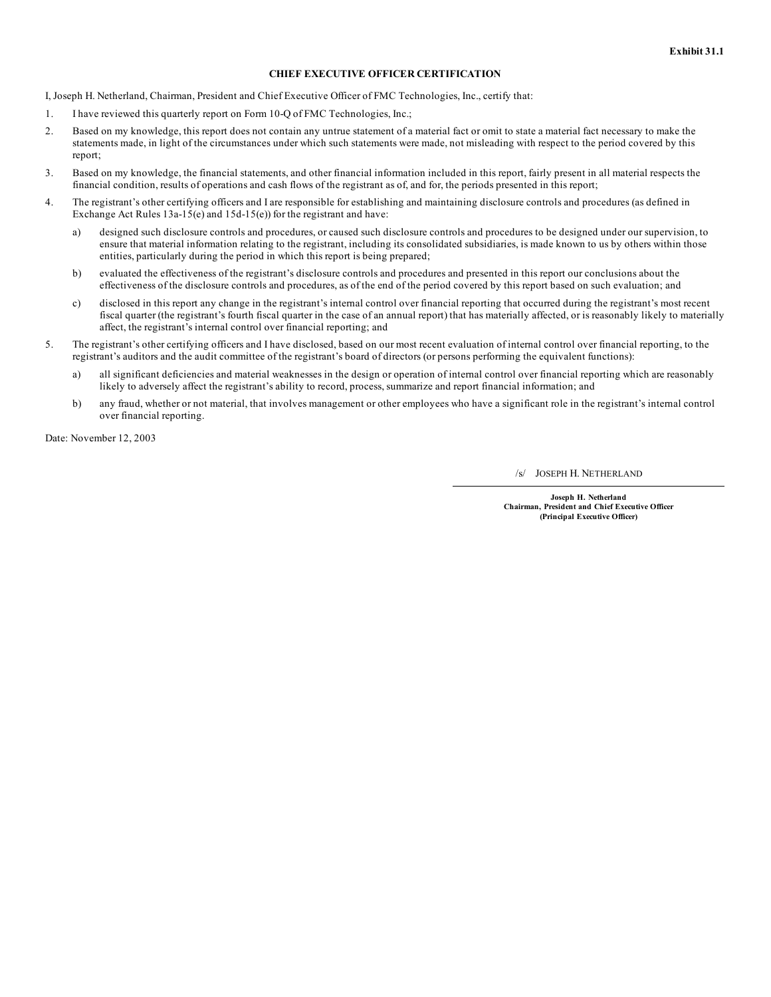# **CHIEF EXECUTIVE OFFICER CERTIFICATION**

I, Joseph H. Netherland, Chairman, President and Chief Executive Officer of FMC Technologies, Inc., certify that:

- 1. I have reviewed this quarterly report on Form 10-Q of FMC Technologies, Inc.;
- 2. Based on my knowledge, this report does not contain any untrue statement of a material fact or omit to state a material fact necessary to make the statements made, in light of the circumstances under which such statements were made, not misleading with respect to the period covered by this report;
- 3. Based on my knowledge, the financial statements, and other financial information included in this report, fairly present in all material respects the financial condition, results of operations and cash flows of the registrant as of, and for, the periods presented in this report;
- 4. The registrant's other certifying officers and I are responsible for establishing and maintaining disclosure controls and procedures (as defined in Exchange Act Rules 13a-15(e) and 15d-15(e)) for the registrant and have:
	- a) designed such disclosure controls and procedures, or caused such disclosure controls and procedures to be designed under our supervision, to ensure that material information relating to the registrant, including its consolidated subsidiaries, is made known to us by others within those entities, particularly during the period in which this report is being prepared;
	- b) evaluated the effectiveness of the registrant's disclosure controls and procedures and presented in this report our conclusions about the effectiveness of the disclosure controls and procedures, as of the end of the period covered by this report based on such evaluation; and
	- c) disclosed in this report any change in the registrant's internal control over financial reporting that occurred during the registrant's most recent fiscal quarter (the registrant's fourth fiscal quarter in the case of an annual report) that has materially affected, or is reasonably likely to materially affect, the registrant's internal control over financial reporting; and
- 5. The registrant's other certifying officers and I have disclosed, based on our most recent evaluation of internal control over financial reporting, to the registrant's auditors and the audit committee of the registrant's board of directors (or persons performing the equivalent functions):
	- a) all significant deficiencies and material weaknesses in the design or operation of internal control over financial reporting which are reasonably likely to adversely affect the registrant's ability to record, process, summarize and report financial information; and
	- b) any fraud, whether or not material, that involves management or other employees who have a significant role in the registrant's internal control over financial reporting.

Date: November 12, 2003

/s/ JOSEPH H. NETHERLAND

**Joseph H. Netherland Chairman, President and Chief Executive Officer (Principal Executive Officer)**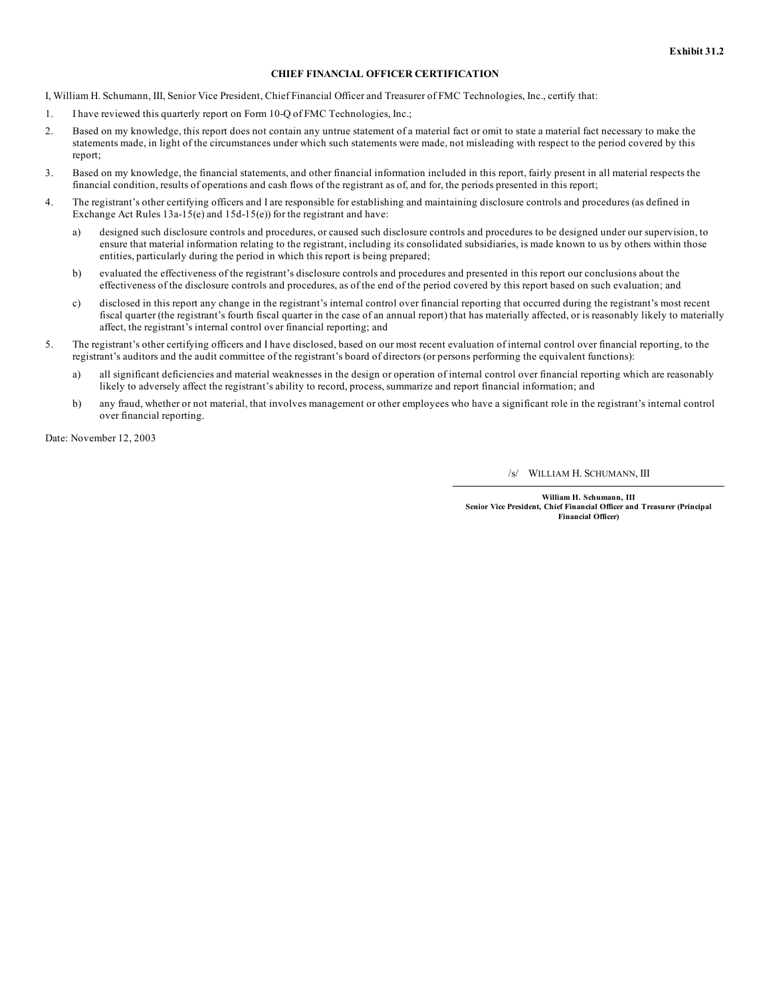# **CHIEF FINANCIAL OFFICER CERTIFICATION**

I, William H. Schumann, III, Senior Vice President, Chief Financial Officer and Treasurer of FMC Technologies, Inc., certify that:

- 1. I have reviewed this quarterly report on Form 10-Q of FMC Technologies, Inc.;
- 2. Based on my knowledge, this report does not contain any untrue statement of a material fact or omit to state a material fact necessary to make the statements made, in light of the circumstances under which such statements were made, not misleading with respect to the period covered by this report;
- 3. Based on my knowledge, the financial statements, and other financial information included in this report, fairly present in all material respects the financial condition, results of operations and cash flows of the registrant as of, and for, the periods presented in this report;
- 4. The registrant's other certifying officers and I are responsible for establishing and maintaining disclosure controls and procedures (as defined in Exchange Act Rules 13a-15(e) and 15d-15(e)) for the registrant and have:
	- a) designed such disclosure controls and procedures, or caused such disclosure controls and procedures to be designed under our supervision, to ensure that material information relating to the registrant, including its consolidated subsidiaries, is made known to us by others within those entities, particularly during the period in which this report is being prepared;
	- b) evaluated the effectiveness of the registrant's disclosure controls and procedures and presented in this report our conclusions about the effectiveness of the disclosure controls and procedures, as of the end of the period covered by this report based on such evaluation; and
	- c) disclosed in this report any change in the registrant's internal control over financial reporting that occurred during the registrant's most recent fiscal quarter (the registrant's fourth fiscal quarter in the case of an annual report) that has materially affected, or is reasonably likely to materially affect, the registrant's internal control over financial reporting; and
- 5. The registrant's other certifying officers and I have disclosed, based on our most recent evaluation of internal control over financial reporting, to the registrant's auditors and the audit committee of the registrant's board of directors (or persons performing the equivalent functions):
	- a) all significant deficiencies and material weaknesses in the design or operation of internal control over financial reporting which are reasonably likely to adversely affect the registrant's ability to record, process, summarize and report financial information; and
	- b) any fraud, whether or not material, that involves management or other employees who have a significant role in the registrant's internal control over financial reporting.

Date: November 12, 2003

/s/ WILLIAM H. SCHUMANN, III

**William H. Schumann, III Senior Vice President, Chief Financial Officer and Treasurer (Principal Financial Officer)**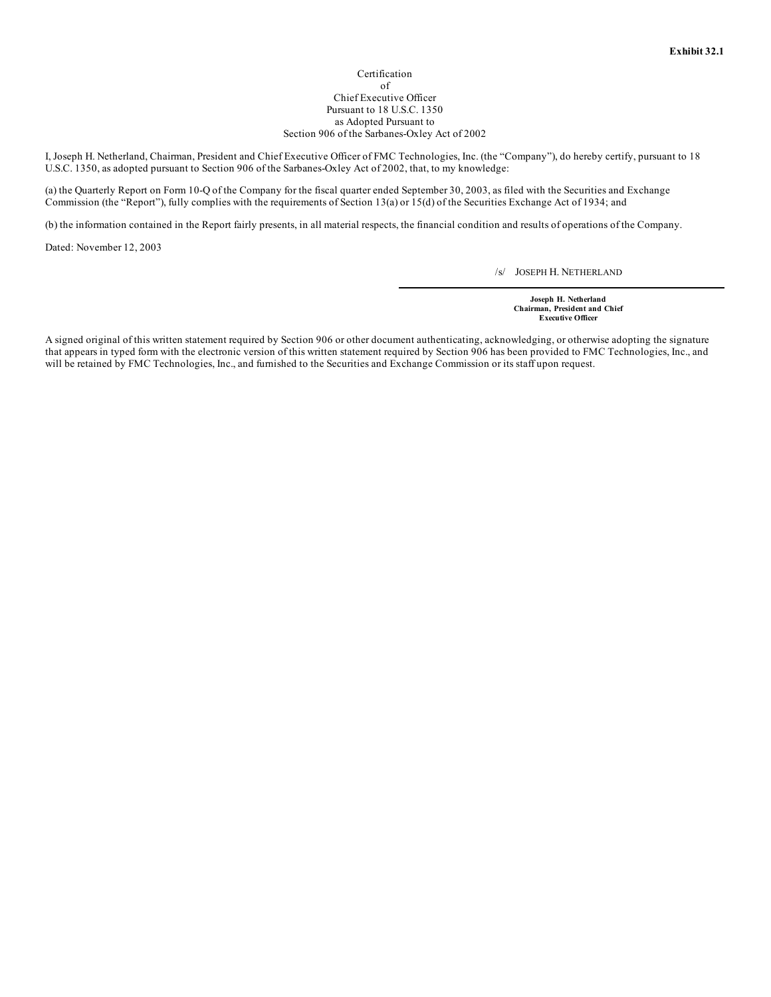#### Certification of Chief Executive Officer Pursuant to 18 U.S.C. 1350 as Adopted Pursuant to Section 906 of the Sarbanes-Oxley Act of 2002

I, Joseph H. Netherland, Chairman, President and Chief Executive Officer of FMC Technologies, Inc. (the "Company"), do hereby certify, pursuant to 18 U.S.C. 1350, as adopted pursuant to Section 906 of the Sarbanes-Oxley Act of 2002, that, to my knowledge:

(a) the Quarterly Report on Form 10-Q of the Company for the fiscal quarter ended September 30, 2003, as filed with the Securities and Exchange Commission (the "Report"), fully complies with the requirements of Section 13(a) or 15(d) of the Securities Exchange Act of 1934; and

(b) the information contained in the Report fairly presents, in all material respects, the financial condition and results of operations of the Company.

Dated: November 12, 2003

/s/ JOSEPH H. NETHERLAND

**Joseph H. Netherland Chairman, President and Chief Executive Officer**

A signed original of this written statement required by Section 906 or other document authenticating, acknowledging, or otherwise adopting the signature that appears in typed form with the electronic version of this written statement required by Section 906 has been provided to FMC Technologies, Inc., and will be retained by FMC Technologies, Inc., and furnished to the Securities and Exchange Commission or its staff upon request.